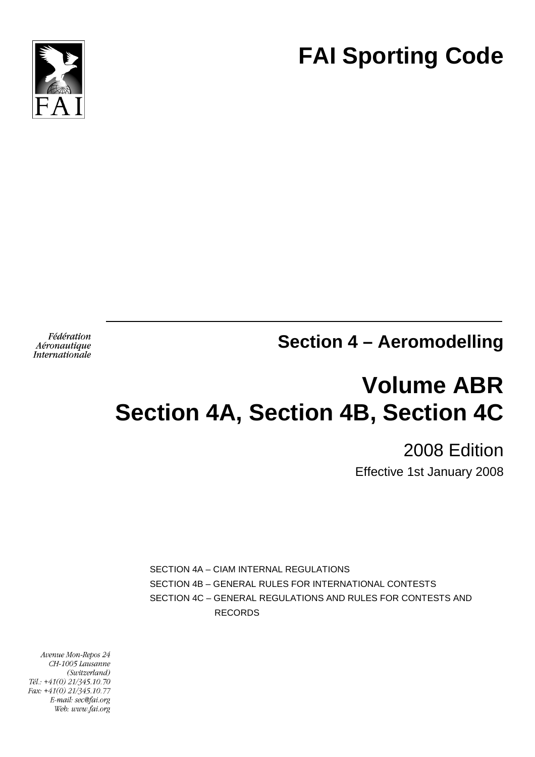**FAI Sporting Code**



Fédération Aéronautique Internationale

**Section 4 – Aeromodelling** 

# **Volume ABR Section 4A, Section 4B, Section 4C**

2008 Edition Effective 1st January 2008

SECTION 4A – CIAM INTERNAL REGULATIONS SECTION 4B – GENERAL RULES FOR INTERNATIONAL CONTESTS SECTION 4C – GENERAL REGULATIONS AND RULES FOR CONTESTS AND RECORDS

Avenue Mon-Repos 24 CH-1005 Lausanne (Switzerland) Tél.: +41(0) 21/345.10.70 Fax: +41(0) 21/345.10.77 E-mail: sec@fai.org Web: www.fai.org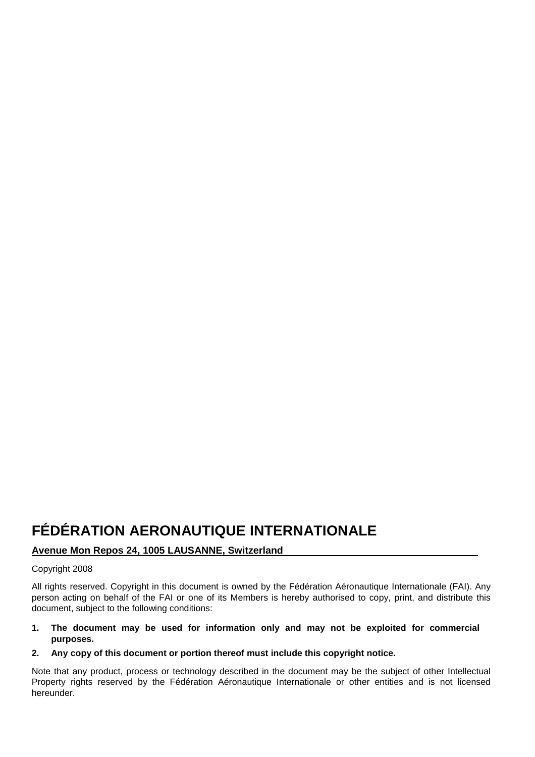# **FÉDÉRATION AERONAUTIQUE INTERNATIONALE**

# **Avenue Mon Repos 24, 1005 LAUSANNE, Switzerland**

# Copyright 2008

All rights reserved. Copyright in this document is owned by the Fédération Aéronautique Internationale (FAI). Any person acting on behalf of the FAI or one of its Members is hereby authorised to copy, print, and distribute this document, subject to the following conditions:

- **1. The document may be used for information only and may not be exploited for commercial purposes.**
- **2. Any copy of this document or portion thereof must include this copyright notice.**

Note that any product, process or technology described in the document may be the subject of other Intellectual Property rights reserved by the Fédération Aéronautique Internationale or other entities and is not licensed hereunder.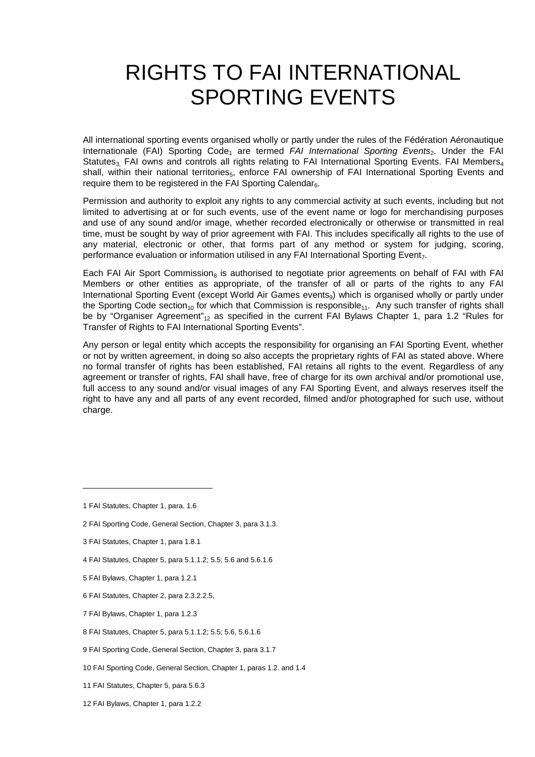# RIGHTS TO FAI INTERNATIONAL SPORTING EVENTS

All international sporting events organised wholly or partly under the rules of the Fédération Aéronautique Internationale (FAI) Sporting Code<sub>1</sub> are termed FAI International Sporting Events<sub>2</sub>. Under the FAI Statutes<sub>3</sub> FAI owns and controls all rights relating to FAI International Sporting Events. FAI Members<sub>4</sub> shall, within their national territories<sub>5</sub>, enforce FAI ownership of FAI International Sporting Events and require them to be registered in the FAI Sporting Calendar<sub>6</sub>.

Permission and authority to exploit any rights to any commercial activity at such events, including but not limited to advertising at or for such events, use of the event name or logo for merchandising purposes and use of any sound and/or image, whether recorded electronically or otherwise or transmitted in real time, must be sought by way of prior agreement with FAI. This includes specifically all rights to the use of any material, electronic or other, that forms part of any method or system for judging, scoring, performance evaluation or information utilised in any FAI International Sporting Event<sub>7</sub>.

Each FAI Air Sport Commission<sub>8</sub> is authorised to negotiate prior agreements on behalf of FAI with FAI Members or other entities as appropriate, of the transfer of all or parts of the rights to any FAI International Sporting Event (except World Air Games events<sub>9</sub>) which is organised wholly or partly under the Sporting Code section<sub>10</sub> for which that Commission is responsible<sub>11</sub>. Any such transfer of rights shall be by "Organiser Agreement"<sub>12</sub> as specified in the current FAI Bylaws Chapter 1, para 1.2 "Rules for Transfer of Rights to FAI International Sporting Events".

Any person or legal entity which accepts the responsibility for organising an FAI Sporting Event, whether or not by written agreement, in doing so also accepts the proprietary rights of FAI as stated above. Where no formal transfer of rights has been established, FAI retains all rights to the event. Regardless of any agreement or transfer of rights, FAI shall have, free of charge for its own archival and/or promotional use, full access to any sound and/or visual images of any FAI Sporting Event, and always reserves itself the right to have any and all parts of any event recorded, filmed and/or photographed for such use, without charge.

֦

- 5 FAI Bylaws, Chapter 1, para 1.2.1
- 6 FAI Statutes, Chapter 2, para 2.3.2.2.5,
- 7 FAI Bylaws, Chapter 1, para 1.2.3
- 8 FAI Statutes, Chapter 5, para 5.1.1.2; 5.5; 5.6, 5.6.1.6
- 9 FAI Sporting Code, General Section, Chapter 3, para 3.1.7
- 10 FAI Sporting Code, General Section, Chapter 1, paras 1.2. and 1.4
- 11 FAI Statutes, Chapter 5, para 5.6.3
- 12 FAI Bylaws, Chapter 1, para 1.2.2

<sup>1</sup> FAI Statutes, Chapter 1, para. 1.6

<sup>2</sup> FAI Sporting Code, General Section, Chapter 3, para 3.1.3.

<sup>3</sup> FAI Statutes, Chapter 1, para 1.8.1

<sup>4</sup> FAI Statutes, Chapter 5, para 5.1.1.2; 5.5; 5.6 and 5.6.1.6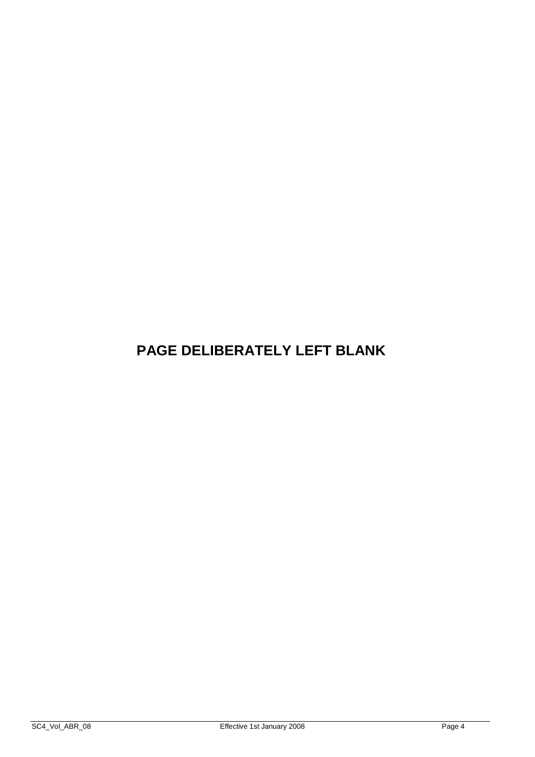**PAGE DELIBERATELY LEFT BLANK**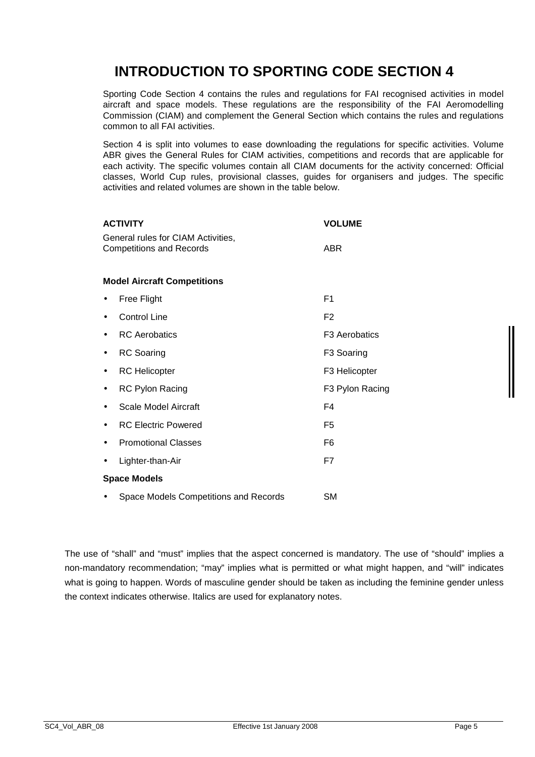# **INTRODUCTION TO SPORTING CODE SECTION 4**

Sporting Code Section 4 contains the rules and regulations for FAI recognised activities in model aircraft and space models. These regulations are the responsibility of the FAI Aeromodelling Commission (CIAM) and complement the General Section which contains the rules and regulations common to all FAI activities.

Section 4 is split into volumes to ease downloading the regulations for specific activities. Volume ABR gives the General Rules for CIAM activities, competitions and records that are applicable for each activity. The specific volumes contain all CIAM documents for the activity concerned: Official classes, World Cup rules, provisional classes, guides for organisers and judges. The specific activities and related volumes are shown in the table below.

| <b>ACTIVITY</b>                                                       |                                       | <b>VOLUME</b>             |  |
|-----------------------------------------------------------------------|---------------------------------------|---------------------------|--|
| General rules for CIAM Activities,<br><b>Competitions and Records</b> |                                       | ABR                       |  |
|                                                                       | <b>Model Aircraft Competitions</b>    |                           |  |
|                                                                       | Free Flight                           | F <sub>1</sub>            |  |
| ٠                                                                     | <b>Control Line</b>                   | F <sub>2</sub>            |  |
|                                                                       | <b>RC</b> Aerobatics                  | F <sub>3</sub> Aerobatics |  |
| ٠                                                                     | <b>RC</b> Soaring                     | F3 Soaring                |  |
| ٠                                                                     | <b>RC</b> Helicopter                  | F3 Helicopter             |  |
|                                                                       | <b>RC Pylon Racing</b>                | F3 Pylon Racing           |  |
| ٠                                                                     | <b>Scale Model Aircraft</b>           | F4                        |  |
| $\bullet$                                                             | <b>RC Electric Powered</b>            | F5                        |  |
|                                                                       | <b>Promotional Classes</b>            | F <sub>6</sub>            |  |
|                                                                       | Lighter-than-Air                      | F7                        |  |
| <b>Space Models</b>                                                   |                                       |                           |  |
|                                                                       | Space Models Competitions and Records | SΜ                        |  |

The use of "shall" and "must" implies that the aspect concerned is mandatory. The use of "should" implies a non-mandatory recommendation; "may" implies what is permitted or what might happen, and "will" indicates what is going to happen. Words of masculine gender should be taken as including the feminine gender unless the context indicates otherwise. Italics are used for explanatory notes.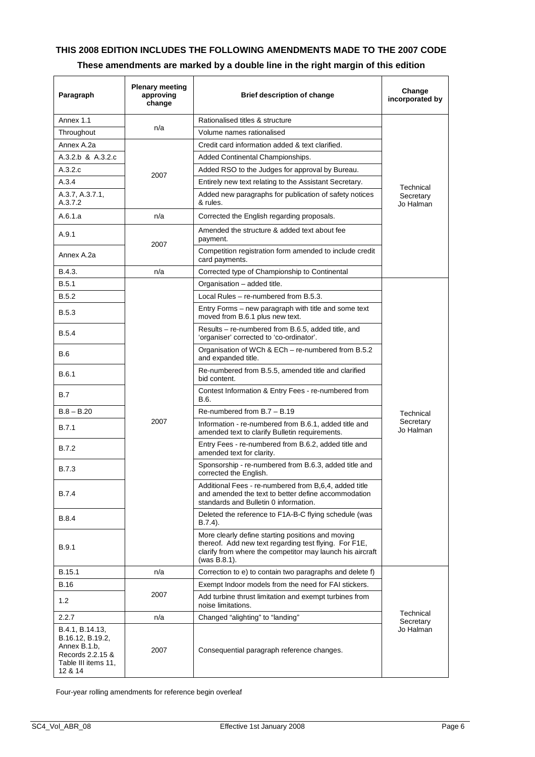# **THIS 2008 EDITION INCLUDES THE FOLLOWING AMENDMENTS MADE TO THE 2007 CODE These amendments are marked by a double line in the right margin of this edition**

| Paragraph                                                                                                 | <b>Plenary meeting</b><br>approving<br>change | Change<br><b>Brief description of change</b><br>incorporated by                                                                                                                         |                                     |  |
|-----------------------------------------------------------------------------------------------------------|-----------------------------------------------|-----------------------------------------------------------------------------------------------------------------------------------------------------------------------------------------|-------------------------------------|--|
| Annex 1.1                                                                                                 |                                               | Rationalised titles & structure                                                                                                                                                         |                                     |  |
| Throughout                                                                                                | n/a                                           | Volume names rationalised                                                                                                                                                               |                                     |  |
| Annex A.2a                                                                                                |                                               | Credit card information added & text clarified.                                                                                                                                         |                                     |  |
| A.3.2.b & A.3.2.c                                                                                         |                                               | Added Continental Championships.                                                                                                                                                        |                                     |  |
| A.3.2.c                                                                                                   | 2007                                          | Added RSO to the Judges for approval by Bureau.                                                                                                                                         |                                     |  |
| A.3.4                                                                                                     |                                               | Entirely new text relating to the Assistant Secretary.                                                                                                                                  |                                     |  |
| A.3.7, A.3.7.1,<br>A.3.7.2                                                                                |                                               | Added new paragraphs for publication of safety notices<br>& rules.                                                                                                                      | Technical<br>Secretary<br>Jo Halman |  |
| A.6.1.a                                                                                                   | n/a                                           | Corrected the English regarding proposals.                                                                                                                                              |                                     |  |
| A.9.1                                                                                                     | 2007                                          | Amended the structure & added text about fee<br>payment.                                                                                                                                |                                     |  |
| Annex A.2a                                                                                                |                                               | Competition registration form amended to include credit<br>card payments.                                                                                                               |                                     |  |
| B.4.3.                                                                                                    | n/a                                           | Corrected type of Championship to Continental                                                                                                                                           |                                     |  |
| <b>B.5.1</b>                                                                                              |                                               | Organisation - added title.                                                                                                                                                             |                                     |  |
| B.5.2                                                                                                     |                                               | Local Rules – re-numbered from B.5.3.                                                                                                                                                   |                                     |  |
| <b>B.5.3</b>                                                                                              |                                               | Entry Forms – new paragraph with title and some text<br>moved from B.6.1 plus new text.                                                                                                 |                                     |  |
| <b>B.5.4</b>                                                                                              |                                               | Results – re-numbered from B.6.5, added title, and<br>'organiser' corrected to 'co-ordinator'.                                                                                          |                                     |  |
| <b>B.6</b>                                                                                                |                                               | Organisation of WCh & ECh - re-numbered from B.5.2<br>and expanded title.                                                                                                               |                                     |  |
| <b>B.6.1</b>                                                                                              |                                               | Re-numbered from B.5.5, amended title and clarified<br>bid content.                                                                                                                     |                                     |  |
| B.7                                                                                                       |                                               | Contest Information & Entry Fees - re-numbered from<br>B.6.                                                                                                                             |                                     |  |
| $B.8 - B.20$                                                                                              |                                               | Re-numbered from B.7 - B.19                                                                                                                                                             | Technical                           |  |
| <b>B.7.1</b>                                                                                              | 2007                                          | Information - re-numbered from B.6.1, added title and<br>amended text to clarify Bulletin requirements.                                                                                 | Secretary<br>Jo Halman              |  |
| B.7.2                                                                                                     |                                               | Entry Fees - re-numbered from B.6.2, added title and<br>amended text for clarity.                                                                                                       |                                     |  |
| B.7.3                                                                                                     |                                               | Sponsorship - re-numbered from B.6.3, added title and<br>corrected the English.                                                                                                         |                                     |  |
| B.7.4                                                                                                     |                                               | Additional Fees - re-numbered from B,6,4, added title<br>and amended the text to better define accommodation<br>standards and Bulletin 0 information.                                   |                                     |  |
| B.8.4                                                                                                     |                                               | Deleted the reference to F1A-B-C flying schedule (was<br>$B.7.4$ ).                                                                                                                     |                                     |  |
| <b>B.9.1</b>                                                                                              |                                               | More clearly define starting positions and moving<br>thereof. Add new text regarding test flying. For F1E,<br>clarify from where the competitor may launch his aircraft<br>(was B.8.1). |                                     |  |
| B.15.1                                                                                                    | n/a                                           | Correction to e) to contain two paragraphs and delete f)                                                                                                                                |                                     |  |
| <b>B.16</b>                                                                                               |                                               | Exempt Indoor models from the need for FAI stickers.                                                                                                                                    |                                     |  |
| 1.2                                                                                                       | 2007                                          | Add turbine thrust limitation and exempt turbines from<br>noise limitations.                                                                                                            |                                     |  |
| 2.2.7                                                                                                     | n/a                                           | Changed "alighting" to "landing"                                                                                                                                                        | Technical<br>Secretary              |  |
| B.4.1, B.14.13,<br>B.16.12, B.19.2,<br>Annex B.1.b,<br>Records 2.2.15 &<br>Table III items 11,<br>12 & 14 | 2007                                          | Consequential paragraph reference changes.                                                                                                                                              | Jo Halman                           |  |

Four-year rolling amendments for reference begin overleaf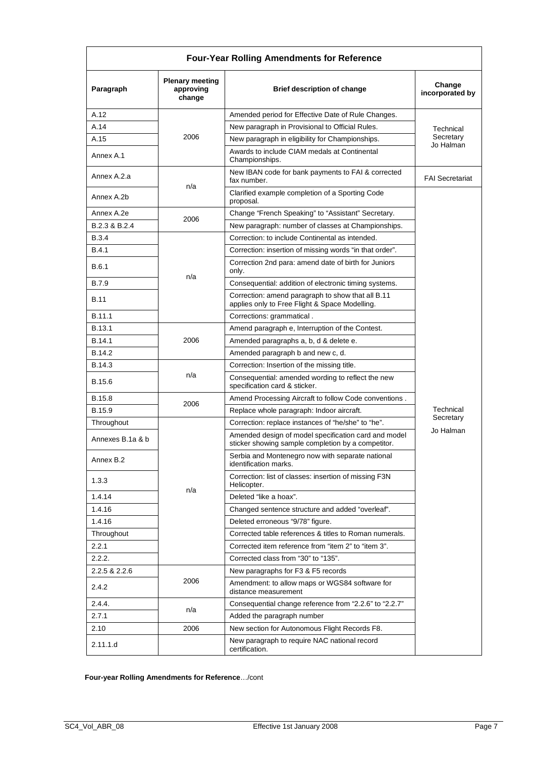| <b>Four-Year Rolling Amendments for Reference</b>                                                       |                                                                                           |                                                                                                            |                                     |  |
|---------------------------------------------------------------------------------------------------------|-------------------------------------------------------------------------------------------|------------------------------------------------------------------------------------------------------------|-------------------------------------|--|
| <b>Plenary meeting</b><br>Paragraph<br>approving<br>change                                              |                                                                                           | <b>Brief description of change</b>                                                                         | Change<br>incorporated by           |  |
| A.12                                                                                                    |                                                                                           | Amended period for Effective Date of Rule Changes.                                                         |                                     |  |
| A.14                                                                                                    |                                                                                           | New paragraph in Provisional to Official Rules.                                                            | Technical<br>Secretary<br>Jo Halman |  |
| A.15                                                                                                    | 2006                                                                                      | New paragraph in eligibility for Championships.                                                            |                                     |  |
| Annex A.1                                                                                               |                                                                                           | Awards to include CIAM medals at Continental<br>Championships.                                             |                                     |  |
| Annex A.2.a                                                                                             | New IBAN code for bank payments to FAI & corrected<br>fax number.                         |                                                                                                            | <b>FAI Secretariat</b>              |  |
| Annex A.2b                                                                                              | n/a                                                                                       | Clarified example completion of a Sporting Code<br>proposal.                                               |                                     |  |
| Annex A.2e                                                                                              |                                                                                           | Change "French Speaking" to "Assistant" Secretary.                                                         |                                     |  |
| B.2.3 & B.2.4                                                                                           | 2006                                                                                      | New paragraph: number of classes at Championships.                                                         |                                     |  |
| <b>B.3.4</b>                                                                                            |                                                                                           | Correction: to include Continental as intended.                                                            |                                     |  |
| <b>B.4.1</b>                                                                                            |                                                                                           | Correction: insertion of missing words "in that order".                                                    |                                     |  |
| <b>B.6.1</b>                                                                                            |                                                                                           | Correction 2nd para: amend date of birth for Juniors<br>only.                                              |                                     |  |
| <b>B.7.9</b>                                                                                            | n/a                                                                                       | Consequential: addition of electronic timing systems.                                                      |                                     |  |
| <b>B.11</b>                                                                                             |                                                                                           | Correction: amend paragraph to show that all B.11<br>applies only to Free Flight & Space Modelling.        |                                     |  |
| <b>B.11.1</b>                                                                                           |                                                                                           | Corrections: grammatical.                                                                                  |                                     |  |
| <b>B.13.1</b>                                                                                           | Amend paragraph e, Interruption of the Contest.                                           |                                                                                                            |                                     |  |
| 2006<br>B.14.1<br>Amended paragraphs a, b, d & delete e.<br>B.14.2<br>Amended paragraph b and new c, d. |                                                                                           |                                                                                                            |                                     |  |
|                                                                                                         |                                                                                           |                                                                                                            |                                     |  |
| B.14.3                                                                                                  |                                                                                           | Correction: Insertion of the missing title.                                                                |                                     |  |
| B.15.6                                                                                                  | n/a<br>Consequential: amended wording to reflect the new<br>specification card & sticker. |                                                                                                            |                                     |  |
| <b>B.15.8</b>                                                                                           | 2006                                                                                      | Amend Processing Aircraft to follow Code conventions.                                                      |                                     |  |
| <b>B.15.9</b>                                                                                           |                                                                                           | Replace whole paragraph: Indoor aircraft.                                                                  | Technical                           |  |
| Throughout                                                                                              |                                                                                           | Correction: replace instances of "he/she" to "he".                                                         | Secretary                           |  |
| Annexes B.1a & b                                                                                        |                                                                                           | Amended design of model specification card and model<br>sticker showing sample completion by a competitor. | Jo Halman                           |  |
| Annex B.2                                                                                               |                                                                                           | Serbia and Montenegro now with separate national<br>identification marks.                                  |                                     |  |
| 1.3.3                                                                                                   | n/a                                                                                       | Correction: list of classes: insertion of missing F3N<br>Helicopter.                                       |                                     |  |
| 1.4.14                                                                                                  |                                                                                           | Deleted "like a hoax".                                                                                     |                                     |  |
| 1.4.16                                                                                                  |                                                                                           | Changed sentence structure and added "overleaf".                                                           |                                     |  |
| 1.4.16                                                                                                  |                                                                                           | Deleted erroneous "9/78" figure.                                                                           |                                     |  |
| Throughout                                                                                              |                                                                                           | Corrected table references & titles to Roman numerals.                                                     |                                     |  |
| 2.2.1                                                                                                   |                                                                                           | Corrected item reference from "item 2" to "item 3".                                                        |                                     |  |
| 2.2.2.                                                                                                  |                                                                                           | Corrected class from "30" to "135".                                                                        |                                     |  |
| 2.2.5 & 2.2.6                                                                                           |                                                                                           | New paragraphs for F3 & F5 records                                                                         |                                     |  |
| 2.4.2                                                                                                   | 2006                                                                                      | Amendment: to allow maps or WGS84 software for<br>distance measurement                                     |                                     |  |
| 2.4.4.                                                                                                  | n/a                                                                                       | Consequential change reference from "2.2.6" to "2.2.7"                                                     |                                     |  |
| 2.7.1                                                                                                   | Added the paragraph number                                                                |                                                                                                            |                                     |  |
| 2.10<br>2006<br>New section for Autonomous Flight Records F8.                                           |                                                                                           |                                                                                                            |                                     |  |
| 2.11.1.d                                                                                                |                                                                                           | New paragraph to require NAC national record<br>certification.                                             |                                     |  |

**Four-year Rolling Amendments for Reference**…/cont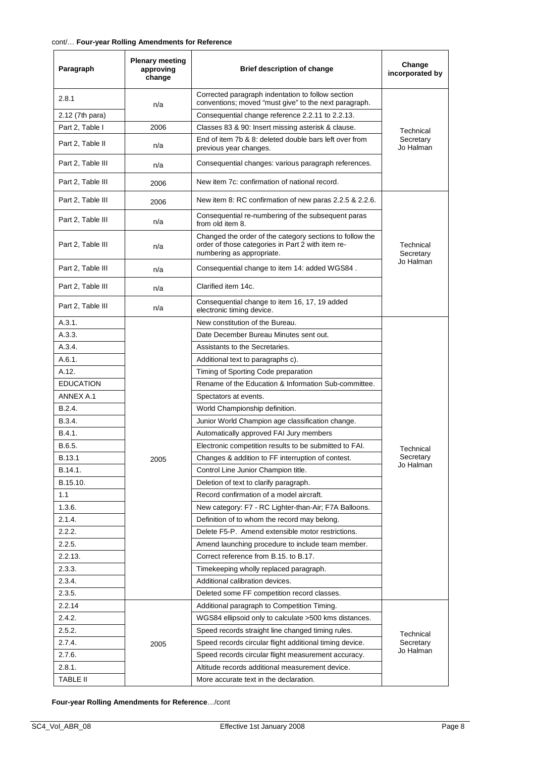| Paragraph                                                 | <b>Plenary meeting</b><br>approving<br>change          | <b>Brief description of change</b>                                                                                                         | Change<br>incorporated by |  |
|-----------------------------------------------------------|--------------------------------------------------------|--------------------------------------------------------------------------------------------------------------------------------------------|---------------------------|--|
| 2.8.1                                                     | n/a                                                    | Corrected paragraph indentation to follow section<br>conventions; moved "must give" to the next paragraph.                                 |                           |  |
| 2.12 (7th para)                                           |                                                        | Consequential change reference 2.2.11 to 2.2.13.                                                                                           |                           |  |
| Part 2, Table I<br>2006                                   |                                                        | Classes 83 & 90: Insert missing asterisk & clause.                                                                                         | Technical                 |  |
| Part 2, Table II                                          | n/a                                                    | End of item 7b & 8: deleted double bars left over from<br>previous year changes.                                                           | Secretary<br>Jo Halman    |  |
| Part 2, Table III                                         | n/a                                                    | Consequential changes: various paragraph references.                                                                                       |                           |  |
| Part 2, Table III                                         | 2006                                                   | New item 7c: confirmation of national record.                                                                                              |                           |  |
| Part 2, Table III                                         | 2006                                                   | New item 8: RC confirmation of new paras 2.2.5 & 2.2.6.                                                                                    |                           |  |
| Part 2, Table III                                         | n/a                                                    | Consequential re-numbering of the subsequent paras<br>from old item 8.                                                                     |                           |  |
| Part 2, Table III                                         | n/a                                                    | Changed the order of the category sections to follow the<br>order of those categories in Part 2 with item re-<br>numbering as appropriate. | Technical<br>Secretary    |  |
| Part 2, Table III                                         | n/a                                                    | Consequential change to item 14: added WGS84.                                                                                              | Jo Halman                 |  |
| Part 2, Table III                                         | n/a                                                    | Clarified item 14c.                                                                                                                        |                           |  |
| Part 2, Table III                                         | n/a                                                    | Consequential change to item 16, 17, 19 added<br>electronic timing device.                                                                 |                           |  |
| A.3.1.                                                    |                                                        | New constitution of the Bureau.                                                                                                            |                           |  |
| A.3.3.                                                    |                                                        | Date December Bureau Minutes sent out.                                                                                                     |                           |  |
| A.3.4.                                                    |                                                        | Assistants to the Secretaries.                                                                                                             |                           |  |
| A.6.1.                                                    |                                                        | Additional text to paragraphs c).                                                                                                          |                           |  |
| A.12.                                                     |                                                        | Timing of Sporting Code preparation                                                                                                        |                           |  |
| <b>EDUCATION</b>                                          |                                                        | Rename of the Education & Information Sub-committee.                                                                                       |                           |  |
| ANNEX A.1                                                 |                                                        | Spectators at events.                                                                                                                      |                           |  |
| B.2.4.                                                    |                                                        | World Championship definition.                                                                                                             |                           |  |
| B.3.4.                                                    |                                                        | Junior World Champion age classification change.                                                                                           |                           |  |
| B.4.1.                                                    | Automatically approved FAI Jury members                |                                                                                                                                            |                           |  |
| B.6.5.                                                    | Electronic competition results to be submitted to FAI. |                                                                                                                                            | Technical                 |  |
| B.13.1<br>2005                                            |                                                        | Changes & addition to FF interruption of contest.                                                                                          | Secretary                 |  |
| B.14.1.                                                   |                                                        | Control Line Junior Champion title.                                                                                                        | Jo Halman                 |  |
| B.15.10.                                                  |                                                        | Deletion of text to clarify paragraph.                                                                                                     |                           |  |
| 1.1                                                       |                                                        | Record confirmation of a model aircraft.                                                                                                   |                           |  |
| 1.3.6.                                                    |                                                        | New category: F7 - RC Lighter-than-Air; F7A Balloons.                                                                                      |                           |  |
| 2.1.4.                                                    |                                                        | Definition of to whom the record may belong.                                                                                               |                           |  |
| 2.2.2.                                                    |                                                        | Delete F5-P. Amend extensible motor restrictions.                                                                                          |                           |  |
| 2.2.5.                                                    |                                                        | Amend launching procedure to include team member.                                                                                          |                           |  |
| 2.2.13.                                                   |                                                        | Correct reference from B.15. to B.17.                                                                                                      |                           |  |
| 2.3.3.                                                    |                                                        | Timekeeping wholly replaced paragraph.                                                                                                     |                           |  |
| 2.3.4.                                                    |                                                        | Additional calibration devices.                                                                                                            |                           |  |
| 2.3.5.                                                    | Deleted some FF competition record classes.            |                                                                                                                                            |                           |  |
| 2.2.14                                                    |                                                        | Additional paragraph to Competition Timing.                                                                                                |                           |  |
| 2.4.2.                                                    |                                                        | WGS84 ellipsoid only to calculate >500 kms distances.                                                                                      |                           |  |
| 2.5.2.                                                    |                                                        | Speed records straight line changed timing rules.                                                                                          |                           |  |
| 2.7.4.<br>2005                                            |                                                        | Technical<br>Speed records circular flight additional timing device.<br>Secretary                                                          |                           |  |
| 2.7.6.                                                    |                                                        | Speed records circular flight measurement accuracy.                                                                                        | Jo Halman                 |  |
| 2.8.1.<br>Altitude records additional measurement device. |                                                        |                                                                                                                                            |                           |  |
| TABLE II                                                  |                                                        | More accurate text in the declaration.                                                                                                     |                           |  |

**Four-year Rolling Amendments for Reference**…/cont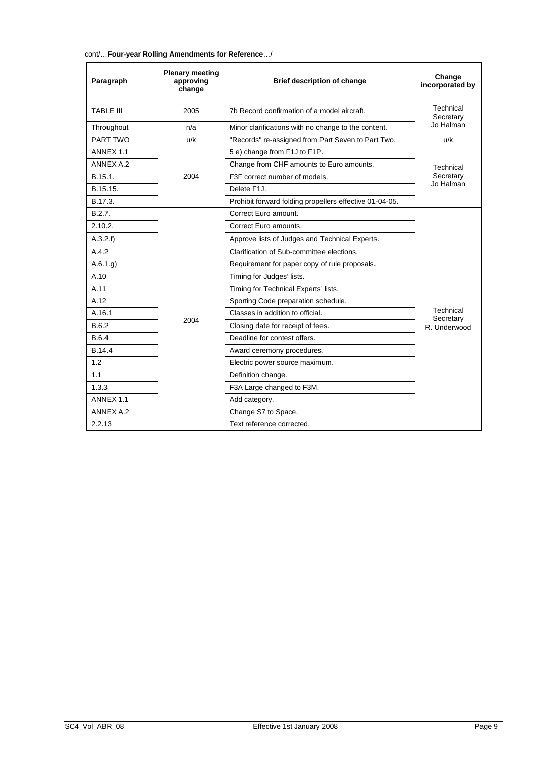# cont/…**Four-year Rolling Amendments for Reference**…/

| Paragraph        | <b>Plenary meeting</b><br>approving<br>change | <b>Brief description of change</b>                      | Change<br>incorporated by |
|------------------|-----------------------------------------------|---------------------------------------------------------|---------------------------|
| <b>TABLE III</b> | 2005                                          | 7b Record confirmation of a model aircraft.             | Technical<br>Secretary    |
| Throughout       | n/a                                           | Minor clarifications with no change to the content.     | Jo Halman                 |
| PART TWO         | u/k                                           | "Records" re-assigned from Part Seven to Part Two.      | u/k                       |
| ANNEX 1.1        |                                               | 5 e) change from F1J to F1P.                            |                           |
| <b>ANNEX A.2</b> |                                               | Change from CHF amounts to Euro amounts.                | Technical                 |
| B.15.1.          | 2004                                          | F3F correct number of models.                           | Secretary                 |
| B.15.15.         |                                               | Delete F1J.                                             | Jo Halman                 |
| B.17.3.          |                                               | Prohibit forward folding propellers effective 01-04-05. |                           |
| B.2.7.           |                                               | Correct Euro amount.                                    |                           |
| 2.10.2.          |                                               | Correct Euro amounts.                                   |                           |
| A.3.2.f          |                                               | Approve lists of Judges and Technical Experts.          |                           |
| A.4.2            |                                               | Clarification of Sub-committee elections.               |                           |
| A.6.1.g.         |                                               | Requirement for paper copy of rule proposals.           |                           |
| A.10             |                                               | Timing for Judges' lists.                               |                           |
| A.11             |                                               | Timing for Technical Experts' lists.                    |                           |
| A.12             |                                               | Sporting Code preparation schedule.                     |                           |
| A.16.1           |                                               | Classes in addition to official.                        | Technical<br>Secretary    |
| B.6.2            | 2004                                          | Closing date for receipt of fees.                       | R. Underwood              |
| <b>B.6.4</b>     |                                               | Deadline for contest offers.                            |                           |
| B.14.4           |                                               | Award ceremony procedures.                              |                           |
| 1.2              |                                               | Electric power source maximum.                          |                           |
| 1.1              |                                               | Definition change.                                      |                           |
| 1.3.3            |                                               | F3A Large changed to F3M.                               |                           |
| ANNEX 1.1        |                                               | Add category.                                           |                           |
| ANNEX A.2        |                                               | Change S7 to Space.                                     |                           |
| 2.2.13           |                                               | Text reference corrected.                               |                           |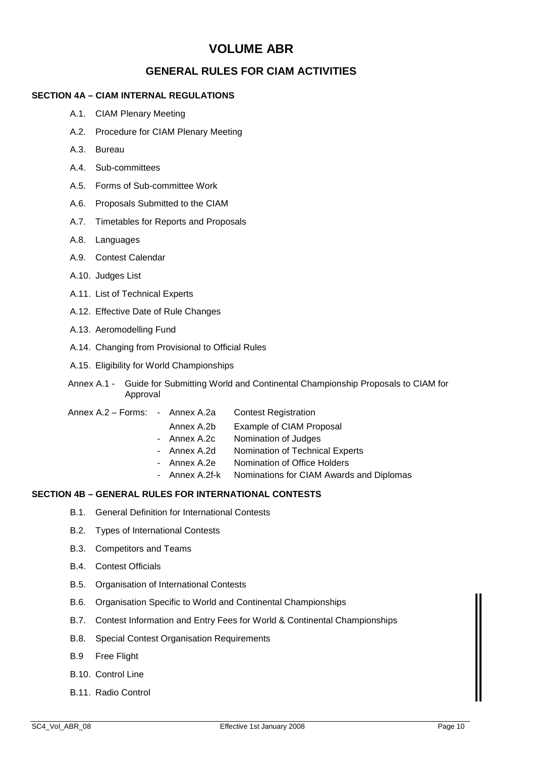# **VOLUME ABR**

# **GENERAL RULES FOR CIAM ACTIVITIES**

# **SECTION 4A – CIAM INTERNAL REGULATIONS**

- A.1. CIAM Plenary Meeting
- A.2. Procedure for CIAM Plenary Meeting
- A.3. Bureau
- A.4. Sub-committees
- A.5. Forms of Sub-committee Work
- A.6. Proposals Submitted to the CIAM
- A.7. Timetables for Reports and Proposals
- A.8. Languages
- A.9. Contest Calendar
- A.10. Judges List
- A.11. List of Technical Experts
- A.12. Effective Date of Rule Changes
- A.13. Aeromodelling Fund
- A.14. Changing from Provisional to Official Rules
- A.15. Eligibility for World Championships
- Annex A.1 Guide for Submitting World and Continental Championship Proposals to CIAM for Approval
- Annex A.2 Forms: Annex A.2a Contest Registration
	- Annex A.2b Example of CIAM Proposal
	- Annex A.2c Nomination of Judges
	- Annex A.2d Nomination of Technical Experts
	- Annex A.2e Nomination of Office Holders
	- Annex A.2f-k Nominations for CIAM Awards and Diplomas

# **SECTION 4B – GENERAL RULES FOR INTERNATIONAL CONTESTS**

- B.1. General Definition for International Contests
- B.2. Types of International Contests
- B.3. Competitors and Teams
- B.4. Contest Officials
- B.5. Organisation of International Contests
- B.6. Organisation Specific to World and Continental Championships
- B.7. Contest Information and Entry Fees for World & Continental Championships
- B.8. Special Contest Organisation Requirements
- B.9 Free Flight
- B.10. Control Line
- B.11. Radio Control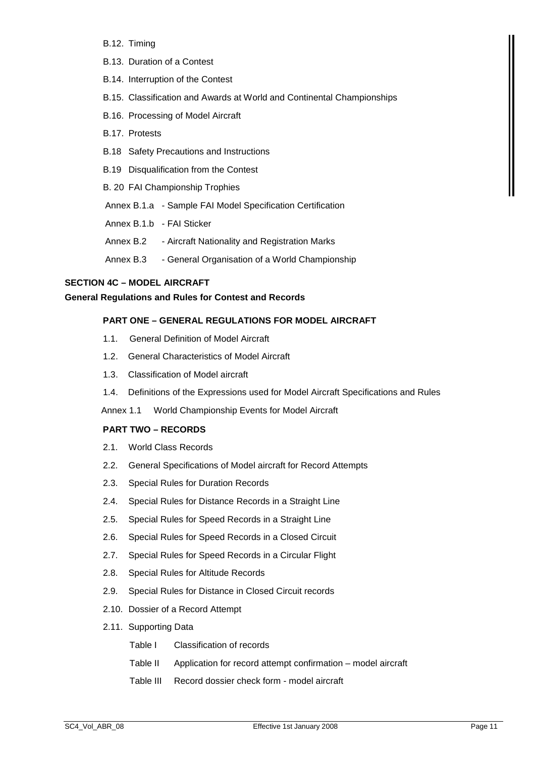- B.12. Timing
- B.13. Duration of a Contest
- B.14. Interruption of the Contest
- B.15. Classification and Awards at World and Continental Championships
- B.16. Processing of Model Aircraft
- B.17. Protests
- B.18 Safety Precautions and Instructions
- B.19 Disqualification from the Contest
- B. 20 FAI Championship Trophies

Annex B.1.a - Sample FAI Model Specification Certification

Annex B.1.b - FAI Sticker

Annex B.2 - Aircraft Nationality and Registration Marks

Annex B.3 - General Organisation of a World Championship

# **SECTION 4C – MODEL AIRCRAFT**

#### **General Regulations and Rules for Contest and Records**

# **PART ONE – GENERAL REGULATIONS FOR MODEL AIRCRAFT**

- 1.1. General Definition of Model Aircraft
- 1.2 . General Characteristics of Model Aircraft
- 1.3 . Classification of Model aircraft
- 1.4 . Definitions of the Expressions used for Model Aircraft Specifications and Rules
- Annex 1.1 World Championship Events for Model Aircraft

# **PART TWO – RECORDS**

- 2.1. World Class Records
- 2.2. General Specifications of Model aircraft for Record Attempts
- 2.3. Special Rules for Duration Records
- 2.4. Special Rules for Distance Records in a Straight Line
- 2.5. Special Rules for Speed Records in a Straight Line
- 2.6. Special Rules for Speed Records in a Closed Circuit
- 2.7. Special Rules for Speed Records in a Circular Flight
- 2.8. Special Rules for Altitude Records
- 2.9. Special Rules for Distance in Closed Circuit records
- 2.10. Dossier of a Record Attempt
- 2.11. Supporting Data
	- Table I Classification of records
	- Table II Application for record attempt confirmation model aircraft
	- Table III Record dossier check form model aircraft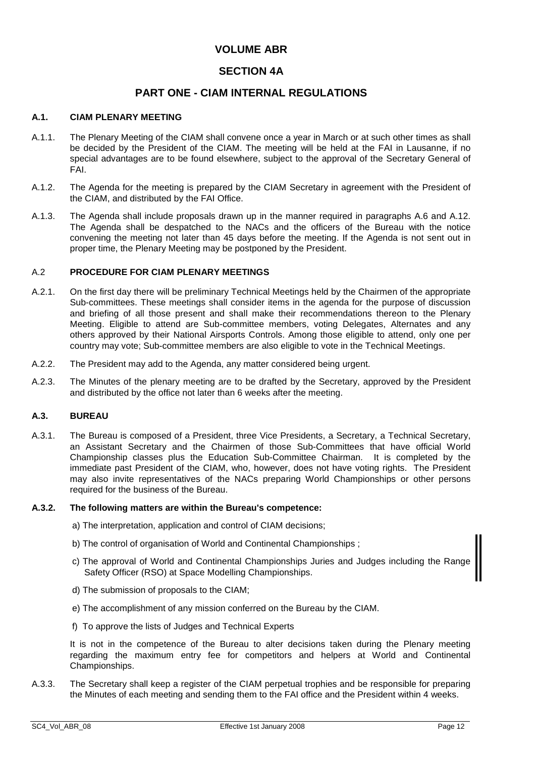# **VOLUME ABR**

# **SECTION 4A**

# **PART ONE - CIAM INTERNAL REGULATIONS**

#### **A.1. CIAM PLENARY MEETING**

- A.1.1. The Plenary Meeting of the CIAM shall convene once a year in March or at such other times as shall be decided by the President of the CIAM. The meeting will be held at the FAI in Lausanne, if no special advantages are to be found elsewhere, subject to the approval of the Secretary General of FAI.
- A.1.2. The Agenda for the meeting is prepared by the CIAM Secretary in agreement with the President of the CIAM, and distributed by the FAI Office.
- A.1.3. The Agenda shall include proposals drawn up in the manner required in paragraphs A.6 and A.12. The Agenda shall be despatched to the NACs and the officers of the Bureau with the notice convening the meeting not later than 45 days before the meeting. If the Agenda is not sent out in proper time, the Plenary Meeting may be postponed by the President.

# A.2 **PROCEDURE FOR CIAM PLENARY MEETINGS**

- A.2.1. On the first day there will be preliminary Technical Meetings held by the Chairmen of the appropriate Sub-committees. These meetings shall consider items in the agenda for the purpose of discussion and briefing of all those present and shall make their recommendations thereon to the Plenary Meeting. Eligible to attend are Sub-committee members, voting Delegates, Alternates and any others approved by their National Airsports Controls. Among those eligible to attend, only one per country may vote; Sub-committee members are also eligible to vote in the Technical Meetings.
- A.2.2. The President may add to the Agenda, any matter considered being urgent.
- A.2.3. The Minutes of the plenary meeting are to be drafted by the Secretary, approved by the President and distributed by the office not later than 6 weeks after the meeting.

# **A.3. BUREAU**

A.3.1. The Bureau is composed of a President, three Vice Presidents, a Secretary, a Technical Secretary, an Assistant Secretary and the Chairmen of those Sub-Committees that have official World Championship classes plus the Education Sub-Committee Chairman. It is completed by the immediate past President of the CIAM, who, however, does not have voting rights. The President may also invite representatives of the NACs preparing World Championships or other persons required for the business of the Bureau.

#### **A.3.2. The following matters are within the Bureau's competence:**

- a) The interpretation, application and control of CIAM decisions;
- b) The control of organisation of World and Continental Championships ;
- c) The approval of World and Continental Championships Juries and Judges including the Range Safety Officer (RSO) at Space Modelling Championships.
- d) The submission of proposals to the CIAM;
- e) The accomplishment of any mission conferred on the Bureau by the CIAM.
- f) To approve the lists of Judges and Technical Experts

It is not in the competence of the Bureau to alter decisions taken during the Plenary meeting regarding the maximum entry fee for competitors and helpers at World and Continental Championships.

A.3.3. The Secretary shall keep a register of the CIAM perpetual trophies and be responsible for preparing the Minutes of each meeting and sending them to the FAI office and the President within 4 weeks.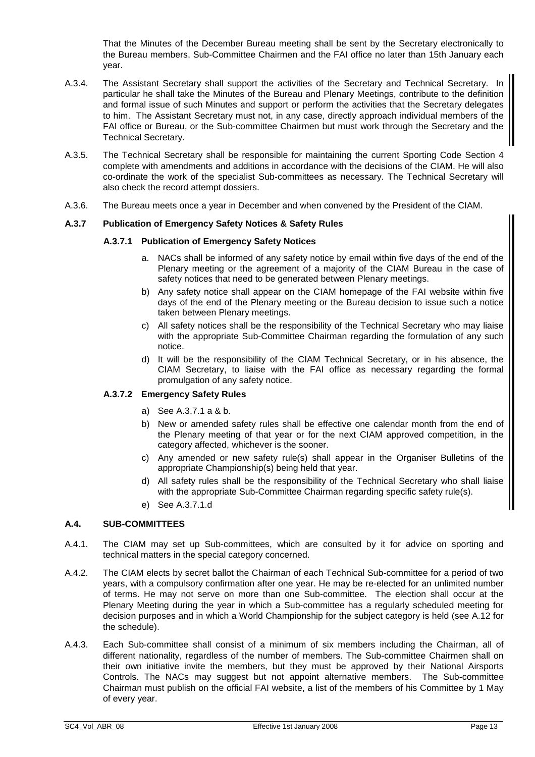That the Minutes of the December Bureau meeting shall be sent by the Secretary electronically to the Bureau members, Sub-Committee Chairmen and the FAI office no later than 15th January each year.

- A.3.4. The Assistant Secretary shall support the activities of the Secretary and Technical Secretary. In particular he shall take the Minutes of the Bureau and Plenary Meetings, contribute to the definition and formal issue of such Minutes and support or perform the activities that the Secretary delegates to him. The Assistant Secretary must not, in any case, directly approach individual members of the FAI office or Bureau, or the Sub-committee Chairmen but must work through the Secretary and the Technical Secretary.
- A.3.5. The Technical Secretary shall be responsible for maintaining the current Sporting Code Section 4 complete with amendments and additions in accordance with the decisions of the CIAM. He will also co-ordinate the work of the specialist Sub-committees as necessary. The Technical Secretary will also check the record attempt dossiers.
- A.3.6. The Bureau meets once a year in December and when convened by the President of the CIAM.

# **A.3.7 Publication of Emergency Safety Notices & Safety Rules**

# **A.3.7.1 Publication of Emergency Safety Notices**

- a. NACs shall be informed of any safety notice by email within five days of the end of the Plenary meeting or the agreement of a majority of the CIAM Bureau in the case of safety notices that need to be generated between Plenary meetings.
- b) Any safety notice shall appear on the CIAM homepage of the FAI website within five days of the end of the Plenary meeting or the Bureau decision to issue such a notice taken between Plenary meetings.
- c) All safety notices shall be the responsibility of the Technical Secretary who may liaise with the appropriate Sub-Committee Chairman regarding the formulation of any such notice.
- d) It will be the responsibility of the CIAM Technical Secretary, or in his absence, the CIAM Secretary, to liaise with the FAI office as necessary regarding the formal promulgation of any safety notice.

# **A.3.7.2 Emergency Safety Rules**

- a) See A.3.7.1 a & b.
- b) New or amended safety rules shall be effective one calendar month from the end of the Plenary meeting of that year or for the next CIAM approved competition, in the category affected, whichever is the sooner.
- c) Any amended or new safety rule(s) shall appear in the Organiser Bulletins of the appropriate Championship(s) being held that year.
- d) All safety rules shall be the responsibility of the Technical Secretary who shall liaise with the appropriate Sub-Committee Chairman regarding specific safety rule(s).
- e) See A.3.7.1.d

# **A.4. SUB-COMMITTEES**

- A.4.1. The CIAM may set up Sub-committees, which are consulted by it for advice on sporting and technical matters in the special category concerned.
- A.4.2. The CIAM elects by secret ballot the Chairman of each Technical Sub-committee for a period of two years, with a compulsory confirmation after one year. He may be re-elected for an unlimited number of terms. He may not serve on more than one Sub-committee. The election shall occur at the Plenary Meeting during the year in which a Sub-committee has a regularly scheduled meeting for decision purposes and in which a World Championship for the subject category is held (see A.12 for the schedule).
- A.4.3. Each Sub-committee shall consist of a minimum of six members including the Chairman, all of different nationality, regardless of the number of members. The Sub-committee Chairmen shall on their own initiative invite the members, but they must be approved by their National Airsports Controls. The NACs may suggest but not appoint alternative members. The Sub-committee Chairman must publish on the official FAI website, a list of the members of his Committee by 1 May of every year.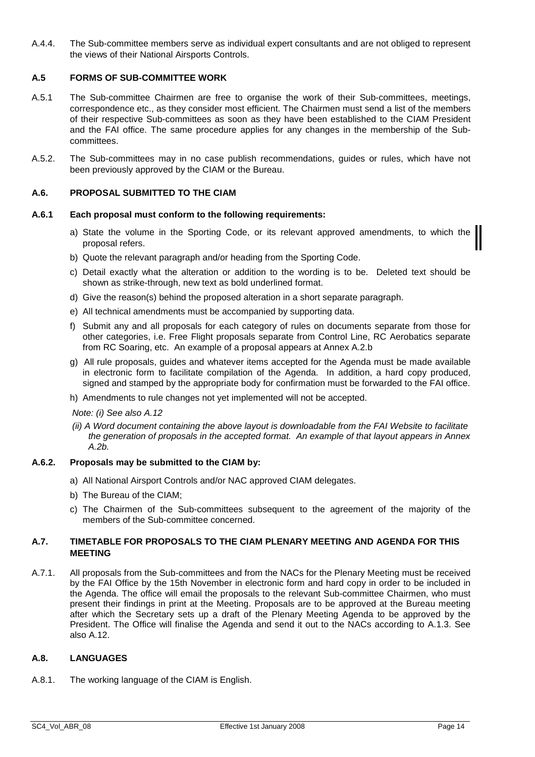A.4.4. The Sub-committee members serve as individual expert consultants and are not obliged to represent the views of their National Airsports Controls.

# **A.5 FORMS OF SUB-COMMITTEE WORK**

- A.5.1 The Sub-committee Chairmen are free to organise the work of their Sub-committees, meetings, correspondence etc., as they consider most efficient. The Chairmen must send a list of the members of their respective Sub-committees as soon as they have been established to the CIAM President and the FAI office. The same procedure applies for any changes in the membership of the Subcommittees.
- A.5.2. The Sub-committees may in no case publish recommendations, guides or rules, which have not been previously approved by the CIAM or the Bureau.

# **A.6. PROPOSAL SUBMITTED TO THE CIAM**

#### **A.6.1 Each proposal must conform to the following requirements:**

- a) State the volume in the Sporting Code, or its relevant approved amendments, to which the proposal refers.
- b) Quote the relevant paragraph and/or heading from the Sporting Code.
- c) Detail exactly what the alteration or addition to the wording is to be. Deleted text should be shown as strike-through, new text as bold underlined format.
- d) Give the reason(s) behind the proposed alteration in a short separate paragraph.
- e) All technical amendments must be accompanied by supporting data.
- f) Submit any and all proposals for each category of rules on documents separate from those for other categories, i.e. Free Flight proposals separate from Control Line, RC Aerobatics separate from RC Soaring, etc. An example of a proposal appears at Annex A.2.b
- g) All rule proposals, guides and whatever items accepted for the Agenda must be made available in electronic form to facilitate compilation of the Agenda. In addition, a hard copy produced, signed and stamped by the appropriate body for confirmation must be forwarded to the FAI office.
- h) Amendments to rule changes not yet implemented will not be accepted.

Note: (i) See also A.12

(ii) A Word document containing the above layout is downloadable from the FAI Website to facilitate the generation of proposals in the accepted format. An example of that layout appears in Annex A.2b.

# **A.6.2. Proposals may be submitted to the CIAM by:**

- a) All National Airsport Controls and/or NAC approved CIAM delegates.
- b) The Bureau of the CIAM;
- c) The Chairmen of the Sub-committees subsequent to the agreement of the majority of the members of the Sub-committee concerned.

# **A.7. TIMETABLE FOR PROPOSALS TO THE CIAM PLENARY MEETING AND AGENDA FOR THIS MEETING**

A.7.1. All proposals from the Sub-committees and from the NACs for the Plenary Meeting must be received by the FAI Office by the 15th November in electronic form and hard copy in order to be included in the Agenda. The office will email the proposals to the relevant Sub-committee Chairmen, who must present their findings in print at the Meeting. Proposals are to be approved at the Bureau meeting after which the Secretary sets up a draft of the Plenary Meeting Agenda to be approved by the President. The Office will finalise the Agenda and send it out to the NACs according to A.1.3. See also A.12.

# **A.8. LANGUAGES**

A.8.1. The working language of the CIAM is English.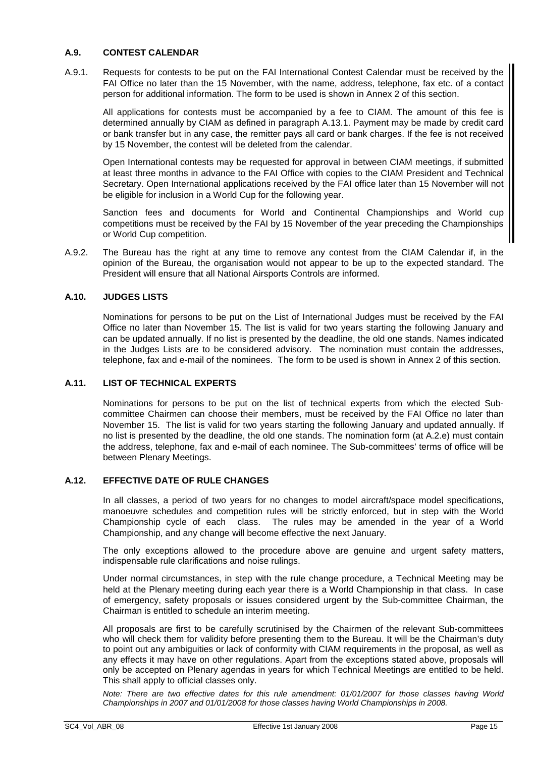# **A.9. CONTEST CALENDAR**

A.9.1. Requests for contests to be put on the FAI International Contest Calendar must be received by the FAI Office no later than the 15 November, with the name, address, telephone, fax etc. of a contact person for additional information. The form to be used is shown in Annex 2 of this section.

 All applications for contests must be accompanied by a fee to CIAM. The amount of this fee is determined annually by CIAM as defined in paragraph A.13.1. Payment may be made by credit card or bank transfer but in any case, the remitter pays all card or bank charges. If the fee is not received by 15 November, the contest will be deleted from the calendar.

 Open International contests may be requested for approval in between CIAM meetings, if submitted at least three months in advance to the FAI Office with copies to the CIAM President and Technical Secretary. Open International applications received by the FAI office later than 15 November will not be eligible for inclusion in a World Cup for the following year.

 Sanction fees and documents for World and Continental Championships and World cup competitions must be received by the FAI by 15 November of the year preceding the Championships or World Cup competition.

A.9.2. The Bureau has the right at any time to remove any contest from the CIAM Calendar if, in the opinion of the Bureau, the organisation would not appear to be up to the expected standard. The President will ensure that all National Airsports Controls are informed.

# **A.10. JUDGES LISTS**

Nominations for persons to be put on the List of International Judges must be received by the FAI Office no later than November 15. The list is valid for two years starting the following January and can be updated annually. If no list is presented by the deadline, the old one stands. Names indicated in the Judges Lists are to be considered advisory. The nomination must contain the addresses, telephone, fax and e-mail of the nominees. The form to be used is shown in Annex 2 of this section.

# **A.11. LIST OF TECHNICAL EXPERTS**

Nominations for persons to be put on the list of technical experts from which the elected Subcommittee Chairmen can choose their members, must be received by the FAI Office no later than November 15. The list is valid for two years starting the following January and updated annually. If no list is presented by the deadline, the old one stands. The nomination form (at A.2.e) must contain the address, telephone, fax and e-mail of each nominee. The Sub-committees' terms of office will be between Plenary Meetings.

# **A.12. EFFECTIVE DATE OF RULE CHANGES**

In all classes, a period of two years for no changes to model aircraft/space model specifications, manoeuvre schedules and competition rules will be strictly enforced, but in step with the World Championship cycle of each class. The rules may be amended in the year of a World Championship, and any change will become effective the next January.

The only exceptions allowed to the procedure above are genuine and urgent safety matters, indispensable rule clarifications and noise rulings.

Under normal circumstances, in step with the rule change procedure, a Technical Meeting may be held at the Plenary meeting during each year there is a World Championship in that class. In case of emergency, safety proposals or issues considered urgent by the Sub-committee Chairman, the Chairman is entitled to schedule an interim meeting.

All proposals are first to be carefully scrutinised by the Chairmen of the relevant Sub-committees who will check them for validity before presenting them to the Bureau. It will be the Chairman's duty to point out any ambiguities or lack of conformity with CIAM requirements in the proposal, as well as any effects it may have on other regulations. Apart from the exceptions stated above, proposals will only be accepted on Plenary agendas in years for which Technical Meetings are entitled to be held. This shall apply to official classes only.

Note: There are two effective dates for this rule amendment: 01/01/2007 for those classes having World Championships in 2007 and 01/01/2008 for those classes having World Championships in 2008.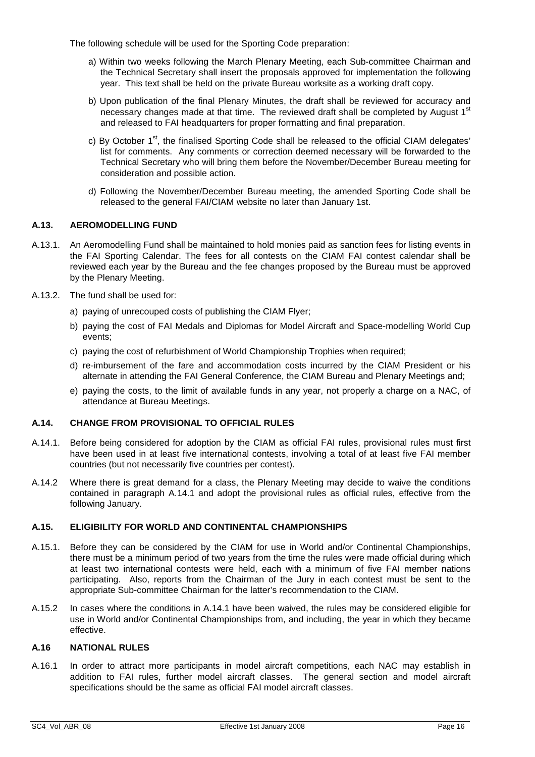The following schedule will be used for the Sporting Code preparation:

- a) Within two weeks following the March Plenary Meeting, each Sub-committee Chairman and the Technical Secretary shall insert the proposals approved for implementation the following year. This text shall be held on the private Bureau worksite as a working draft copy.
- b) Upon publication of the final Plenary Minutes, the draft shall be reviewed for accuracy and necessary changes made at that time. The reviewed draft shall be completed by August 1<sup>st</sup> and released to FAI headquarters for proper formatting and final preparation.
- c) Bv October 1<sup>st</sup>, the finalised Sporting Code shall be released to the official CIAM delegates' list for comments. Any comments or correction deemed necessary will be forwarded to the Technical Secretary who will bring them before the November/December Bureau meeting for consideration and possible action.
- d) Following the November/December Bureau meeting, the amended Sporting Code shall be released to the general FAI/CIAM website no later than January 1st.

# **A.13. AEROMODELLING FUND**

- A.13.1. An Aeromodelling Fund shall be maintained to hold monies paid as sanction fees for listing events in the FAI Sporting Calendar. The fees for all contests on the CIAM FAI contest calendar shall be reviewed each year by the Bureau and the fee changes proposed by the Bureau must be approved by the Plenary Meeting.
- A.13.2. The fund shall be used for:
	- a) paying of unrecouped costs of publishing the CIAM Flyer;
	- b) paying the cost of FAI Medals and Diplomas for Model Aircraft and Space-modelling World Cup events;
	- c) paying the cost of refurbishment of World Championship Trophies when required;
	- d) re-imbursement of the fare and accommodation costs incurred by the CIAM President or his alternate in attending the FAI General Conference, the CIAM Bureau and Plenary Meetings and;
	- e) paying the costs, to the limit of available funds in any year, not properly a charge on a NAC, of attendance at Bureau Meetings.

# **A.14. CHANGE FROM PROVISIONAL TO OFFICIAL RULES**

- A.14.1. Before being considered for adoption by the CIAM as official FAI rules, provisional rules must first have been used in at least five international contests, involving a total of at least five FAI member countries (but not necessarily five countries per contest).
- A.14.2 Where there is great demand for a class, the Plenary Meeting may decide to waive the conditions contained in paragraph A.14.1 and adopt the provisional rules as official rules, effective from the following January.

#### **A.15. ELIGIBILITY FOR WORLD AND CONTINENTAL CHAMPIONSHIPS**

- A.15.1. Before they can be considered by the CIAM for use in World and/or Continental Championships, there must be a minimum period of two years from the time the rules were made official during which at least two international contests were held, each with a minimum of five FAI member nations participating. Also, reports from the Chairman of the Jury in each contest must be sent to the appropriate Sub-committee Chairman for the latter's recommendation to the CIAM.
- A.15.2 In cases where the conditions in A.14.1 have been waived, the rules may be considered eligible for use in World and/or Continental Championships from, and including, the year in which they became effective.

# **A.16 NATIONAL RULES**

A.16.1 In order to attract more participants in model aircraft competitions, each NAC may establish in addition to FAI rules, further model aircraft classes. The general section and model aircraft specifications should be the same as official FAI model aircraft classes.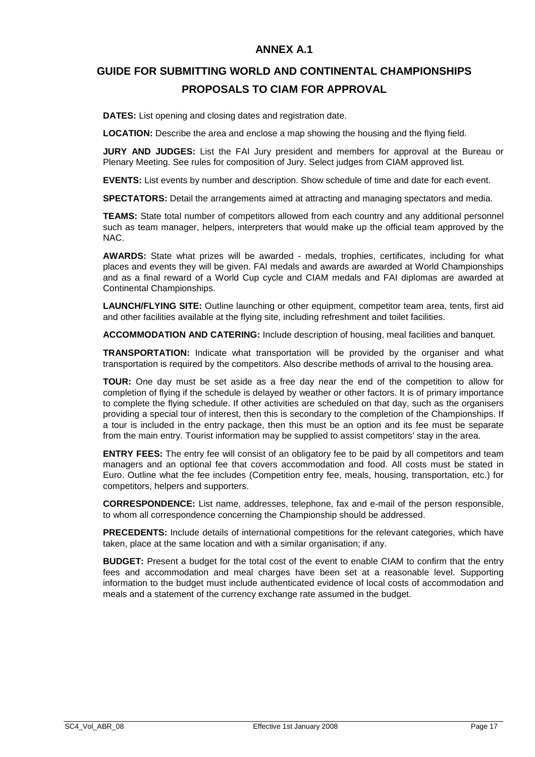# **ANNEX A.1**

# **GUIDE FOR SUBMITTING WORLD AND CONTINENTAL CHAMPIONSHIPS PROPOSALS TO CIAM FOR APPROVAL**

**DATES:** List opening and closing dates and registration date.

**LOCATION:** Describe the area and enclose a map showing the housing and the flying field.

**JURY AND JUDGES:** List the FAI Jury president and members for approval at the Bureau or Plenary Meeting. See rules for composition of Jury. Select judges from CIAM approved list.

**EVENTS:** List events by number and description. Show schedule of time and date for each event.

**SPECTATORS:** Detail the arrangements aimed at attracting and managing spectators and media.

**TEAMS:** State total number of competitors allowed from each country and any additional personnel such as team manager, helpers, interpreters that would make up the official team approved by the NAC.

**AWARDS:** State what prizes will be awarded - medals, trophies, certificates, including for what places and events they will be given. FAI medals and awards are awarded at World Championships and as a final reward of a World Cup cycle and CIAM medals and FAI diplomas are awarded at Continental Championships.

**LAUNCH/FLYING SITE:** Outline launching or other equipment, competitor team area, tents, first aid and other facilities available at the flying site, including refreshment and toilet facilities.

**ACCOMMODATION AND CATERING:** Include description of housing, meal facilities and banquet.

**TRANSPORTATION:** Indicate what transportation will be provided by the organiser and what transportation is required by the competitors. Also describe methods of arrival to the housing area.

**TOUR:** One day must be set aside as a free day near the end of the competition to allow for completion of flying if the schedule is delayed by weather or other factors. It is of primary importance to complete the flying schedule. If other activities are scheduled on that day, such as the organisers providing a special tour of interest, then this is secondary to the completion of the Championships. If a tour is included in the entry package, then this must be an option and its fee must be separate from the main entry. Tourist information may be supplied to assist competitors' stay in the area.

**ENTRY FEES:** The entry fee will consist of an obligatory fee to be paid by all competitors and team managers and an optional fee that covers accommodation and food. All costs must be stated in Euro. Outline what the fee includes (Competition entry fee, meals, housing, transportation, etc.) for competitors, helpers and supporters.

**CORRESPONDENCE:** List name, addresses, telephone, fax and e-mail of the person responsible, to whom all correspondence concerning the Championship should be addressed.

**PRECEDENTS:** Include details of international competitions for the relevant categories, which have taken, place at the same location and with a similar organisation; if any.

**BUDGET:** Present a budget for the total cost of the event to enable CIAM to confirm that the entry fees and accommodation and meal charges have been set at a reasonable level. Supporting information to the budget must include authenticated evidence of local costs of accommodation and meals and a statement of the currency exchange rate assumed in the budget.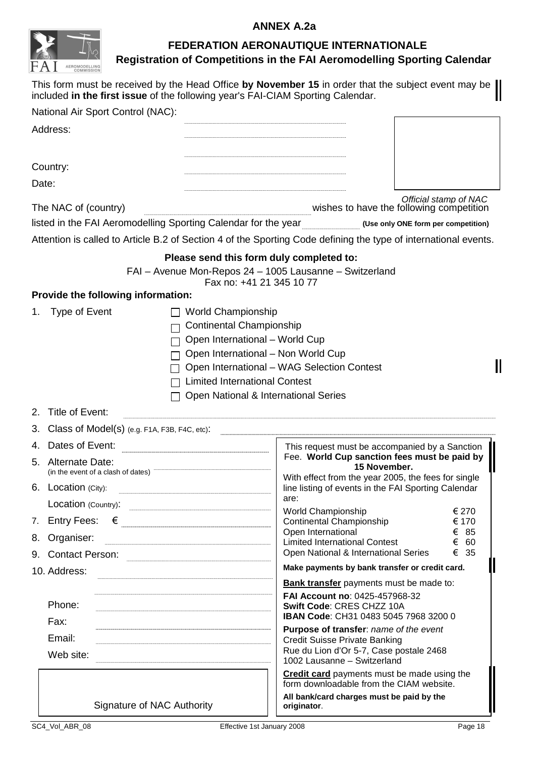# **ANNEX A.2a**



# **FEDERATION AERONAUTIQUE INTERNATIONALE Registration of Competitions in the FAI Aeromodelling Sporting Calendar**

|                                                            | This form must be received by the Head Office by November 15 in order that the subject event may be<br>included in the first issue of the following year's FAI-CIAM Sporting Calendar. |
|------------------------------------------------------------|----------------------------------------------------------------------------------------------------------------------------------------------------------------------------------------|
| National Air Sport Control (NAC):                          |                                                                                                                                                                                        |
| Address:                                                   |                                                                                                                                                                                        |
|                                                            |                                                                                                                                                                                        |
| Country:                                                   |                                                                                                                                                                                        |
| Date:                                                      |                                                                                                                                                                                        |
| The NAC of (country)                                       | Official stamp of NAC<br>wishes to have the following competition                                                                                                                      |
|                                                            | listed in the FAI Aeromodelling Sporting Calendar for the year (Use only ONE form per competition)                                                                                     |
|                                                            | Attention is called to Article B.2 of Section 4 of the Sporting Code defining the type of international events.                                                                        |
| Provide the following information:                         | Please send this form duly completed to:<br>FAI - Avenue Mon-Repos 24 - 1005 Lausanne - Switzerland<br>Fax no: +41 21 345 10 77                                                        |
| Type of Event                                              | <b>World Championship</b>                                                                                                                                                              |
|                                                            | <b>Continental Championship</b>                                                                                                                                                        |
|                                                            | Open International - World Cup                                                                                                                                                         |
|                                                            | Open International - Non World Cup                                                                                                                                                     |
|                                                            | Open International - WAG Selection Contest                                                                                                                                             |
|                                                            | <b>Limited International Contest</b><br>Open National & International Series                                                                                                           |
| 2. Title of Event:                                         |                                                                                                                                                                                        |
| Class of Model(s) (e.g. F1A, F3B, F4C, etc):<br>3.         |                                                                                                                                                                                        |
| Dates of Event:<br>4.                                      |                                                                                                                                                                                        |
| 5. Alternate Date:<br>(in the event of a clash of dates) " | This request must be accompanied by a Sanction<br>Fee. World Cup sanction fees must be paid by<br>15 November.                                                                         |
| 6. Location (City):                                        | With effect from the year 2005, the fees for single<br>line listing of events in the FAI Sporting Calendar                                                                             |
| Location (Country):                                        | are:                                                                                                                                                                                   |
| $\text{Entry Fees:}$ $\epsilon$<br>7.                      | World Championship<br>€ 270<br>Continental Championship<br>€ 170                                                                                                                       |
| Organiser:<br>8.                                           | Open International<br>€ 85<br><b>Limited International Contest</b><br>€ 60                                                                                                             |
| <b>Contact Person:</b><br>9.                               | Open National & International Series<br>€<br>- 35                                                                                                                                      |
| 10. Address:                                               | Make payments by bank transfer or credit card.                                                                                                                                         |
|                                                            | <b>Bank transfer</b> payments must be made to:                                                                                                                                         |
| Phone:                                                     | FAI Account no: 0425-457968-32<br>Swift Code: CRES CHZZ 10A<br>IBAN Code: CH31 0483 5045 7968 3200 0                                                                                   |
| Fax:                                                       | Purpose of transfer: name of the event                                                                                                                                                 |
| Email:<br>Web site:                                        | <b>Credit Suisse Private Banking</b><br>Rue du Lion d'Or 5-7, Case postale 2468<br>1002 Lausanne - Switzerland                                                                         |
|                                                            | <b>Credit card</b> payments must be made using the<br>form downloadable from the CIAM website.                                                                                         |
| Signature of NAC Authority                                 | All bank/card charges must be paid by the<br>originator.                                                                                                                               |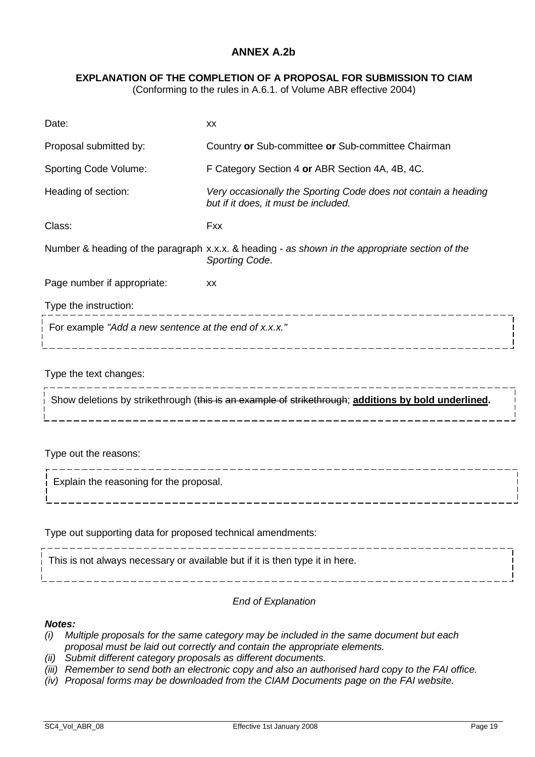# **ANNEX A.2b**

# **EXPLANATION OF THE COMPLETION OF A PROPOSAL FOR SUBMISSION TO CIAM**

(Conforming to the rules in A.6.1. of Volume ABR effective 2004)

| Date:                                                                        | XX                                                                                                                |  |
|------------------------------------------------------------------------------|-------------------------------------------------------------------------------------------------------------------|--|
| Proposal submitted by:                                                       | Country or Sub-committee or Sub-committee Chairman                                                                |  |
| <b>Sporting Code Volume:</b>                                                 | F Category Section 4 or ABR Section 4A, 4B, 4C.                                                                   |  |
| Heading of section:                                                          | Very occasionally the Sporting Code does not contain a heading<br>but if it does, it must be included.            |  |
| Class:                                                                       | <b>Fxx</b>                                                                                                        |  |
|                                                                              | Number & heading of the paragraph x.x.x. & heading - as shown in the appropriate section of the<br>Sporting Code. |  |
| Page number if appropriate:                                                  | XX                                                                                                                |  |
| Type the instruction:                                                        | _________________________                                                                                         |  |
| For example "Add a new sentence at the end of x.x.x."                        |                                                                                                                   |  |
| Type the text changes:<br>______________________                             | _________________________                                                                                         |  |
|                                                                              | Show deletions by strikethrough (this is an example of strikethrough; additions by bold underlined.               |  |
| Type out the reasons:<br>Explain the reasoning for the proposal.             |                                                                                                                   |  |
| Type out supporting data for proposed technical amendments:                  |                                                                                                                   |  |
| This is not always necessary or available but if it is then type it in here. |                                                                                                                   |  |

# End of Explanation

# **Notes:**

- (i) Multiple proposals for the same category may be included in the same document but each proposal must be laid out correctly and contain the appropriate elements.
- (ii) Submit different category proposals as different documents.
- (iii) Remember to send both an electronic copy and also an authorised hard copy to the FAI office.
- (iv) Proposal forms may be downloaded from the CIAM Documents page on the FAI website.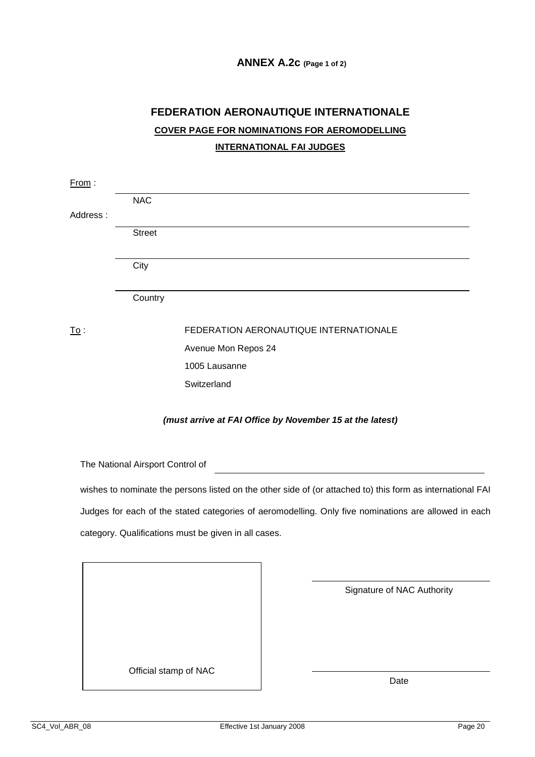# **ANNEX A.2c (Page 1 of 2)**

# **FEDERATION AERONAUTIQUE INTERNATIONALE COVER PAGE FOR NOMINATIONS FOR AEROMODELLING INTERNATIONAL FAI JUDGES**

| From:       |               |                                                          |
|-------------|---------------|----------------------------------------------------------|
|             | <b>NAC</b>    |                                                          |
| Address:    |               |                                                          |
|             | <b>Street</b> |                                                          |
|             | City          |                                                          |
|             | Country       |                                                          |
| <u>To</u> : |               | FEDERATION AERONAUTIQUE INTERNATIONALE                   |
|             |               | Avenue Mon Repos 24                                      |
|             |               | 1005 Lausanne                                            |
|             |               | Switzerland                                              |
|             |               | (must arrive at FAI Office by November 15 at the latest) |

The National Airsport Control of

wishes to nominate the persons listed on the other side of (or attached to) this form as international FAI Judges for each of the stated categories of aeromodelling. Only five nominations are allowed in each category. Qualifications must be given in all cases.

Signature of NAC Authority

Official stamp of NAC

Date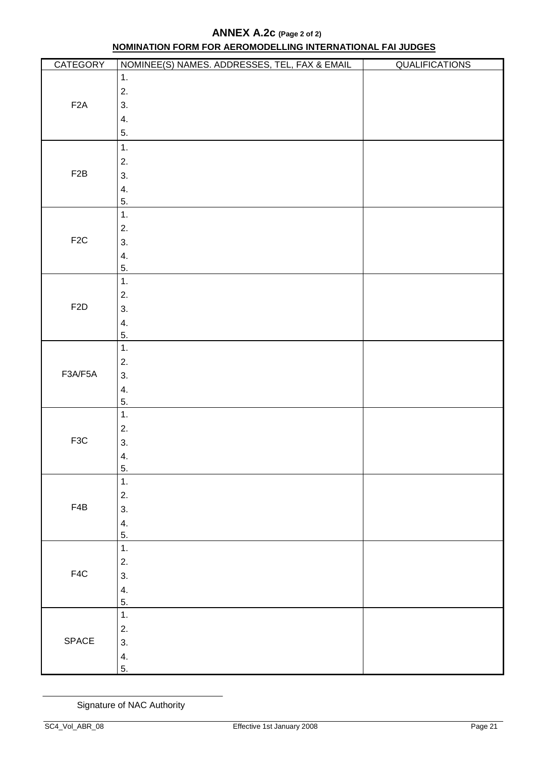| <b>CATEGORY</b>  | NOMINEE(S) NAMES. ADDRESSES, TEL, FAX & EMAIL | QUALIFICATIONS |
|------------------|-----------------------------------------------|----------------|
|                  | 1.                                            |                |
|                  | 2.                                            |                |
| ${\sf F2A}$      | 3.                                            |                |
|                  | 4.                                            |                |
|                  | 5.                                            |                |
|                  | 1.                                            |                |
|                  | 2.                                            |                |
| F <sub>2</sub> B | 3.                                            |                |
|                  | 4.                                            |                |
|                  | 5.                                            |                |
|                  | 1.                                            |                |
|                  | 2.                                            |                |
| ${\sf F2C}$      | 3.                                            |                |
|                  | 4.                                            |                |
|                  | 5.                                            |                |
|                  | 1.                                            |                |
|                  | 2.                                            |                |
| F <sub>2</sub> D | 3.                                            |                |
|                  | 4.                                            |                |
|                  | 5.                                            |                |
|                  | 1.                                            |                |
|                  | 2.                                            |                |
| F3A/F5A          | 3.                                            |                |
|                  | 4.                                            |                |
|                  | 5.                                            |                |
|                  | 1.                                            |                |
| ${\sf F3C}$      | 2.                                            |                |
|                  | 3.                                            |                |
|                  | 4.<br>5.                                      |                |
|                  | 1.                                            |                |
|                  | 2.                                            |                |
| F4B              | 3.                                            |                |
|                  | 4.                                            |                |
|                  | 5.                                            |                |
|                  | 1.                                            |                |
|                  | 2.                                            |                |
| ${\sf F4C}$      | 3.                                            |                |
|                  | 4.                                            |                |
|                  | 5.                                            |                |
|                  | $\overline{1}$ .                              |                |
|                  | 2.                                            |                |
| SPACE            | 3.                                            |                |
|                  | 4.                                            |                |
|                  | 5.                                            |                |

# **NOMINATION FORM FOR AEROMODELLING INTERNATIONAL FAI JUDGES ANNEX A.2c (Page 2 of 2)**

Signature of NAC Authority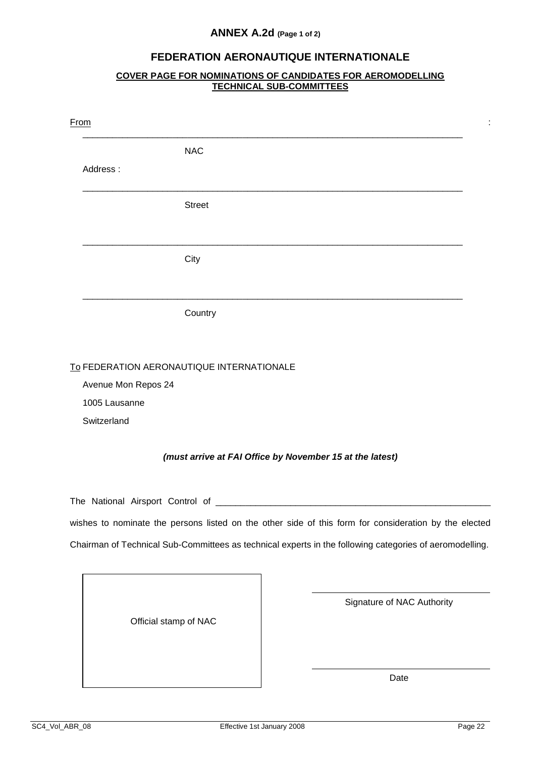# **ANNEX A.2d (Page 1 of 2)**

# **FEDERATION AERONAUTIQUE INTERNATIONALE**

# **COVER PAGE FOR NOMINATIONS OF CANDIDATES FOR AEROMODELLING TECHNICAL SUB-COMMITTEES**

| <b>From</b>         |                                           |  |
|---------------------|-------------------------------------------|--|
|                     | <b>NAC</b>                                |  |
| Address:            |                                           |  |
|                     | Street                                    |  |
|                     |                                           |  |
|                     | City                                      |  |
|                     |                                           |  |
|                     | Country                                   |  |
|                     |                                           |  |
|                     | To FEDERATION AERONAUTIQUE INTERNATIONALE |  |
| Avenue Mon Repos 24 |                                           |  |
| 1005 Lausanne       |                                           |  |
| Switzerland         |                                           |  |

# **(must arrive at FAI Office by November 15 at the latest)**

The National Airsport Control of

wishes to nominate the persons listed on the other side of this form for consideration by the elected Chairman of Technical Sub-Committees as technical experts in the following categories of aeromodelling.

Official stamp of NAC

Signature of NAC Authority

Date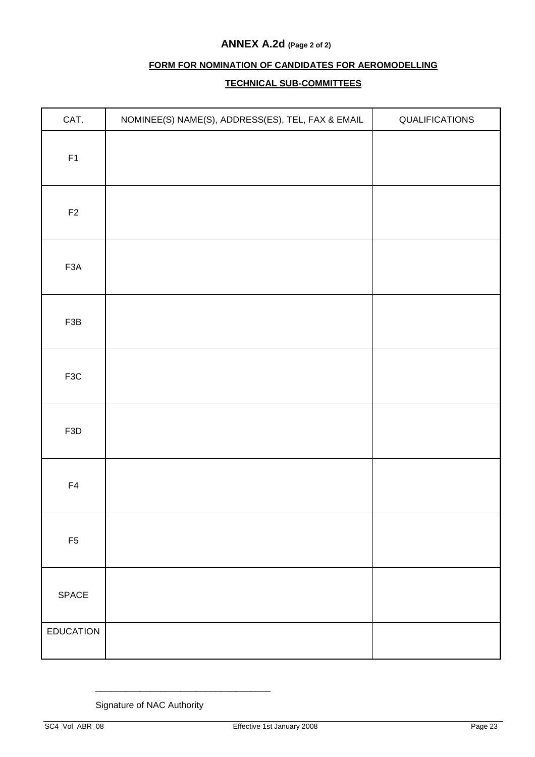# **ANNEX A.2d (Page 2 of 2)**

# **FORM FOR NOMINATION OF CANDIDATES FOR AEROMODELLING**

## **TECHNICAL SUB-COMMITTEES**

| CAT.                          | NOMINEE(S) NAME(S), ADDRESS(ES), TEL, FAX & EMAIL | QUALIFICATIONS |
|-------------------------------|---------------------------------------------------|----------------|
| ${\sf F1}$                    |                                                   |                |
| $\mathsf{F2}$                 |                                                   |                |
| F <sub>3</sub> A              |                                                   |                |
| F3B                           |                                                   |                |
| F <sub>3</sub> C              |                                                   |                |
| F3D                           |                                                   |                |
| ${\sf F4}$                    |                                                   |                |
| ${\sf F5}$                    |                                                   |                |
| $\ensuremath{\mathsf{SPACE}}$ |                                                   |                |
| <b>EDUCATION</b>              |                                                   |                |

Signature of NAC Authority

 $\frac{1}{\sqrt{2}}$  ,  $\frac{1}{\sqrt{2}}$  ,  $\frac{1}{\sqrt{2}}$  ,  $\frac{1}{\sqrt{2}}$  ,  $\frac{1}{\sqrt{2}}$  ,  $\frac{1}{\sqrt{2}}$  ,  $\frac{1}{\sqrt{2}}$  ,  $\frac{1}{\sqrt{2}}$  ,  $\frac{1}{\sqrt{2}}$  ,  $\frac{1}{\sqrt{2}}$  ,  $\frac{1}{\sqrt{2}}$  ,  $\frac{1}{\sqrt{2}}$  ,  $\frac{1}{\sqrt{2}}$  ,  $\frac{1}{\sqrt{2}}$  ,  $\frac{1}{\sqrt{2}}$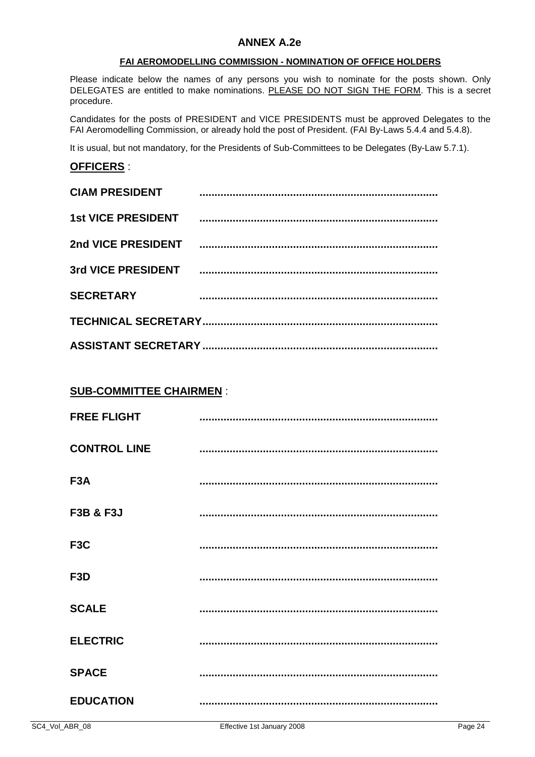# **ANNEX A.2e**

# **FAI AEROMODELLING COMMISSION - NOMINATION OF OFFICE HOLDERS**

Please indicate below the names of any persons you wish to nominate for the posts shown. Only DELEGATES are entitled to make nominations. PLEASE DO NOT SIGN THE FORM. This is a secret procedure.

Candidates for the posts of PRESIDENT and VICE PRESIDENTS must be approved Delegates to the FAI Aeromodelling Commission, or already hold the post of President. (FAI By-Laws 5.4.4 and 5.4.8).

It is usual, but not mandatory, for the Presidents of Sub-Committees to be Delegates (By-Law 5.7.1).

# **OFFICERS** :

| <b>CIAM PRESIDENT</b>     |  |  |  |
|---------------------------|--|--|--|
| <b>1st VICE PRESIDENT</b> |  |  |  |
| 2nd VICE PRESIDENT        |  |  |  |
| 3rd VICE PRESIDENT        |  |  |  |
| <b>SECRETARY</b>          |  |  |  |
|                           |  |  |  |
|                           |  |  |  |

# **SUB-COMMITTEE CHAIRMEN** :

| <b>FREE FLIGHT</b>   |  |
|----------------------|--|
| <b>CONTROL LINE</b>  |  |
| F <sub>3</sub> A     |  |
| <b>F3B &amp; F3J</b> |  |
| F <sub>3</sub> C     |  |
| F <sub>3</sub> D     |  |
| <b>SCALE</b>         |  |
| <b>ELECTRIC</b>      |  |
| <b>SPACE</b>         |  |
| <b>EDUCATION</b>     |  |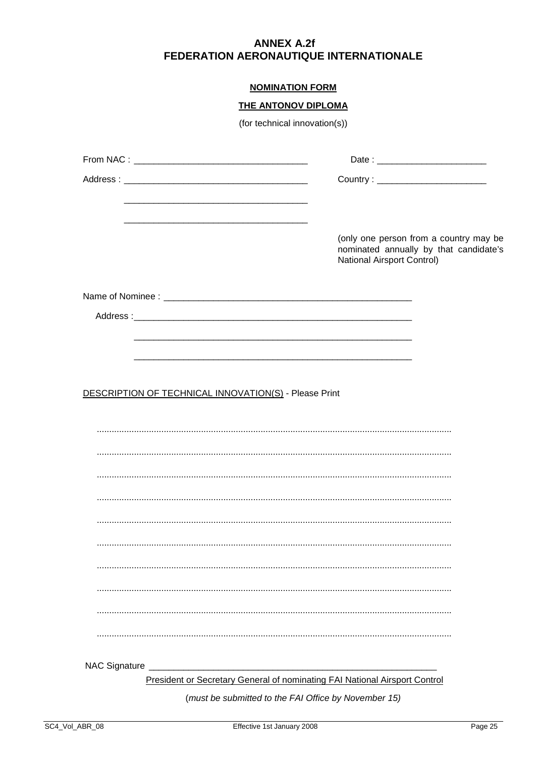# **ANNEX A.2f** FEDERATION AERONAUTIQUE INTERNATIONALE

# **NOMINATION FORM**

## THE ANTONOV DIPLOMA

(for technical innovation(s))

|                                                              | Country : ____________________________                                                                                             |
|--------------------------------------------------------------|------------------------------------------------------------------------------------------------------------------------------------|
|                                                              | (only one person from a country may be<br>nominated annually by that candidate's<br><b>National Airsport Control)</b>              |
|                                                              |                                                                                                                                    |
|                                                              |                                                                                                                                    |
|                                                              |                                                                                                                                    |
|                                                              |                                                                                                                                    |
| <b>DESCRIPTION OF TECHNICAL INNOVATION(S) - Please Print</b> |                                                                                                                                    |
|                                                              |                                                                                                                                    |
|                                                              |                                                                                                                                    |
|                                                              |                                                                                                                                    |
|                                                              |                                                                                                                                    |
|                                                              |                                                                                                                                    |
|                                                              |                                                                                                                                    |
|                                                              |                                                                                                                                    |
|                                                              |                                                                                                                                    |
|                                                              |                                                                                                                                    |
|                                                              |                                                                                                                                    |
| NAC Signature ________                                       | <u> 2000 - Jan Barnett, fransk politik (d. 1982)</u><br>President or Secretary General of nominating FAI National Airsport Control |
|                                                              | (must be submitted to the FAI Office by November 15)                                                                               |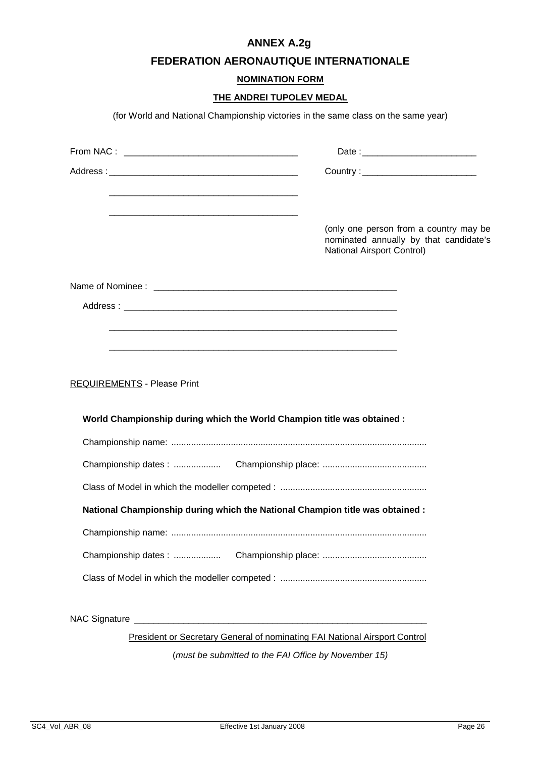# **ANNEX A.2g**

# **FEDERATION AERONAUTIQUE INTERNATIONALE**

#### **NOMINATION FORM**

# **THE ANDREI TUPOLEV MEDAL**

(for World and National Championship victories in the same class on the same year)

| Country : ____________________________                                                                                |
|-----------------------------------------------------------------------------------------------------------------------|
|                                                                                                                       |
|                                                                                                                       |
| (only one person from a country may be<br>nominated annually by that candidate's<br><b>National Airsport Control)</b> |
|                                                                                                                       |
|                                                                                                                       |
|                                                                                                                       |
|                                                                                                                       |
|                                                                                                                       |
|                                                                                                                       |
| World Championship during which the World Champion title was obtained :                                               |
|                                                                                                                       |
|                                                                                                                       |
|                                                                                                                       |
| National Championship during which the National Champion title was obtained :                                         |
|                                                                                                                       |
| Championship dates:                                                                                                   |
|                                                                                                                       |
|                                                                                                                       |
|                                                                                                                       |

NAC Signature \_\_\_\_\_

 President or Secretary General of nominating FAI National Airsport Control (must be submitted to the FAI Office by November 15)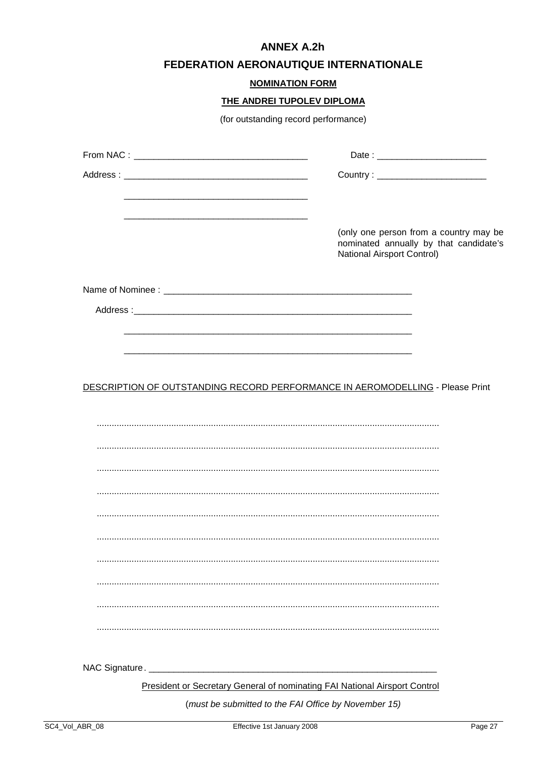# **ANNEX A.2h**

# **FEDERATION AERONAUTIQUE INTERNATIONALE**

# **NOMINATION FORM**

# THE ANDREI TUPOLEV DIPLOMA

(for outstanding record performance)

| Country : ________________________________                                                                                                |
|-------------------------------------------------------------------------------------------------------------------------------------------|
| (only one person from a country may be                                                                                                    |
| nominated annually by that candidate's<br><b>National Airsport Control)</b>                                                               |
|                                                                                                                                           |
|                                                                                                                                           |
|                                                                                                                                           |
|                                                                                                                                           |
| DESCRIPTION OF OUTSTANDING RECORD PERFORMANCE IN AEROMODELLING - Please Print                                                             |
|                                                                                                                                           |
|                                                                                                                                           |
|                                                                                                                                           |
|                                                                                                                                           |
|                                                                                                                                           |
|                                                                                                                                           |
|                                                                                                                                           |
|                                                                                                                                           |
|                                                                                                                                           |
|                                                                                                                                           |
|                                                                                                                                           |
|                                                                                                                                           |
| <b>President or Secretary General of nominating FAI National Airsport Control</b><br>(must be submitted to the FAI Office by November 15) |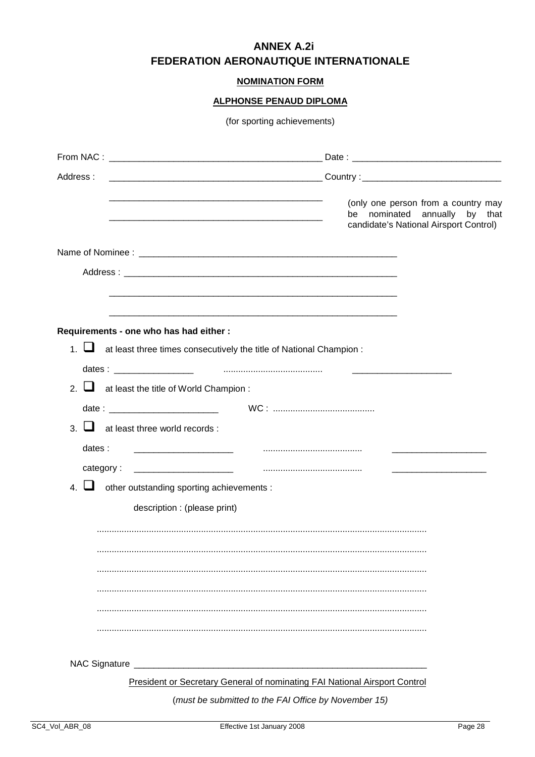# **ANNEX A.2i** FEDERATION AERONAUTIQUE INTERNATIONALE

# **NOMINATION FORM**

### **ALPHONSE PENAUD DIPLOMA**

(for sporting achievements)

| Address:                                                                 | <b>Country</b> : Country: Country: Country: Country: Country: Country: Country: Country: Country: Country: Country: Country: Country: Country: Country: Country: Country: Country: Country: Country: Country: Country: Country: Coun |
|--------------------------------------------------------------------------|--------------------------------------------------------------------------------------------------------------------------------------------------------------------------------------------------------------------------------------|
|                                                                          | (only one person from a country may<br>be nominated annually<br>by that<br>candidate's National Airsport Control)                                                                                                                    |
|                                                                          |                                                                                                                                                                                                                                      |
|                                                                          |                                                                                                                                                                                                                                      |
|                                                                          |                                                                                                                                                                                                                                      |
| Requirements - one who has had either :                                  |                                                                                                                                                                                                                                      |
| 1. I at least three times consecutively the title of National Champion : |                                                                                                                                                                                                                                      |
|                                                                          |                                                                                                                                                                                                                                      |
| 2. $\Box$ at least the title of World Champion :                         |                                                                                                                                                                                                                                      |
|                                                                          |                                                                                                                                                                                                                                      |
| 3. $\Box$ at least three world records :                                 |                                                                                                                                                                                                                                      |
| dates:                                                                   |                                                                                                                                                                                                                                      |
|                                                                          |                                                                                                                                                                                                                                      |
| 4. $\Box$ other outstanding sporting achievements :                      |                                                                                                                                                                                                                                      |
| description : (please print)                                             |                                                                                                                                                                                                                                      |
|                                                                          |                                                                                                                                                                                                                                      |
|                                                                          |                                                                                                                                                                                                                                      |
|                                                                          |                                                                                                                                                                                                                                      |
|                                                                          |                                                                                                                                                                                                                                      |
|                                                                          |                                                                                                                                                                                                                                      |
|                                                                          |                                                                                                                                                                                                                                      |
|                                                                          |                                                                                                                                                                                                                                      |
|                                                                          |                                                                                                                                                                                                                                      |
|                                                                          | President or Secretary General of nominating FAI National Airsport Control                                                                                                                                                           |

(must be submitted to the FAI Office by November 15)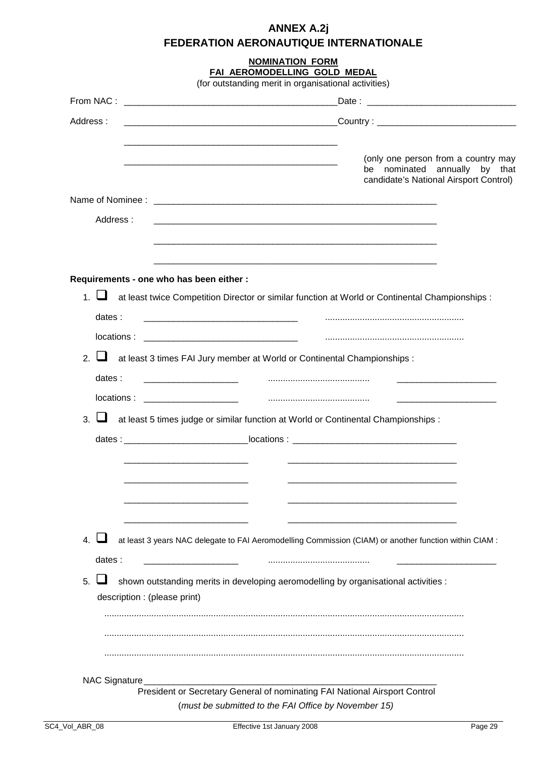# **FEDERATION AERONAUTIQUE INTERNATIONALE ANNEX A.2j**

# **NOMINATION FORM**

| Address: |             |                                                                                                        |                                                                                                                       |
|----------|-------------|--------------------------------------------------------------------------------------------------------|-----------------------------------------------------------------------------------------------------------------------|
|          |             |                                                                                                        |                                                                                                                       |
|          |             |                                                                                                        | (only one person from a country may<br>be nominated annually by that<br>candidate's National Airsport Control)        |
|          |             |                                                                                                        |                                                                                                                       |
|          | Address:    |                                                                                                        |                                                                                                                       |
|          |             |                                                                                                        |                                                                                                                       |
|          |             |                                                                                                        |                                                                                                                       |
|          |             | Requirements - one who has been either :                                                               |                                                                                                                       |
|          | 1 ⊔         | at least twice Competition Director or similar function at World or Continental Championships :        |                                                                                                                       |
|          | dates:      |                                                                                                        |                                                                                                                       |
|          |             |                                                                                                        |                                                                                                                       |
|          |             | 2. I at least 3 times FAI Jury member at World or Continental Championships :                          |                                                                                                                       |
|          | dates:      |                                                                                                        |                                                                                                                       |
|          |             |                                                                                                        | <u> 1989 - Johann Harry Harry Harry Harry Harry Harry Harry Harry Harry Harry Harry Harry Harry Harry Harry Harry</u> |
|          | $3.$ $\Box$ | at least 5 times judge or similar function at World or Continental Championships :                     |                                                                                                                       |
|          |             |                                                                                                        |                                                                                                                       |
|          |             |                                                                                                        |                                                                                                                       |
|          |             |                                                                                                        |                                                                                                                       |
|          |             |                                                                                                        |                                                                                                                       |
|          |             |                                                                                                        |                                                                                                                       |
| 4        |             | at least 3 years NAC delegate to FAI Aeromodelling Commission (CIAM) or another function within CIAM : |                                                                                                                       |
|          | dates:      |                                                                                                        |                                                                                                                       |
| 5.       |             | shown outstanding merits in developing aeromodelling by organisational activities :                    |                                                                                                                       |
|          |             | description : (please print)                                                                           |                                                                                                                       |
|          |             |                                                                                                        |                                                                                                                       |
|          |             |                                                                                                        |                                                                                                                       |
|          |             |                                                                                                        |                                                                                                                       |
|          |             |                                                                                                        |                                                                                                                       |
|          |             | NAC Signature<br>President or Secretary General of nominating FAI National Airsport Control            |                                                                                                                       |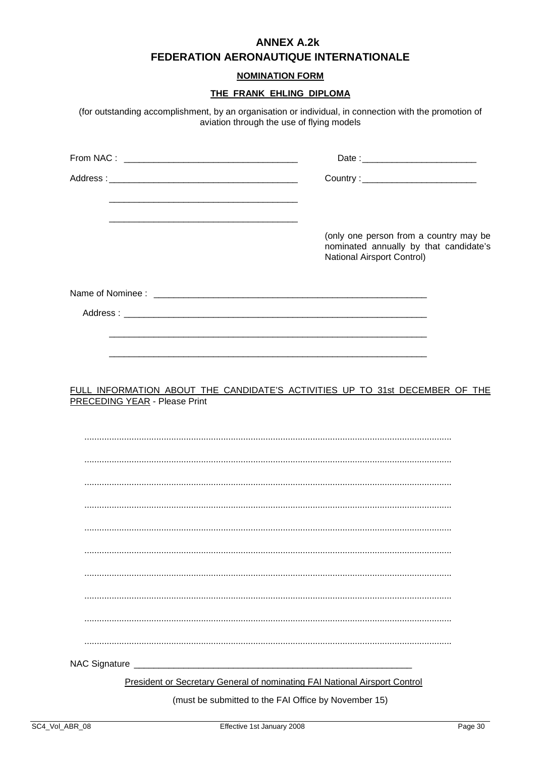# **ANNEX A.2k** FEDERATION AERONAUTIQUE INTERNATIONALE

# **NOMINATION FORM**

# THE FRANK EHLING DIPLOMA

| (for outstanding accomplishment, by an organisation or individual, in connection with the promotion of |
|--------------------------------------------------------------------------------------------------------|
| aviation through the use of flying models                                                              |

|                                                                                                                      | Country : _______________________________                                                                             |
|----------------------------------------------------------------------------------------------------------------------|-----------------------------------------------------------------------------------------------------------------------|
| <u> 1989 - Johann Barbara, martxa alemaniar argumento de la contrada de la contrada de la contrada de la contrad</u> |                                                                                                                       |
|                                                                                                                      |                                                                                                                       |
|                                                                                                                      | (only one person from a country may be<br>nominated annually by that candidate's<br><b>National Airsport Control)</b> |
|                                                                                                                      |                                                                                                                       |
|                                                                                                                      |                                                                                                                       |
|                                                                                                                      |                                                                                                                       |
|                                                                                                                      |                                                                                                                       |
|                                                                                                                      |                                                                                                                       |
| <b>PRECEDING YEAR - Please Print</b>                                                                                 | FULL INFORMATION ABOUT THE CANDIDATE'S ACTIVITIES UP TO 31st DECEMBER OF THE                                          |
|                                                                                                                      |                                                                                                                       |
|                                                                                                                      |                                                                                                                       |
|                                                                                                                      |                                                                                                                       |
|                                                                                                                      |                                                                                                                       |
|                                                                                                                      |                                                                                                                       |
|                                                                                                                      |                                                                                                                       |
|                                                                                                                      |                                                                                                                       |
|                                                                                                                      |                                                                                                                       |
|                                                                                                                      |                                                                                                                       |
|                                                                                                                      |                                                                                                                       |
|                                                                                                                      |                                                                                                                       |
|                                                                                                                      |                                                                                                                       |
| President or Secretary General of nominating FAI National Airsport Control                                           |                                                                                                                       |
|                                                                                                                      | (must be submitted to the FAI Office by November 15)                                                                  |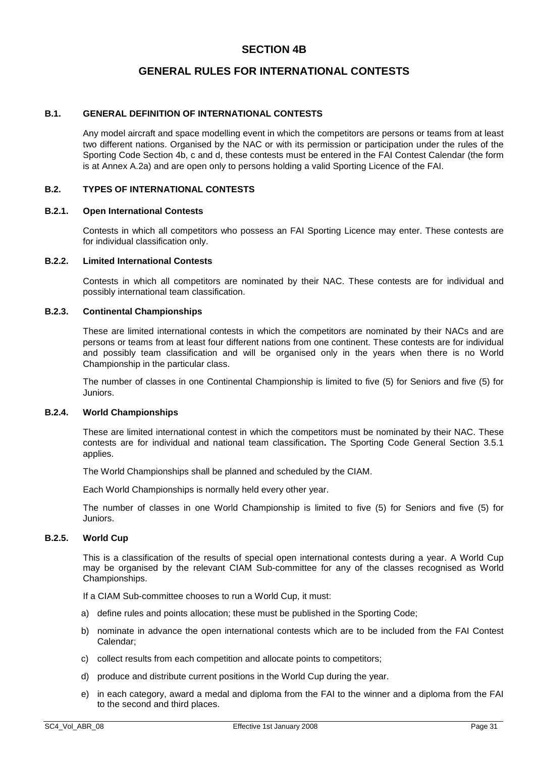# **SECTION 4B**

# **GENERAL RULES FOR INTERNATIONAL CONTESTS**

# **B.1. GENERAL DEFINITION OF INTERNATIONAL CONTESTS**

Any model aircraft and space modelling event in which the competitors are persons or teams from at least two different nations. Organised by the NAC or with its permission or participation under the rules of the Sporting Code Section 4b, c and d, these contests must be entered in the FAI Contest Calendar (the form is at Annex A.2a) and are open only to persons holding a valid Sporting Licence of the FAI.

#### **B.2. TYPES OF INTERNATIONAL CONTESTS**

# **B.2.1. Open International Contests**

Contests in which all competitors who possess an FAI Sporting Licence may enter. These contests are for individual classification only.

## **B.2.2. Limited International Contests**

Contests in which all competitors are nominated by their NAC. These contests are for individual and possibly international team classification.

#### **B.2.3. Continental Championships**

These are limited international contests in which the competitors are nominated by their NACs and are persons or teams from at least four different nations from one continent. These contests are for individual and possibly team classification and will be organised only in the years when there is no World Championship in the particular class.

The number of classes in one Continental Championship is limited to five (5) for Seniors and five (5) for Juniors.

#### **B.2.4. World Championships**

These are limited international contest in which the competitors must be nominated by their NAC. These contests are for individual and national team classification**.** The Sporting Code General Section 3.5.1 applies.

The World Championships shall be planned and scheduled by the CIAM.

Each World Championships is normally held every other year.

The number of classes in one World Championship is limited to five (5) for Seniors and five (5) for Juniors.

# **B.2.5. World Cup**

This is a classification of the results of special open international contests during a year. A World Cup may be organised by the relevant CIAM Sub-committee for any of the classes recognised as World Championships.

If a CIAM Sub-committee chooses to run a World Cup, it must:

- a) define rules and points allocation; these must be published in the Sporting Code;
- b) nominate in advance the open international contests which are to be included from the FAI Contest Calendar;
- c) collect results from each competition and allocate points to competitors;
- d) produce and distribute current positions in the World Cup during the year.
- e) in each category, award a medal and diploma from the FAI to the winner and a diploma from the FAI to the second and third places.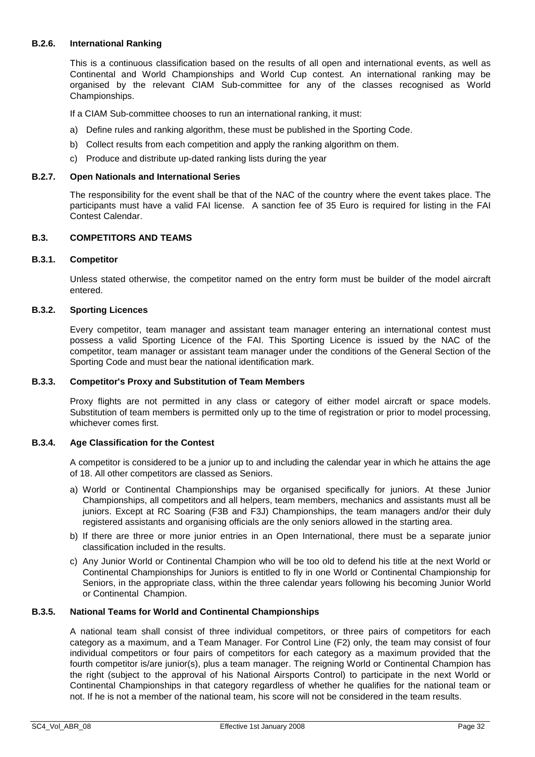# **B.2.6. International Ranking**

This is a continuous classification based on the results of all open and international events, as well as Continental and World Championships and World Cup contest. An international ranking may be organised by the relevant CIAM Sub-committee for any of the classes recognised as World Championships.

If a CIAM Sub-committee chooses to run an international ranking, it must:

- a) Define rules and ranking algorithm, these must be published in the Sporting Code.
- b) Collect results from each competition and apply the ranking algorithm on them.
- c) Produce and distribute up-dated ranking lists during the year

#### **B.2.7. Open Nationals and International Series**

The responsibility for the event shall be that of the NAC of the country where the event takes place. The participants must have a valid FAI license. A sanction fee of 35 Euro is required for listing in the FAI Contest Calendar.

#### **B.3. COMPETITORS AND TEAMS**

#### **B.3.1. Competitor**

Unless stated otherwise, the competitor named on the entry form must be builder of the model aircraft entered.

# **B.3.2. Sporting Licences**

Every competitor, team manager and assistant team manager entering an international contest must possess a valid Sporting Licence of the FAI. This Sporting Licence is issued by the NAC of the competitor, team manager or assistant team manager under the conditions of the General Section of the Sporting Code and must bear the national identification mark.

#### **B.3.3. Competitor's Proxy and Substitution of Team Members**

Proxy flights are not permitted in any class or category of either model aircraft or space models. Substitution of team members is permitted only up to the time of registration or prior to model processing, whichever comes first.

#### **B.3.4. Age Classification for the Contest**

A competitor is considered to be a junior up to and including the calendar year in which he attains the age of 18. All other competitors are classed as Seniors.

- a) World or Continental Championships may be organised specifically for juniors. At these Junior Championships, all competitors and all helpers, team members, mechanics and assistants must all be juniors. Except at RC Soaring (F3B and F3J) Championships, the team managers and/or their duly registered assistants and organising officials are the only seniors allowed in the starting area.
- b) If there are three or more junior entries in an Open International, there must be a separate junior classification included in the results.
- c) Any Junior World or Continental Champion who will be too old to defend his title at the next World or Continental Championships for Juniors is entitled to fly in one World or Continental Championship for Seniors, in the appropriate class, within the three calendar years following his becoming Junior World or Continental Champion.

# **B.3.5. National Teams for World and Continental Championships**

A national team shall consist of three individual competitors, or three pairs of competitors for each category as a maximum, and a Team Manager. For Control Line (F2) only, the team may consist of four individual competitors or four pairs of competitors for each category as a maximum provided that the fourth competitor is/are junior(s), plus a team manager. The reigning World or Continental Champion has the right (subject to the approval of his National Airsports Control) to participate in the next World or Continental Championships in that category regardless of whether he qualifies for the national team or not. If he is not a member of the national team, his score will not be considered in the team results.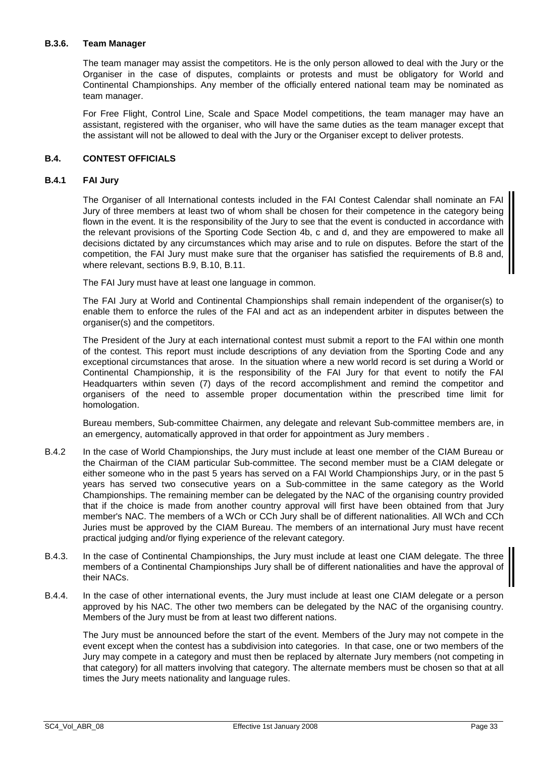## **B.3.6. Team Manager**

The team manager may assist the competitors. He is the only person allowed to deal with the Jury or the Organiser in the case of disputes, complaints or protests and must be obligatory for World and Continental Championships. Any member of the officially entered national team may be nominated as team manager.

For Free Flight, Control Line, Scale and Space Model competitions, the team manager may have an assistant, registered with the organiser, who will have the same duties as the team manager except that the assistant will not be allowed to deal with the Jury or the Organiser except to deliver protests.

## **B.4. CONTEST OFFICIALS**

#### **B.4.1 FAI Jury**

The Organiser of all International contests included in the FAI Contest Calendar shall nominate an FAI Jury of three members at least two of whom shall be chosen for their competence in the category being flown in the event. It is the responsibility of the Jury to see that the event is conducted in accordance with the relevant provisions of the Sporting Code Section 4b, c and d, and they are empowered to make all decisions dictated by any circumstances which may arise and to rule on disputes. Before the start of the competition, the FAI Jury must make sure that the organiser has satisfied the requirements of B.8 and, where relevant, sections B.9, B.10, B.11.

The FAI Jury must have at least one language in common.

The FAI Jury at World and Continental Championships shall remain independent of the organiser(s) to enable them to enforce the rules of the FAI and act as an independent arbiter in disputes between the organiser(s) and the competitors.

The President of the Jury at each international contest must submit a report to the FAI within one month of the contest. This report must include descriptions of any deviation from the Sporting Code and any exceptional circumstances that arose. In the situation where a new world record is set during a World or Continental Championship, it is the responsibility of the FAI Jury for that event to notify the FAI Headquarters within seven (7) days of the record accomplishment and remind the competitor and organisers of the need to assemble proper documentation within the prescribed time limit for homologation.

Bureau members, Sub-committee Chairmen, any delegate and relevant Sub-committee members are, in an emergency, automatically approved in that order for appointment as Jury members .

- B.4.2 In the case of World Championships, the Jury must include at least one member of the CIAM Bureau or the Chairman of the CIAM particular Sub-committee. The second member must be a CIAM delegate or either someone who in the past 5 years has served on a FAI World Championships Jury, or in the past 5 years has served two consecutive years on a Sub-committee in the same category as the World Championships. The remaining member can be delegated by the NAC of the organising country provided that if the choice is made from another country approval will first have been obtained from that Jury member's NAC. The members of a WCh or CCh Jury shall be of different nationalities. All WCh and CCh Juries must be approved by the CIAM Bureau. The members of an international Jury must have recent practical judging and/or flying experience of the relevant category.
- B.4.3. In the case of Continental Championships, the Jury must include at least one CIAM delegate. The three members of a Continental Championships Jury shall be of different nationalities and have the approval of their NACs.
- B.4.4. In the case of other international events, the Jury must include at least one CIAM delegate or a person approved by his NAC. The other two members can be delegated by the NAC of the organising country. Members of the Jury must be from at least two different nations.

The Jury must be announced before the start of the event. Members of the Jury may not compete in the event except when the contest has a subdivision into categories. In that case, one or two members of the Jury may compete in a category and must then be replaced by alternate Jury members (not competing in that category) for all matters involving that category. The alternate members must be chosen so that at all times the Jury meets nationality and language rules.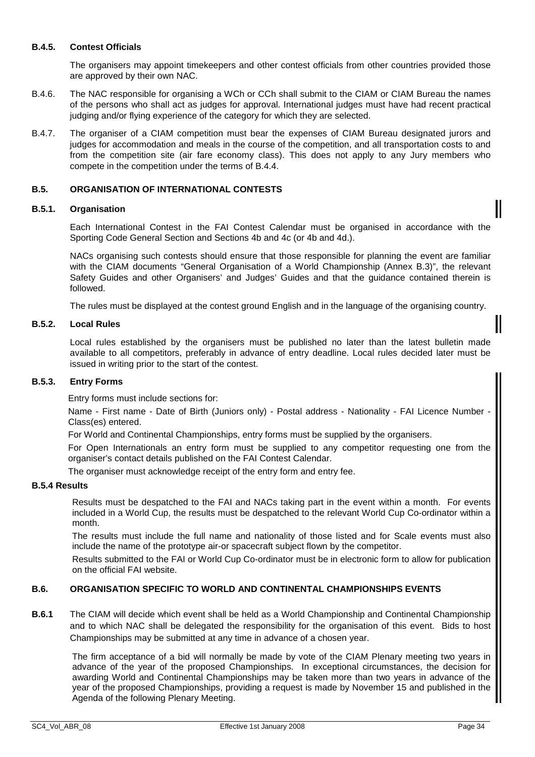# **B.4.5. Contest Officials**

The organisers may appoint timekeepers and other contest officials from other countries provided those are approved by their own NAC.

- B.4.6. The NAC responsible for organising a WCh or CCh shall submit to the CIAM or CIAM Bureau the names of the persons who shall act as judges for approval. International judges must have had recent practical judging and/or flying experience of the category for which they are selected.
- B.4.7. The organiser of a CIAM competition must bear the expenses of CIAM Bureau designated jurors and judges for accommodation and meals in the course of the competition, and all transportation costs to and from the competition site (air fare economy class). This does not apply to any Jury members who compete in the competition under the terms of B.4.4.

# **B.5. ORGANISATION OF INTERNATIONAL CONTESTS**

# **B.5.1. Organisation**

 Each International Contest in the FAI Contest Calendar must be organised in accordance with the Sporting Code General Section and Sections 4b and 4c (or 4b and 4d.).

NACs organising such contests should ensure that those responsible for planning the event are familiar with the CIAM documents "General Organisation of a World Championship (Annex B.3)", the relevant Safety Guides and other Organisers' and Judges' Guides and that the guidance contained therein is followed.

The rules must be displayed at the contest ground English and in the language of the organising country.

# **B.5.2. Local Rules**

Local rules established by the organisers must be published no later than the latest bulletin made available to all competitors, preferably in advance of entry deadline. Local rules decided later must be issued in writing prior to the start of the contest.

#### **B.5.3. Entry Forms**

Entry forms must include sections for:

Name - First name - Date of Birth (Juniors only) - Postal address - Nationality - FAI Licence Number - Class(es) entered.

For World and Continental Championships, entry forms must be supplied by the organisers.

For Open Internationals an entry form must be supplied to any competitor requesting one from the organiser's contact details published on the FAI Contest Calendar.

The organiser must acknowledge receipt of the entry form and entry fee.

#### **B.5.4 Results**

Results must be despatched to the FAI and NACs taking part in the event within a month. For events included in a World Cup, the results must be despatched to the relevant World Cup Co-ordinator within a month.

The results must include the full name and nationality of those listed and for Scale events must also include the name of the prototype air-or spacecraft subject flown by the competitor.

Results submitted to the FAI or World Cup Co-ordinator must be in electronic form to allow for publication on the official FAI website.

# **B.6. ORGANISATION SPECIFIC TO WORLD AND CONTINENTAL CHAMPIONSHIPS EVENTS**

**B.6.1** The CIAM will decide which event shall be held as a World Championship and Continental Championship and to which NAC shall be delegated the responsibility for the organisation of this event. Bids to host Championships may be submitted at any time in advance of a chosen year.

The firm acceptance of a bid will normally be made by vote of the CIAM Plenary meeting two years in advance of the year of the proposed Championships. In exceptional circumstances, the decision for awarding World and Continental Championships may be taken more than two years in advance of the year of the proposed Championships, providing a request is made by November 15 and published in the Agenda of the following Plenary Meeting.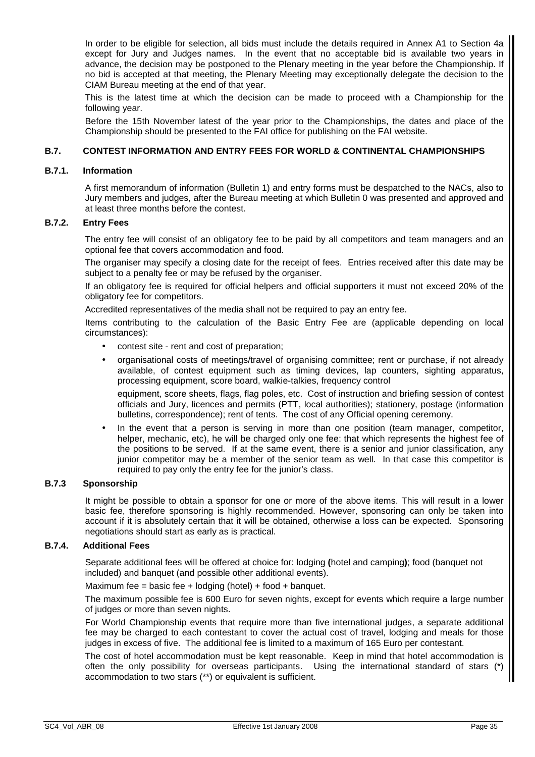In order to be eligible for selection, all bids must include the details required in Annex A1 to Section 4a except for Jury and Judges names. In the event that no acceptable bid is available two years in advance, the decision may be postponed to the Plenary meeting in the year before the Championship. If no bid is accepted at that meeting, the Plenary Meeting may exceptionally delegate the decision to the CIAM Bureau meeting at the end of that year.

This is the latest time at which the decision can be made to proceed with a Championship for the following year.

Before the 15th November latest of the year prior to the Championships, the dates and place of the Championship should be presented to the FAI office for publishing on the FAI website.

## **B.7. CONTEST INFORMATION AND ENTRY FEES FOR WORLD & CONTINENTAL CHAMPIONSHIPS**

#### **B.7.1. Information**

A first memorandum of information (Bulletin 1) and entry forms must be despatched to the NACs, also to Jury members and judges, after the Bureau meeting at which Bulletin 0 was presented and approved and at least three months before the contest.

# **B.7.2. Entry Fees**

The entry fee will consist of an obligatory fee to be paid by all competitors and team managers and an optional fee that covers accommodation and food.

The organiser may specify a closing date for the receipt of fees. Entries received after this date may be subject to a penalty fee or may be refused by the organiser.

If an obligatory fee is required for official helpers and official supporters it must not exceed 20% of the obligatory fee for competitors.

Accredited representatives of the media shall not be required to pay an entry fee.

Items contributing to the calculation of the Basic Entry Fee are (applicable depending on local circumstances):

- contest site rent and cost of preparation;
- organisational costs of meetings/travel of organising committee; rent or purchase, if not already available, of contest equipment such as timing devices, lap counters, sighting apparatus, processing equipment, score board, walkie-talkies, frequency control equipment, score sheets, flags, flag poles, etc. Cost of instruction and briefing session of contest officials and Jury, licences and permits (PTT, local authorities); stationery, postage (information bulletins, correspondence); rent of tents. The cost of any Official opening ceremony.
- In the event that a person is serving in more than one position (team manager, competitor, helper, mechanic, etc), he will be charged only one fee: that which represents the highest fee of the positions to be served. If at the same event, there is a senior and junior classification, any junior competitor may be a member of the senior team as well. In that case this competitor is required to pay only the entry fee for the junior's class.

#### **B.7.3 Sponsorship**

It might be possible to obtain a sponsor for one or more of the above items. This will result in a lower basic fee, therefore sponsoring is highly recommended. However, sponsoring can only be taken into account if it is absolutely certain that it will be obtained, otherwise a loss can be expected. Sponsoring negotiations should start as early as is practical.

## **B.7.4. Additional Fees**

Separate additional fees will be offered at choice for: lodging **(**hotel and camping**)**; food (banquet not included) and banquet (and possible other additional events).

Maximum fee = basic fee + lodging (hotel) + food + banquet.

The maximum possible fee is 600 Euro for seven nights, except for events which require a large number of judges or more than seven nights.

For World Championship events that require more than five international judges, a separate additional fee may be charged to each contestant to cover the actual cost of travel, lodging and meals for those judges in excess of five. The additional fee is limited to a maximum of 165 Euro per contestant.

The cost of hotel accommodation must be kept reasonable. Keep in mind that hotel accommodation is often the only possibility for overseas participants. Using the international standard of stars (\*) accommodation to two stars (\*\*) or equivalent is sufficient.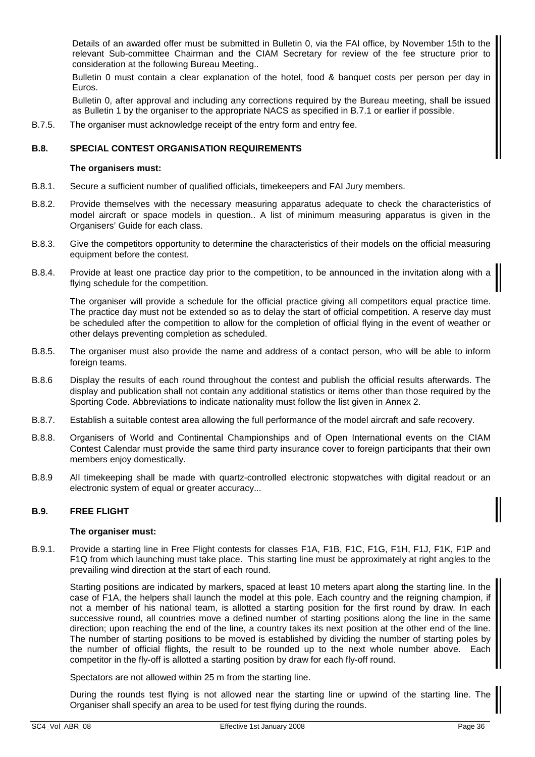Details of an awarded offer must be submitted in Bulletin 0, via the FAI office, by November 15th to the relevant Sub-committee Chairman and the CIAM Secretary for review of the fee structure prior to consideration at the following Bureau Meeting..

Bulletin 0 must contain a clear explanation of the hotel, food & banquet costs per person per day in Euros.

Bulletin 0, after approval and including any corrections required by the Bureau meeting, shall be issued as Bulletin 1 by the organiser to the appropriate NACS as specified in B.7.1 or earlier if possible.

B.7.5. The organiser must acknowledge receipt of the entry form and entry fee.

#### **B.8. SPECIAL CONTEST ORGANISATION REQUIREMENTS**

#### **The organisers must:**

- B.8.1. Secure a sufficient number of qualified officials, timekeepers and FAI Jury members.
- B.8.2. Provide themselves with the necessary measuring apparatus adequate to check the characteristics of model aircraft or space models in question.. A list of minimum measuring apparatus is given in the Organisers' Guide for each class.
- B.8.3. Give the competitors opportunity to determine the characteristics of their models on the official measuring equipment before the contest.
- B.8.4. Provide at least one practice day prior to the competition, to be announced in the invitation along with a flying schedule for the competition.

The organiser will provide a schedule for the official practice giving all competitors equal practice time. The practice day must not be extended so as to delay the start of official competition. A reserve day must be scheduled after the competition to allow for the completion of official flying in the event of weather or other delays preventing completion as scheduled.

- B.8.5. The organiser must also provide the name and address of a contact person, who will be able to inform foreign teams.
- B.8.6 Display the results of each round throughout the contest and publish the official results afterwards. The display and publication shall not contain any additional statistics or items other than those required by the Sporting Code. Abbreviations to indicate nationality must follow the list given in Annex 2.
- B.8.7. Establish a suitable contest area allowing the full performance of the model aircraft and safe recovery.
- B.8.8. Organisers of World and Continental Championships and of Open International events on the CIAM Contest Calendar must provide the same third party insurance cover to foreign participants that their own members enjoy domestically.
- B.8.9 All timekeeping shall be made with quartz-controlled electronic stopwatches with digital readout or an electronic system of equal or greater accuracy...

#### **B.9. FREE FLIGHT**

#### **The organiser must:**

B.9.1. Provide a starting line in Free Flight contests for classes F1A, F1B, F1C, F1G, F1H, F1J, F1K, F1P and F1Q from which launching must take place. This starting line must be approximately at right angles to the prevailing wind direction at the start of each round.

 Starting positions are indicated by markers, spaced at least 10 meters apart along the starting line. In the case of F1A, the helpers shall launch the model at this pole. Each country and the reigning champion, if not a member of his national team, is allotted a starting position for the first round by draw. In each successive round, all countries move a defined number of starting positions along the line in the same direction; upon reaching the end of the line, a country takes its next position at the other end of the line. The number of starting positions to be moved is established by dividing the number of starting poles by the number of official flights, the result to be rounded up to the next whole number above. Each competitor in the fly-off is allotted a starting position by draw for each fly-off round.

Spectators are not allowed within 25 m from the starting line.

 During the rounds test flying is not allowed near the starting line or upwind of the starting line. The Organiser shall specify an area to be used for test flying during the rounds.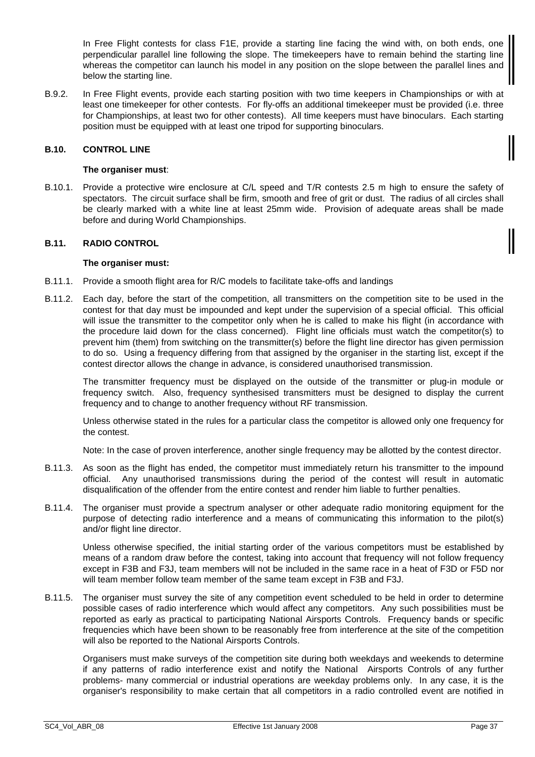In Free Flight contests for class F1E, provide a starting line facing the wind with, on both ends, one perpendicular parallel line following the slope. The timekeepers have to remain behind the starting line whereas the competitor can launch his model in any position on the slope between the parallel lines and below the starting line.

B.9.2. In Free Flight events, provide each starting position with two time keepers in Championships or with at least one timekeeper for other contests. For fly-offs an additional timekeeper must be provided (i.e. three for Championships, at least two for other contests). All time keepers must have binoculars. Each starting position must be equipped with at least one tripod for supporting binoculars.

## **B.10. CONTROL LINE**

#### **The organiser must**:

B.10.1. Provide a protective wire enclosure at C/L speed and T/R contests 2.5 m high to ensure the safety of spectators. The circuit surface shall be firm, smooth and free of grit or dust. The radius of all circles shall be clearly marked with a white line at least 25mm wide. Provision of adequate areas shall be made before and during World Championships.

# **B.11. RADIO CONTROL**

#### **The organiser must:**

- B.11.1. Provide a smooth flight area for R/C models to facilitate take-offs and landings
- B.11.2. Each day, before the start of the competition, all transmitters on the competition site to be used in the contest for that day must be impounded and kept under the supervision of a special official. This official will issue the transmitter to the competitor only when he is called to make his flight (in accordance with the procedure laid down for the class concerned). Flight line officials must watch the competitor(s) to prevent him (them) from switching on the transmitter(s) before the flight line director has given permission to do so. Using a frequency differing from that assigned by the organiser in the starting list, except if the contest director allows the change in advance, is considered unauthorised transmission.

 The transmitter frequency must be displayed on the outside of the transmitter or plug-in module or frequency switch. Also, frequency synthesised transmitters must be designed to display the current frequency and to change to another frequency without RF transmission.

 Unless otherwise stated in the rules for a particular class the competitor is allowed only one frequency for the contest.

Note: In the case of proven interference, another single frequency may be allotted by the contest director.

- B.11.3. As soon as the flight has ended, the competitor must immediately return his transmitter to the impound official. Any unauthorised transmissions during the period of the contest will result in automatic disqualification of the offender from the entire contest and render him liable to further penalties.
- B.11.4. The organiser must provide a spectrum analyser or other adequate radio monitoring equipment for the purpose of detecting radio interference and a means of communicating this information to the pilot(s) and/or flight line director.

 Unless otherwise specified, the initial starting order of the various competitors must be established by means of a random draw before the contest, taking into account that frequency will not follow frequency except in F3B and F3J, team members will not be included in the same race in a heat of F3D or F5D nor will team member follow team member of the same team except in F3B and F3J.

B.11.5. The organiser must survey the site of any competition event scheduled to be held in order to determine possible cases of radio interference which would affect any competitors. Any such possibilities must be reported as early as practical to participating National Airsports Controls. Frequency bands or specific frequencies which have been shown to be reasonably free from interference at the site of the competition will also be reported to the National Airsports Controls.

 Organisers must make surveys of the competition site during both weekdays and weekends to determine if any patterns of radio interference exist and notify the National Airsports Controls of any further problems- many commercial or industrial operations are weekday problems only. In any case, it is the organiser's responsibility to make certain that all competitors in a radio controlled event are notified in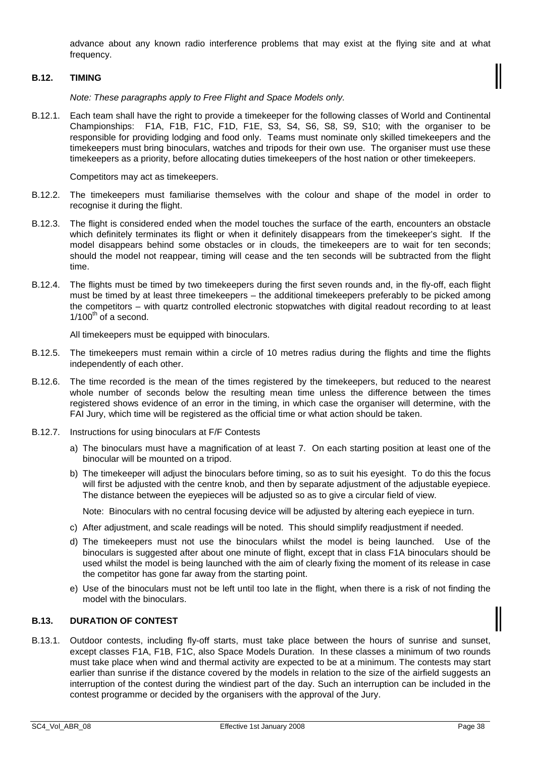advance about any known radio interference problems that may exist at the flying site and at what frequency.

# **B.12. TIMING**

Note: These paragraphs apply to Free Flight and Space Models only.

B.12.1. Each team shall have the right to provide a timekeeper for the following classes of World and Continental Championships: F1A, F1B, F1C, F1D, F1E, S3, S4, S6, S8, S9, S10; with the organiser to be responsible for providing lodging and food only. Teams must nominate only skilled timekeepers and the timekeepers must bring binoculars, watches and tripods for their own use. The organiser must use these timekeepers as a priority, before allocating duties timekeepers of the host nation or other timekeepers.

Competitors may act as timekeepers.

- B.12.2. The timekeepers must familiarise themselves with the colour and shape of the model in order to recognise it during the flight.
- B.12.3. The flight is considered ended when the model touches the surface of the earth, encounters an obstacle which definitely terminates its flight or when it definitely disappears from the timekeeper's sight. If the model disappears behind some obstacles or in clouds, the timekeepers are to wait for ten seconds; should the model not reappear, timing will cease and the ten seconds will be subtracted from the flight time.
- B.12.4. The flights must be timed by two timekeepers during the first seven rounds and, in the fly-off, each flight must be timed by at least three timekeepers – the additional timekeepers preferably to be picked among the competitors – with quartz controlled electronic stopwatches with digital readout recording to at least  $1/100^{th}$  of a second.

All timekeepers must be equipped with binoculars.

- B.12.5. The timekeepers must remain within a circle of 10 metres radius during the flights and time the flights independently of each other.
- B.12.6. The time recorded is the mean of the times registered by the timekeepers, but reduced to the nearest whole number of seconds below the resulting mean time unless the difference between the times registered shows evidence of an error in the timing, in which case the organiser will determine, with the FAI Jury, which time will be registered as the official time or what action should be taken.
- B.12.7. Instructions for using binoculars at F/F Contests
	- a) The binoculars must have a magnification of at least 7. On each starting position at least one of the binocular will be mounted on a tripod.
	- b) The timekeeper will adjust the binoculars before timing, so as to suit his eyesight. To do this the focus will first be adjusted with the centre knob, and then by separate adjustment of the adjustable eyepiece. The distance between the eyepieces will be adjusted so as to give a circular field of view.

Note: Binoculars with no central focusing device will be adjusted by altering each eyepiece in turn.

- c) After adjustment, and scale readings will be noted. This should simplify readjustment if needed.
- d) The timekeepers must not use the binoculars whilst the model is being launched. Use of the binoculars is suggested after about one minute of flight, except that in class F1A binoculars should be used whilst the model is being launched with the aim of clearly fixing the moment of its release in case the competitor has gone far away from the starting point.
- e) Use of the binoculars must not be left until too late in the flight, when there is a risk of not finding the model with the binoculars.

## **B.13. DURATION OF CONTEST**

B.13.1. Outdoor contests, including fly-off starts, must take place between the hours of sunrise and sunset, except classes F1A, F1B, F1C, also Space Models Duration. In these classes a minimum of two rounds must take place when wind and thermal activity are expected to be at a minimum. The contests may start earlier than sunrise if the distance covered by the models in relation to the size of the airfield suggests an interruption of the contest during the windiest part of the day. Such an interruption can be included in the contest programme or decided by the organisers with the approval of the Jury.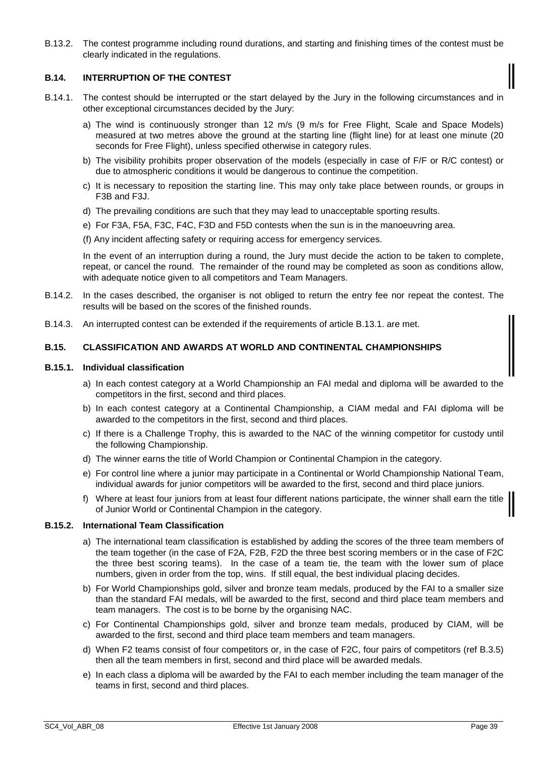B.13.2. The contest programme including round durations, and starting and finishing times of the contest must be clearly indicated in the regulations.

# **B.14. INTERRUPTION OF THE CONTEST**

- B.14.1. The contest should be interrupted or the start delayed by the Jury in the following circumstances and in other exceptional circumstances decided by the Jury:
	- a) The wind is continuously stronger than 12 m/s (9 m/s for Free Flight, Scale and Space Models) measured at two metres above the ground at the starting line (flight line) for at least one minute (20 seconds for Free Flight), unless specified otherwise in category rules.
	- b) The visibility prohibits proper observation of the models (especially in case of F/F or R/C contest) or due to atmospheric conditions it would be dangerous to continue the competition.
	- c) It is necessary to reposition the starting line. This may only take place between rounds, or groups in F3B and F3J.
	- d) The prevailing conditions are such that they may lead to unacceptable sporting results.
	- e) For F3A, F5A, F3C, F4C, F3D and F5D contests when the sun is in the manoeuvring area.
	- (f) Any incident affecting safety or requiring access for emergency services.

In the event of an interruption during a round, the Jury must decide the action to be taken to complete, repeat, or cancel the round. The remainder of the round may be completed as soon as conditions allow, with adequate notice given to all competitors and Team Managers.

- B.14.2. In the cases described, the organiser is not obliged to return the entry fee nor repeat the contest. The results will be based on the scores of the finished rounds.
- B.14.3. An interrupted contest can be extended if the requirements of article B.13.1. are met.

# **B.15. CLASSIFICATION AND AWARDS AT WORLD AND CONTINENTAL CHAMPIONSHIPS**

# **B.15.1. Individual classification**

- a) In each contest category at a World Championship an FAI medal and diploma will be awarded to the competitors in the first, second and third places.
- b) In each contest category at a Continental Championship, a CIAM medal and FAI diploma will be awarded to the competitors in the first, second and third places.
- c) If there is a Challenge Trophy, this is awarded to the NAC of the winning competitor for custody until the following Championship.
- d) The winner earns the title of World Champion or Continental Champion in the category.
- e) For control line where a junior may participate in a Continental or World Championship National Team, individual awards for junior competitors will be awarded to the first, second and third place juniors.
- f) Where at least four juniors from at least four different nations participate, the winner shall earn the title of Junior World or Continental Champion in the category.

#### **B.15.2. International Team Classification**

- a) The international team classification is established by adding the scores of the three team members of the team together (in the case of F2A, F2B, F2D the three best scoring members or in the case of F2C the three best scoring teams). In the case of a team tie, the team with the lower sum of place numbers, given in order from the top, wins. If still equal, the best individual placing decides.
- b) For World Championships gold, silver and bronze team medals, produced by the FAI to a smaller size than the standard FAI medals, will be awarded to the first, second and third place team members and team managers. The cost is to be borne by the organising NAC.
- c) For Continental Championships gold, silver and bronze team medals, produced by CIAM, will be awarded to the first, second and third place team members and team managers.
- d) When F2 teams consist of four competitors or, in the case of F2C, four pairs of competitors (ref B.3.5) then all the team members in first, second and third place will be awarded medals.
- e) In each class a diploma will be awarded by the FAI to each member including the team manager of the teams in first, second and third places.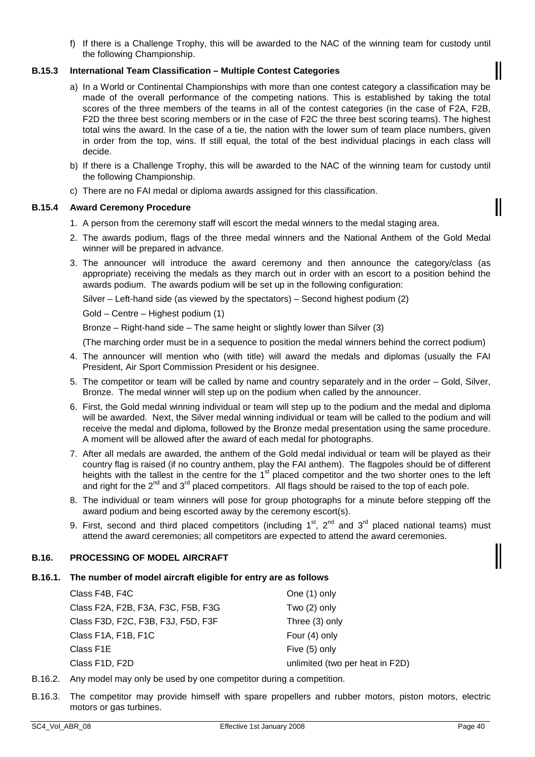f) If there is a Challenge Trophy, this will be awarded to the NAC of the winning team for custody until the following Championship.

# **B.15.3 International Team Classification – Multiple Contest Categories**

- a) In a World or Continental Championships with more than one contest category a classification may be made of the overall performance of the competing nations. This is established by taking the total scores of the three members of the teams in all of the contest categories (in the case of F2A, F2B, F2D the three best scoring members or in the case of F2C the three best scoring teams). The highest total wins the award. In the case of a tie, the nation with the lower sum of team place numbers, given in order from the top, wins. If still equal, the total of the best individual placings in each class will decide.
- b) If there is a Challenge Trophy, this will be awarded to the NAC of the winning team for custody until the following Championship.
- c) There are no FAI medal or diploma awards assigned for this classification.

# **B.15.4 Award Ceremony Procedure**

- 1. A person from the ceremony staff will escort the medal winners to the medal staging area.
- 2. The awards podium, flags of the three medal winners and the National Anthem of the Gold Medal winner will be prepared in advance.
- 3. The announcer will introduce the award ceremony and then announce the category/class (as appropriate) receiving the medals as they march out in order with an escort to a position behind the awards podium. The awards podium will be set up in the following configuration:

Silver – Left-hand side (as viewed by the spectators) – Second highest podium (2)

Gold – Centre – Highest podium (1)

Bronze – Right-hand side – The same height or slightly lower than Silver (3)

(The marching order must be in a sequence to position the medal winners behind the correct podium)

- 4. The announcer will mention who (with title) will award the medals and diplomas (usually the FAI President, Air Sport Commission President or his designee.
- 5. The competitor or team will be called by name and country separately and in the order Gold, Silver, Bronze. The medal winner will step up on the podium when called by the announcer.
- 6. First, the Gold medal winning individual or team will step up to the podium and the medal and diploma will be awarded. Next, the Silver medal winning individual or team will be called to the podium and will receive the medal and diploma, followed by the Bronze medal presentation using the same procedure. A moment will be allowed after the award of each medal for photographs.
- 7. After all medals are awarded, the anthem of the Gold medal individual or team will be played as their country flag is raised (if no country anthem, play the FAI anthem). The flagpoles should be of different heights with the tallest in the centre for the  $1<sup>st</sup>$  placed competitor and the two shorter ones to the left and right for the  $2^{nd}$  and  $3^{rd}$  placed competitors. All flags should be raised to the top of each pole.
- 8. The individual or team winners will pose for group photographs for a minute before stepping off the award podium and being escorted away by the ceremony escort(s).
- 9. First, second and third placed competitors (including  $1<sup>st</sup>$ ,  $2<sup>nd</sup>$  and  $3<sup>rd</sup>$  placed national teams) must attend the award ceremonies; all competitors are expected to attend the award ceremonies.

# **B.16. PROCESSING OF MODEL AIRCRAFT**

# **B.16.1. The number of model aircraft eligible for entry are as follows**

| Class F4B, F4C                     | One (1) only                    |
|------------------------------------|---------------------------------|
| Class F2A, F2B, F3A, F3C, F5B, F3G | Two $(2)$ only                  |
| Class F3D, F2C, F3B, F3J, F5D, F3F | Three (3) only                  |
| Class F1A, F1B, F1C                | Four (4) only                   |
| Class F1E                          | Five (5) only                   |
| Class F1D, F2D                     | unlimited (two per heat in F2D) |
|                                    |                                 |

- B.16.2. Any model may only be used by one competitor during a competition.
- B.16.3. The competitor may provide himself with spare propellers and rubber motors, piston motors, electric motors or gas turbines.

I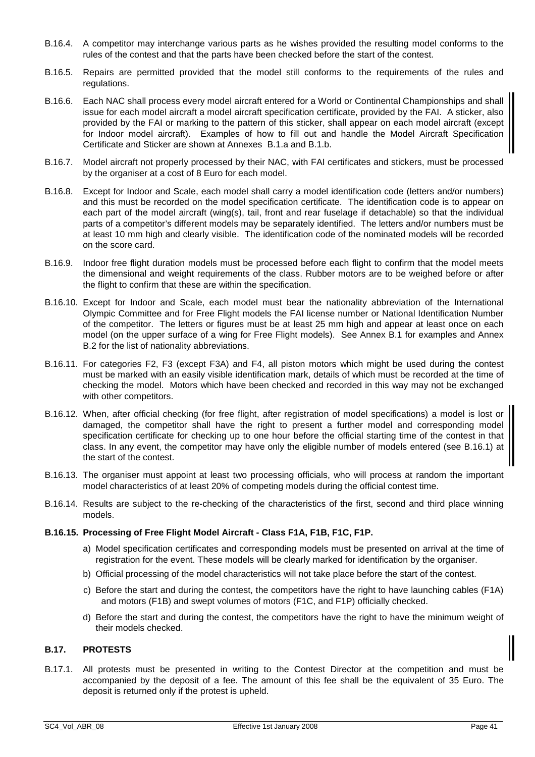- B.16.4. A competitor may interchange various parts as he wishes provided the resulting model conforms to the rules of the contest and that the parts have been checked before the start of the contest.
- B.16.5. Repairs are permitted provided that the model still conforms to the requirements of the rules and regulations.
- B.16.6. Each NAC shall process every model aircraft entered for a World or Continental Championships and shall issue for each model aircraft a model aircraft specification certificate, provided by the FAI. A sticker, also provided by the FAI or marking to the pattern of this sticker, shall appear on each model aircraft (except for Indoor model aircraft). Examples of how to fill out and handle the Model Aircraft Specification Certificate and Sticker are shown at Annexes B.1.a and B.1.b.
- B.16.7. Model aircraft not properly processed by their NAC, with FAI certificates and stickers, must be processed by the organiser at a cost of 8 Euro for each model.
- B.16.8. Except for Indoor and Scale, each model shall carry a model identification code (letters and/or numbers) and this must be recorded on the model specification certificate. The identification code is to appear on each part of the model aircraft (wing(s), tail, front and rear fuselage if detachable) so that the individual parts of a competitor's different models may be separately identified. The letters and/or numbers must be at least 10 mm high and clearly visible. The identification code of the nominated models will be recorded on the score card.
- B.16.9. Indoor free flight duration models must be processed before each flight to confirm that the model meets the dimensional and weight requirements of the class. Rubber motors are to be weighed before or after the flight to confirm that these are within the specification.
- B.16.10. Except for Indoor and Scale, each model must bear the nationality abbreviation of the International Olympic Committee and for Free Flight models the FAI license number or National Identification Number of the competitor. The letters or figures must be at least 25 mm high and appear at least once on each model (on the upper surface of a wing for Free Flight models). See Annex B.1 for examples and Annex B.2 for the list of nationality abbreviations.
- B.16.11. For categories F2, F3 (except F3A) and F4, all piston motors which might be used during the contest must be marked with an easily visible identification mark, details of which must be recorded at the time of checking the model. Motors which have been checked and recorded in this way may not be exchanged with other competitors.
- B.16.12. When, after official checking (for free flight, after registration of model specifications) a model is lost or damaged, the competitor shall have the right to present a further model and corresponding model specification certificate for checking up to one hour before the official starting time of the contest in that class. In any event, the competitor may have only the eligible number of models entered (see B.16.1) at the start of the contest.
- B.16.13. The organiser must appoint at least two processing officials, who will process at random the important model characteristics of at least 20% of competing models during the official contest time.
- B.16.14. Results are subject to the re-checking of the characteristics of the first, second and third place winning models.

# **B.16.15. Processing of Free Flight Model Aircraft - Class F1A, F1B, F1C, F1P.**

- a) Model specification certificates and corresponding models must be presented on arrival at the time of registration for the event. These models will be clearly marked for identification by the organiser.
- b) Official processing of the model characteristics will not take place before the start of the contest.
- c) Before the start and during the contest, the competitors have the right to have launching cables (F1A) and motors (F1B) and swept volumes of motors (F1C, and F1P) officially checked.
- d) Before the start and during the contest, the competitors have the right to have the minimum weight of their models checked.

#### **B.17. PROTESTS**

B.17.1. All protests must be presented in writing to the Contest Director at the competition and must be accompanied by the deposit of a fee. The amount of this fee shall be the equivalent of 35 Euro. The deposit is returned only if the protest is upheld.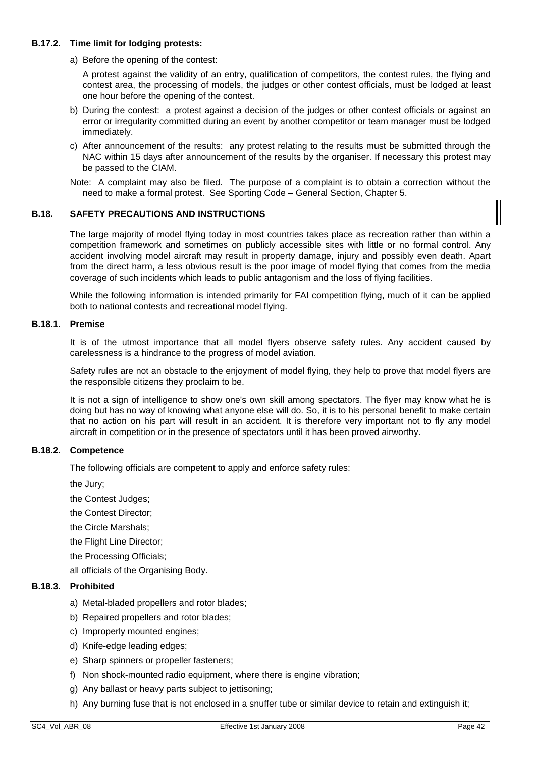# **B.17.2. Time limit for lodging protests:**

a) Before the opening of the contest:

 A protest against the validity of an entry, qualification of competitors, the contest rules, the flying and contest area, the processing of models, the judges or other contest officials, must be lodged at least one hour before the opening of the contest.

- b) During the contest: a protest against a decision of the judges or other contest officials or against an error or irregularity committed during an event by another competitor or team manager must be lodged immediately.
- c) After announcement of the results: any protest relating to the results must be submitted through the NAC within 15 days after announcement of the results by the organiser. If necessary this protest may be passed to the CIAM.

Note: A complaint may also be filed. The purpose of a complaint is to obtain a correction without the need to make a formal protest. See Sporting Code – General Section, Chapter 5.

#### **B.18. SAFETY PRECAUTIONS AND INSTRUCTIONS**

The large majority of model flying today in most countries takes place as recreation rather than within a competition framework and sometimes on publicly accessible sites with little or no formal control. Any accident involving model aircraft may result in property damage, injury and possibly even death. Apart from the direct harm, a less obvious result is the poor image of model flying that comes from the media coverage of such incidents which leads to public antagonism and the loss of flying facilities.

While the following information is intended primarily for FAI competition flying, much of it can be applied both to national contests and recreational model flying.

# **B.18.1. Premise**

It is of the utmost importance that all model flyers observe safety rules. Any accident caused by carelessness is a hindrance to the progress of model aviation.

Safety rules are not an obstacle to the enjoyment of model flying, they help to prove that model flyers are the responsible citizens they proclaim to be.

It is not a sign of intelligence to show one's own skill among spectators. The flyer may know what he is doing but has no way of knowing what anyone else will do. So, it is to his personal benefit to make certain that no action on his part will result in an accident. It is therefore very important not to fly any model aircraft in competition or in the presence of spectators until it has been proved airworthy.

# **B.18.2. Competence**

The following officials are competent to apply and enforce safety rules:

the Jury;

the Contest Judges;

the Contest Director;

the Circle Marshals;

the Flight Line Director;

the Processing Officials;

all officials of the Organising Body.

# **B.18.3. Prohibited**

- a) Metal-bladed propellers and rotor blades;
- b) Repaired propellers and rotor blades;
- c) Improperly mounted engines;
- d) Knife-edge leading edges;
- e) Sharp spinners or propeller fasteners;
- f) Non shock-mounted radio equipment, where there is engine vibration;
- g) Any ballast or heavy parts subject to jettisoning;
- h) Any burning fuse that is not enclosed in a snuffer tube or similar device to retain and extinguish it;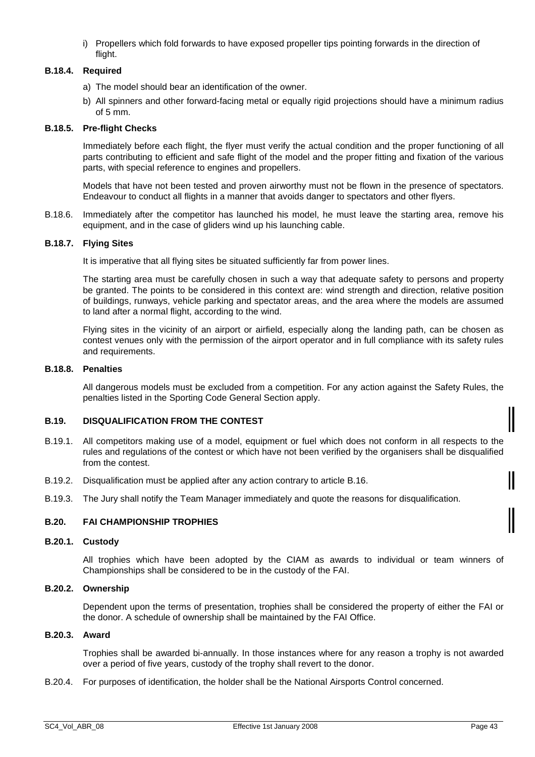i) Propellers which fold forwards to have exposed propeller tips pointing forwards in the direction of flight.

#### **B.18.4. Required**

- a) The model should bear an identification of the owner.
- b) All spinners and other forward-facing metal or equally rigid projections should have a minimum radius of 5 mm.

#### **B.18.5. Pre-flight Checks**

Immediately before each flight, the flyer must verify the actual condition and the proper functioning of all parts contributing to efficient and safe flight of the model and the proper fitting and fixation of the various parts, with special reference to engines and propellers.

Models that have not been tested and proven airworthy must not be flown in the presence of spectators. Endeavour to conduct all flights in a manner that avoids danger to spectators and other flyers.

B.18.6. Immediately after the competitor has launched his model, he must leave the starting area, remove his equipment, and in the case of gliders wind up his launching cable.

#### **B.18.7. Flying Sites**

It is imperative that all flying sites be situated sufficiently far from power lines.

The starting area must be carefully chosen in such a way that adequate safety to persons and property be granted. The points to be considered in this context are: wind strength and direction, relative position of buildings, runways, vehicle parking and spectator areas, and the area where the models are assumed to land after a normal flight, according to the wind.

Flying sites in the vicinity of an airport or airfield, especially along the landing path, can be chosen as contest venues only with the permission of the airport operator and in full compliance with its safety rules and requirements.

# **B.18.8. Penalties**

All dangerous models must be excluded from a competition. For any action against the Safety Rules, the penalties listed in the Sporting Code General Section apply.

# **B.19. DISQUALIFICATION FROM THE CONTEST**

- B.19.1. All competitors making use of a model, equipment or fuel which does not conform in all respects to the rules and regulations of the contest or which have not been verified by the organisers shall be disqualified from the contest.
- B.19.2. Disqualification must be applied after any action contrary to article B.16.
- B.19.3. The Jury shall notify the Team Manager immediately and quote the reasons for disqualification.

# **B.20. FAI CHAMPIONSHIP TROPHIES**

# **B.20.1. Custody**

All trophies which have been adopted by the CIAM as awards to individual or team winners of Championships shall be considered to be in the custody of the FAI.

#### **B.20.2. Ownership**

Dependent upon the terms of presentation, trophies shall be considered the property of either the FAI or the donor. A schedule of ownership shall be maintained by the FAI Office.

#### **B.20.3. Award**

Trophies shall be awarded bi-annually. In those instances where for any reason a trophy is not awarded over a period of five years, custody of the trophy shall revert to the donor.

B.20.4. For purposes of identification, the holder shall be the National Airsports Control concerned.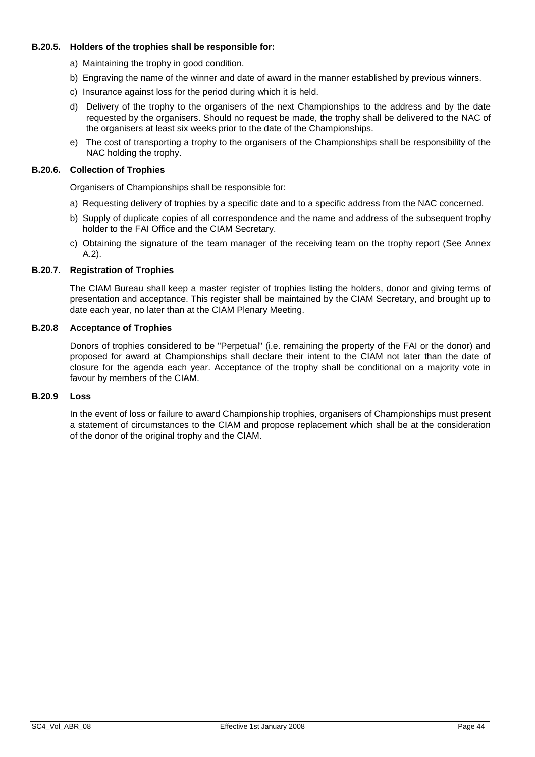## **B.20.5. Holders of the trophies shall be responsible for:**

- a) Maintaining the trophy in good condition.
- b) Engraving the name of the winner and date of award in the manner established by previous winners.
- c) Insurance against loss for the period during which it is held.
- d) Delivery of the trophy to the organisers of the next Championships to the address and by the date requested by the organisers. Should no request be made, the trophy shall be delivered to the NAC of the organisers at least six weeks prior to the date of the Championships.
- e) The cost of transporting a trophy to the organisers of the Championships shall be responsibility of the NAC holding the trophy.

#### **B.20.6. Collection of Trophies**

Organisers of Championships shall be responsible for:

- a) Requesting delivery of trophies by a specific date and to a specific address from the NAC concerned.
- b) Supply of duplicate copies of all correspondence and the name and address of the subsequent trophy holder to the FAI Office and the CIAM Secretary.
- c) Obtaining the signature of the team manager of the receiving team on the trophy report (See Annex A.2).

# **B.20.7. Registration of Trophies**

The CIAM Bureau shall keep a master register of trophies listing the holders, donor and giving terms of presentation and acceptance. This register shall be maintained by the CIAM Secretary, and brought up to date each year, no later than at the CIAM Plenary Meeting.

#### **B.20.8 Acceptance of Trophies**

Donors of trophies considered to be "Perpetual" (i.e. remaining the property of the FAI or the donor) and proposed for award at Championships shall declare their intent to the CIAM not later than the date of closure for the agenda each year. Acceptance of the trophy shall be conditional on a majority vote in favour by members of the CIAM.

#### **B.20.9 Loss**

In the event of loss or failure to award Championship trophies, organisers of Championships must present a statement of circumstances to the CIAM and propose replacement which shall be at the consideration of the donor of the original trophy and the CIAM.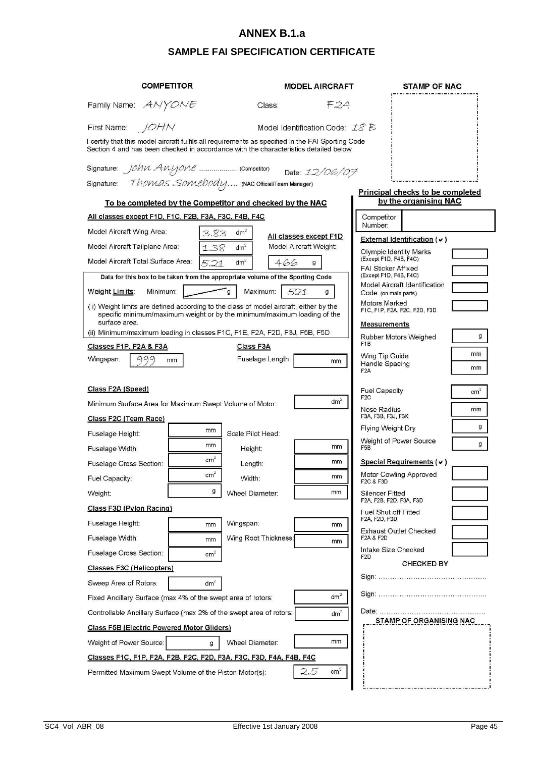# **ANNEX B.1.a**

# **SAMPLE FAI SPECIFICATION CERTIFICATE**

| <b>COMPETITOR</b>                                                                                                                                                                          | <b>MODEL AIRCRAFT</b>    |                                 | <b>STAMP OF NAC</b>                                     |                                    |                 |
|--------------------------------------------------------------------------------------------------------------------------------------------------------------------------------------------|--------------------------|---------------------------------|---------------------------------------------------------|------------------------------------|-----------------|
| Family Name: $\quad$ ANYONE                                                                                                                                                                | Class:                   | F2A                             |                                                         |                                    |                 |
| First Name: /OHN                                                                                                                                                                           |                          | Model Identification Code: 18 B |                                                         |                                    |                 |
| I certify that this model aircraft fulfils all requirements as specified in the FAI Sporting Code<br>Section 4 and has been checked in accordance with the characteristics detailed below. |                          |                                 |                                                         |                                    |                 |
|                                                                                                                                                                                            |                          | Date: 12/06/07                  |                                                         |                                    |                 |
|                                                                                                                                                                                            |                          |                                 |                                                         | Principal checks to be completed   |                 |
| To be completed by the Competitor and checked by the NAC                                                                                                                                   |                          |                                 |                                                         | by the organising NAC              |                 |
| All classes except F1D, F1C, F2B, F3A, F3C, F4B, F4C                                                                                                                                       |                          |                                 | Competitor<br>Number:                                   |                                    |                 |
| Model Aircraft Wing Area:<br>3.83                                                                                                                                                          | dm <sup>2</sup>          | All classes except F1D          |                                                         | External Identification ( $\vee$ ) |                 |
| Model Aircraft Tailplane Area:<br>1.38                                                                                                                                                     | dm <sup>2</sup>          | Model Aircraft Weight:          | Olympic Identity Marks                                  |                                    |                 |
| Model Aircraft Total Surface Area:<br>5.21                                                                                                                                                 | dm <sup>2</sup><br>466   | g                               | (Except F1D, F4B, F4C)<br><b>FAI Sticker Affixed</b>    |                                    |                 |
| Data for this box to be taken from the appropriate volume of the Sporting Code                                                                                                             |                          |                                 | (Except F1D, F4B, F4C)<br>Model Aircraft Identification |                                    |                 |
| Weight Limits:<br>Minimum:                                                                                                                                                                 | Maximum:<br>$\mathsf{q}$ | 521<br>g                        | Code (on main parts)                                    |                                    |                 |
| (i) Weight limits are defined according to the class of model aircraft, either by the<br>specific minimum/maximum weight or by the minimum/maximum loading of the<br>surface area.         |                          |                                 | Motors Marked<br>F1C, F1P, F2A, F2C, F2D, F3D           |                                    |                 |
| (ii) Minimum/maximum loading in classes F1C, F1E, F2A, F2D, F3J, F5B, F5D                                                                                                                  |                          |                                 | <b>Measurements</b><br><b>Rubber Motors Weighed</b>     |                                    | g               |
| Classes F1P, F2A & F3A                                                                                                                                                                     | Class F <sub>3</sub> A   |                                 | F <sub>1</sub> B                                        |                                    |                 |
| Wingspan:<br>999<br>mm                                                                                                                                                                     | Fuselage Length:         | mm                              | Wing Tip Guide<br>Handle Spacing<br>F <sub>2</sub> A    |                                    | mm<br>mm        |
| <b>Class F2A (Speed)</b>                                                                                                                                                                   |                          |                                 | Fuel Capacity                                           |                                    | cm <sup>3</sup> |
| Minimum Surface Area for Maximum Swept Volume of Motor:                                                                                                                                    |                          | $dm^2$                          | F <sub>2</sub> C<br>Nose Radius                         |                                    | mm              |
| <u>Class F2C (Team Race)</u>                                                                                                                                                               |                          |                                 | F3A, F3B, F3J, F3K                                      |                                    |                 |
| mm<br>Fuselage Height:                                                                                                                                                                     | Scale Pilot Head:        |                                 | Flying Weight Dry                                       |                                    | g               |
| mm<br>Fuselage Width:                                                                                                                                                                      | Height:                  | mm                              | Weight of Power Source<br>F <sub>5</sub> B              |                                    | g               |
| cm <sup>2</sup><br>Fuselage Cross Section:                                                                                                                                                 | Length:                  | mm                              |                                                         | Special Requirements ( $\vee$ )    |                 |
| $\mathsf{cm}^3$<br>Fuel Capacity:                                                                                                                                                          | Width:                   | mm                              | Motor Cowling Approved<br>F2C & F3D                     |                                    |                 |
| g<br>Weight:                                                                                                                                                                               | Wheel Diameter:          | mm                              | Silencer Fitted<br>F2A, F2B, F2D, F3A, F3D              |                                    |                 |
| Class F3D (Pylon Racing)                                                                                                                                                                   |                          |                                 | <b>Fuel Shut-off Fitted</b><br>F2A, F2D, F3D            |                                    |                 |
| Fuselage Height:<br>mm                                                                                                                                                                     | Wingspan:                | mm                              | Exhaust Outlet Checked                                  |                                    |                 |
| Fuselage Width:<br>mm                                                                                                                                                                      | Wing Root Thickness:     | mm                              | F2A & F2D                                               |                                    |                 |
| Fuselage Cross Section:<br>cm <sup>2</sup>                                                                                                                                                 |                          |                                 | Intake Size Checked<br>F <sub>2</sub> D                 | <b>CHECKED BY</b>                  |                 |
| Classes F3C (Helicopters)                                                                                                                                                                  |                          |                                 |                                                         |                                    |                 |
| $dm^2$<br>Sweep Area of Rotors:                                                                                                                                                            |                          |                                 |                                                         |                                    |                 |
| Fixed Ancillary Surface (max 4% of the swept area of rotors:                                                                                                                               |                          | dm <sup>2</sup>                 |                                                         |                                    |                 |
| Controllable Ancillary Surface (max 2% of the swept area of rotors:                                                                                                                        |                          | dm <sup>2</sup>                 |                                                         | <b>STAMP OF ORGANISING NAC</b>     |                 |
| Class F5B (Electric Powered Motor Gliders)                                                                                                                                                 |                          |                                 |                                                         |                                    |                 |
| Weight of Power Source:<br>g                                                                                                                                                               | Wheel Diameter:          | mm                              |                                                         |                                    |                 |
| Classes F1C, F1P, F2A, F2B, F2C, F2D, F3A, F3C, F3D, F4A, F4B, F4C                                                                                                                         |                          |                                 |                                                         |                                    |                 |
| Permitted Maximum Swept Volume of the Piston Motor(s):                                                                                                                                     |                          | cm <sup>3</sup><br>2.5          |                                                         |                                    |                 |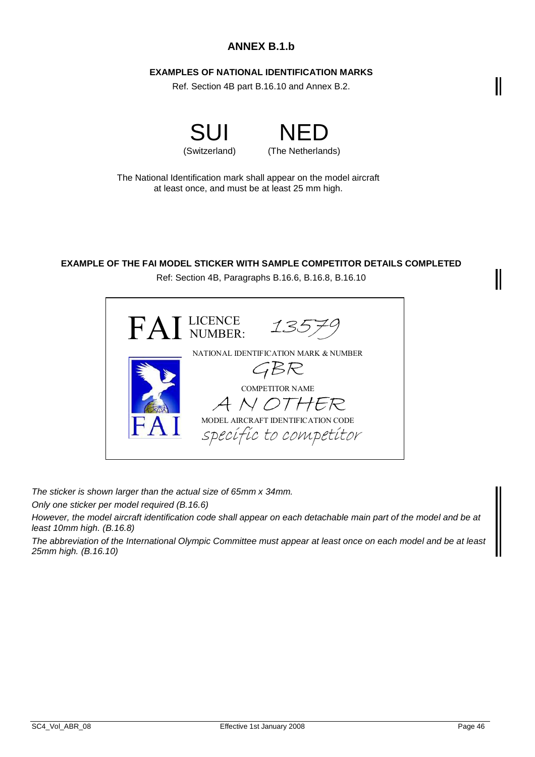# **ANNEX B.1.b**

# **EXAMPLES OF NATIONAL IDENTIFICATION MARKS**

Ref. Section 4B part B.16.10 and Annex B.2.





The National Identification mark shall appear on the model aircraft at least once, and must be at least 25 mm high.

# **EXAMPLE OF THE FAI MODEL STICKER WITH SAMPLE COMPETITOR DETAILS COMPLETED**

Ref: Section 4B, Paragraphs B.16.6, B.16.8, B.16.10



The sticker is shown larger than the actual size of 65mm x 34mm.

Only one sticker per model required (B.16.6)

However, the model aircraft identification code shall appear on each detachable main part of the model and be at least 10mm high. (B.16.8)

The abbreviation of the International Olympic Committee must appear at least once on each model and be at least 25mm high. (B.16.10)

I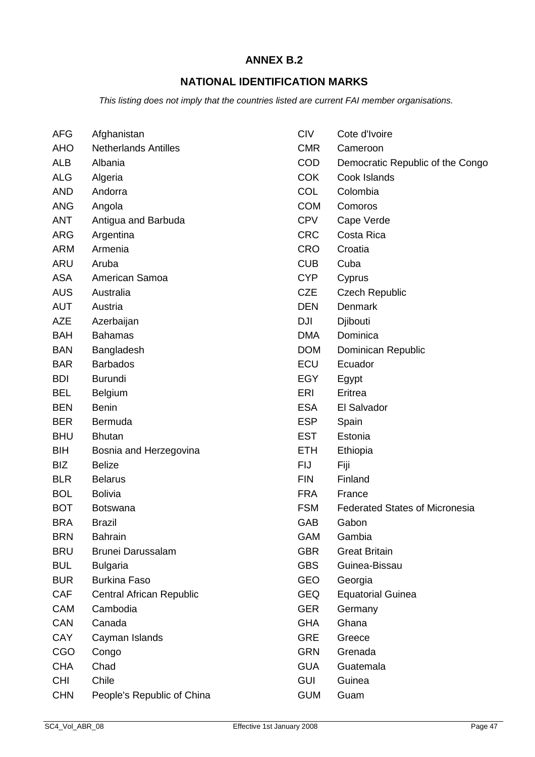# **ANNEX B.2**

# **NATIONAL IDENTIFICATION MARKS**

This listing does not imply that the countries listed are current FAI member organisations.

| <b>AFG</b> | Afghanistan                     | <b>CIV</b> | Cote d'Ivoire                         |
|------------|---------------------------------|------------|---------------------------------------|
| <b>AHO</b> | <b>Netherlands Antilles</b>     | <b>CMR</b> | Cameroon                              |
| <b>ALB</b> | Albania                         | <b>COD</b> | Democratic Republic of the Congo      |
| <b>ALG</b> | Algeria                         | <b>COK</b> | Cook Islands                          |
| <b>AND</b> | Andorra                         | <b>COL</b> | Colombia                              |
| <b>ANG</b> | Angola                          | <b>COM</b> | Comoros                               |
| <b>ANT</b> | Antigua and Barbuda             | <b>CPV</b> | Cape Verde                            |
| <b>ARG</b> | Argentina                       | <b>CRC</b> | Costa Rica                            |
| <b>ARM</b> | Armenia                         | <b>CRO</b> | Croatia                               |
| ARU        | Aruba                           | <b>CUB</b> | Cuba                                  |
| <b>ASA</b> | American Samoa                  | <b>CYP</b> | Cyprus                                |
| <b>AUS</b> | Australia                       | <b>CZE</b> | <b>Czech Republic</b>                 |
| <b>AUT</b> | Austria                         | <b>DEN</b> | Denmark                               |
| <b>AZE</b> | Azerbaijan                      | <b>DJI</b> | Djibouti                              |
| <b>BAH</b> | <b>Bahamas</b>                  | <b>DMA</b> | Dominica                              |
| <b>BAN</b> | Bangladesh                      | <b>DOM</b> | Dominican Republic                    |
| <b>BAR</b> | <b>Barbados</b>                 | <b>ECU</b> | Ecuador                               |
| <b>BDI</b> | <b>Burundi</b>                  | <b>EGY</b> | Egypt                                 |
| <b>BEL</b> | <b>Belgium</b>                  | ERI        | Eritrea                               |
| <b>BEN</b> | <b>Benin</b>                    | <b>ESA</b> | El Salvador                           |
| <b>BER</b> | Bermuda                         | <b>ESP</b> | Spain                                 |
| <b>BHU</b> | <b>Bhutan</b>                   | <b>EST</b> | Estonia                               |
| <b>BIH</b> | Bosnia and Herzegovina          | <b>ETH</b> | Ethiopia                              |
| <b>BIZ</b> | <b>Belize</b>                   | FIJ        | Fiji                                  |
| <b>BLR</b> | <b>Belarus</b>                  | <b>FIN</b> | Finland                               |
| <b>BOL</b> | <b>Bolivia</b>                  | <b>FRA</b> | France                                |
| <b>BOT</b> | <b>Botswana</b>                 | <b>FSM</b> | <b>Federated States of Micronesia</b> |
| <b>BRA</b> | <b>Brazil</b>                   | GAB        | Gabon                                 |
| <b>BRN</b> | <b>Bahrain</b>                  | GAM        | Gambia                                |
| <b>BRU</b> | <b>Brunei Darussalam</b>        | <b>GBR</b> | <b>Great Britain</b>                  |
| <b>BUL</b> | <b>Bulgaria</b>                 | <b>GBS</b> | Guinea-Bissau                         |
| <b>BUR</b> | <b>Burkina Faso</b>             | <b>GEO</b> | Georgia                               |
| <b>CAF</b> | <b>Central African Republic</b> | <b>GEQ</b> | <b>Equatorial Guinea</b>              |
| <b>CAM</b> | Cambodia                        | <b>GER</b> | Germany                               |
| <b>CAN</b> | Canada                          | <b>GHA</b> | Ghana                                 |
| <b>CAY</b> | Cayman Islands                  | <b>GRE</b> | Greece                                |
| <b>CGO</b> | Congo                           | <b>GRN</b> | Grenada                               |
| <b>CHA</b> | Chad                            | <b>GUA</b> | Guatemala                             |
| <b>CHI</b> | Chile                           | <b>GUI</b> | Guinea                                |
| <b>CHN</b> | People's Republic of China      | <b>GUM</b> | Guam                                  |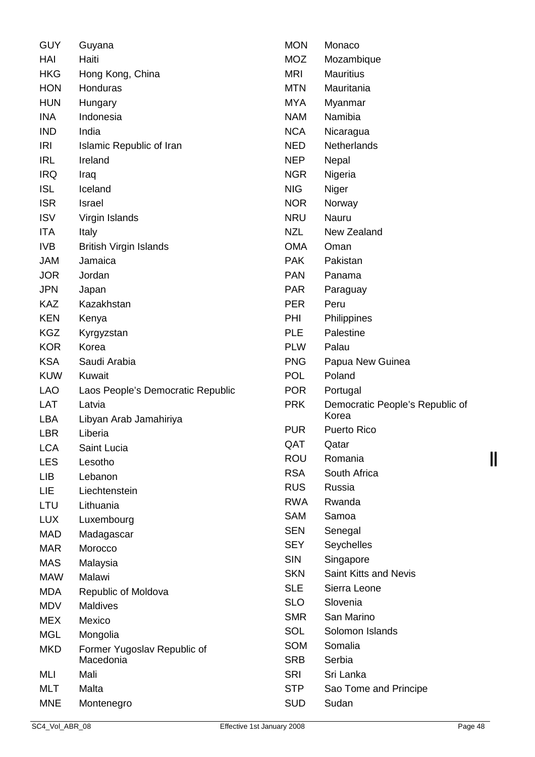| <b>GUY</b> | Guyana                            | <b>MON</b> | Monaco                          |
|------------|-----------------------------------|------------|---------------------------------|
| HAI        | Haiti                             | <b>MOZ</b> | Mozambique                      |
| <b>HKG</b> | Hong Kong, China                  | <b>MRI</b> | <b>Mauritius</b>                |
| <b>HON</b> | Honduras                          | <b>MTN</b> | Mauritania                      |
| <b>HUN</b> | Hungary                           | <b>MYA</b> | Myanmar                         |
| <b>INA</b> | Indonesia                         | <b>NAM</b> | Namibia                         |
| <b>IND</b> | India                             | <b>NCA</b> | Nicaragua                       |
| <b>IRI</b> | Islamic Republic of Iran          | NED.       | Netherlands                     |
| <b>IRL</b> | Ireland                           | <b>NEP</b> | Nepal                           |
| <b>IRQ</b> | Iraq                              | <b>NGR</b> | Nigeria                         |
| <b>ISL</b> | Iceland                           | <b>NIG</b> | Niger                           |
| <b>ISR</b> | Israel                            | <b>NOR</b> | Norway                          |
| <b>ISV</b> | Virgin Islands                    | <b>NRU</b> | Nauru                           |
| <b>ITA</b> | Italy                             | <b>NZL</b> | New Zealand                     |
| <b>IVB</b> | <b>British Virgin Islands</b>     | <b>OMA</b> | Oman                            |
| <b>JAM</b> | Jamaica                           | <b>PAK</b> | Pakistan                        |
| <b>JOR</b> | Jordan                            | <b>PAN</b> | Panama                          |
| <b>JPN</b> | Japan                             | <b>PAR</b> | Paraguay                        |
| <b>KAZ</b> | Kazakhstan                        | <b>PER</b> | Peru                            |
| <b>KEN</b> | Kenya                             | <b>PHI</b> | Philippines                     |
| <b>KGZ</b> | Kyrgyzstan                        | <b>PLE</b> | Palestine                       |
| <b>KOR</b> | Korea                             | <b>PLW</b> | Palau                           |
| <b>KSA</b> | Saudi Arabia                      | <b>PNG</b> | Papua New Guinea                |
| <b>KUW</b> | Kuwait                            | <b>POL</b> | Poland                          |
| <b>LAO</b> | Laos People's Democratic Republic | <b>POR</b> | Portugal                        |
| LAT        | Latvia                            | <b>PRK</b> | Democratic People's Republic of |
| <b>LBA</b> | Libyan Arab Jamahiriya            |            | Korea                           |
| <b>LBR</b> | Liberia                           | <b>PUR</b> | <b>Puerto Rico</b>              |
| <b>LCA</b> | Saint Lucia                       | QAT        | Qatar                           |
| <b>LES</b> | Lesotho                           | <b>ROU</b> | Romania                         |
| <b>LIB</b> | Lebanon                           | <b>RSA</b> | South Africa                    |
| LIE        | Liechtenstein                     | <b>RUS</b> | Russia                          |
| LTU        | Lithuania                         | <b>RWA</b> | Rwanda                          |
| <b>LUX</b> | Luxembourg                        | <b>SAM</b> | Samoa                           |
| <b>MAD</b> | Madagascar                        | <b>SEN</b> | Senegal                         |
| <b>MAR</b> | Morocco                           | <b>SEY</b> | Seychelles                      |
| <b>MAS</b> | Malaysia                          | <b>SIN</b> | Singapore                       |
| <b>MAW</b> | Malawi                            | <b>SKN</b> | Saint Kitts and Nevis           |
| <b>MDA</b> | Republic of Moldova               | <b>SLE</b> | Sierra Leone                    |
| <b>MDV</b> | <b>Maldives</b>                   | <b>SLO</b> | Slovenia                        |
| <b>MEX</b> | Mexico                            | <b>SMR</b> | San Marino                      |
| <b>MGL</b> | Mongolia                          | <b>SOL</b> | Solomon Islands                 |
| <b>MKD</b> | Former Yugoslav Republic of       | <b>SOM</b> | Somalia                         |
|            | Macedonia                         | <b>SRB</b> | Serbia                          |
| MLI        | Mali                              | <b>SRI</b> | Sri Lanka                       |
| <b>MLT</b> | Malta                             | <b>STP</b> | Sao Tome and Principe           |
| <b>MNE</b> | Montenegro                        | <b>SUD</b> | Sudan                           |

 $\mathbf{I}$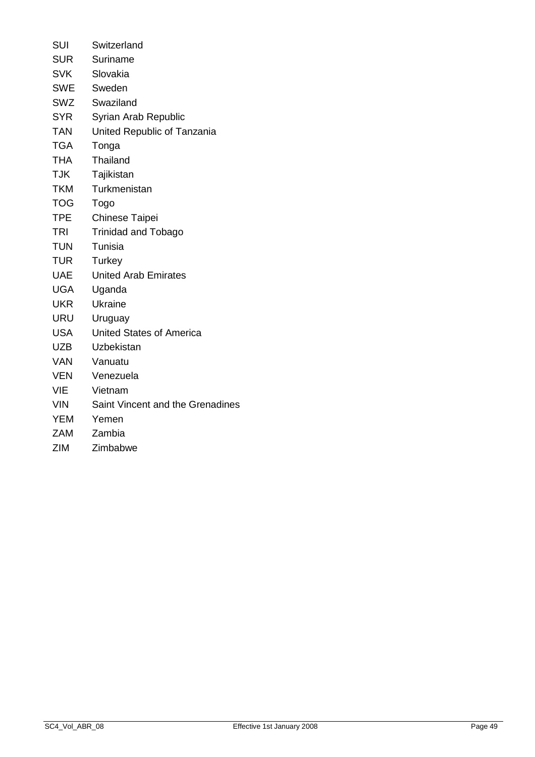| <b>SUI</b> | Switzerland                      |
|------------|----------------------------------|
| <b>SUR</b> | Suriname                         |
| <b>SVK</b> | Slovakia                         |
| <b>SWE</b> | Sweden                           |
| <b>SWZ</b> | Swaziland                        |
| <b>SYR</b> | Syrian Arab Republic             |
| TAN        | United Republic of Tanzania      |
| <b>TGA</b> | Tonga                            |
| <b>THA</b> | <b>Thailand</b>                  |
| <b>TJK</b> | Tajikistan                       |
| <b>TKM</b> | Turkmenistan                     |
| <b>TOG</b> | Togo                             |
| <b>TPE</b> | <b>Chinese Taipei</b>            |
| <b>TRI</b> | <b>Trinidad and Tobago</b>       |
| <b>TUN</b> | Tunisia                          |
| <b>TUR</b> | Turkey                           |
| <b>UAE</b> | <b>United Arab Emirates</b>      |
| <b>UGA</b> | Uganda                           |
| <b>UKR</b> | Ukraine                          |
| URU        | Uruguay                          |
| <b>USA</b> | <b>United States of America</b>  |
| UZB        | Uzbekistan                       |
| <b>VAN</b> | Vanuatu                          |
| <b>VEN</b> | Venezuela                        |
| <b>VIE</b> | Vietnam                          |
| <b>VIN</b> | Saint Vincent and the Grenadines |
| <b>YEM</b> | Yemen                            |
| ZAM        | Zambia                           |
| <b>ZIM</b> | Zimbabwe                         |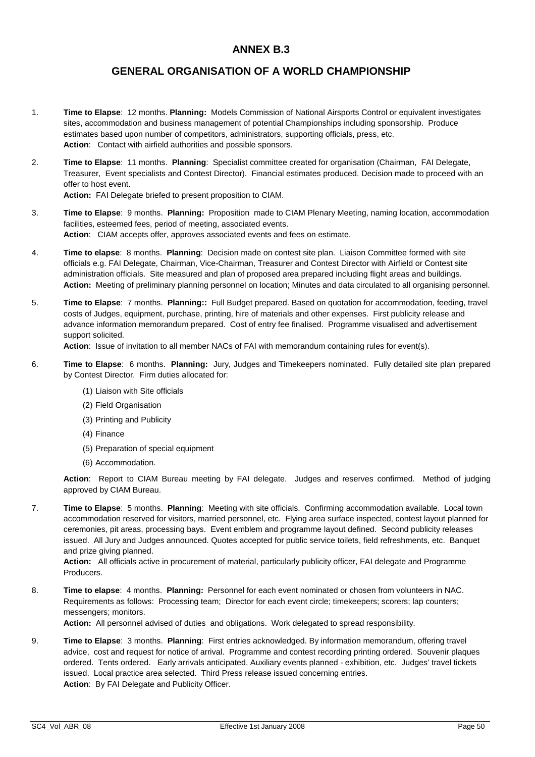# **ANNEX B.3**

# **GENERAL ORGANISATION OF A WORLD CHAMPIONSHIP**

- 1. **Time to Elapse**: 12 months. **Planning:** Models Commission of National Airsports Control or equivalent investigates sites, accommodation and business management of potential Championships including sponsorship. Produce estimates based upon number of competitors, administrators, supporting officials, press, etc. **Action**: Contact with airfield authorities and possible sponsors.
- 2. **Time to Elapse**: 11 months. **Planning**: Specialist committee created for organisation (Chairman, FAI Delegate, Treasurer, Event specialists and Contest Director). Financial estimates produced. Decision made to proceed with an offer to host event.

**Action:** FAI Delegate briefed to present proposition to CIAM.

- 3. **Time to Elapse**: 9 months. **Planning:** Proposition made to CIAM Plenary Meeting, naming location, accommodation facilities, esteemed fees, period of meeting, associated events. **Action**: CIAM accepts offer, approves associated events and fees on estimate.
- 4. **Time to elapse**: 8 months. **Planning**: Decision made on contest site plan. Liaison Committee formed with site officials e.g. FAI Delegate, Chairman, Vice-Chairman, Treasurer and Contest Director with Airfield or Contest site administration officials. Site measured and plan of proposed area prepared including flight areas and buildings. **Action:** Meeting of preliminary planning personnel on location; Minutes and data circulated to all organising personnel.
- 5. **Time to Elapse**: 7 months. **Planning::** Full Budget prepared. Based on quotation for accommodation, feeding, travel costs of Judges, equipment, purchase, printing, hire of materials and other expenses. First publicity release and advance information memorandum prepared. Cost of entry fee finalised. Programme visualised and advertisement support solicited.

**Action**: Issue of invitation to all member NACs of FAI with memorandum containing rules for event(s).

- 6. **Time to Elapse**: 6 months. **Planning:** Jury, Judges and Timekeepers nominated. Fully detailed site plan prepared by Contest Director. Firm duties allocated for:
	- (1) Liaison with Site officials
	- (2) Field Organisation
	- (3) Printing and Publicity
	- (4) Finance
	- (5) Preparation of special equipment
	- (6) Accommodation.

**Action**: Report to CIAM Bureau meeting by FAI delegate. Judges and reserves confirmed. Method of judging approved by CIAM Bureau.

7. **Time to Elapse**: 5 months. **Planning**: Meeting with site officials. Confirming accommodation available. Local town accommodation reserved for visitors, married personnel, etc. Flying area surface inspected, contest layout planned for ceremonies, pit areas, processing bays. Event emblem and programme layout defined. Second publicity releases issued. All Jury and Judges announced. Quotes accepted for public service toilets, field refreshments, etc. Banquet and prize giving planned.

**Action:** All officials active in procurement of material, particularly publicity officer, FAI delegate and Programme Producers.

8. **Time to elapse**: 4 months. **Planning:** Personnel for each event nominated or chosen from volunteers in NAC. Requirements as follows: Processing team; Director for each event circle; timekeepers; scorers; lap counters; messengers; monitors.

**Action:** All personnel advised of duties and obligations. Work delegated to spread responsibility.

9. **Time to Elapse**: 3 months. **Planning**: First entries acknowledged. By information memorandum, offering travel advice, cost and request for notice of arrival. Programme and contest recording printing ordered. Souvenir plaques ordered. Tents ordered. Early arrivals anticipated. Auxiliary events planned - exhibition, etc. Judges' travel tickets issued. Local practice area selected. Third Press release issued concerning entries. Action: By FAI Delegate and Publicity Officer.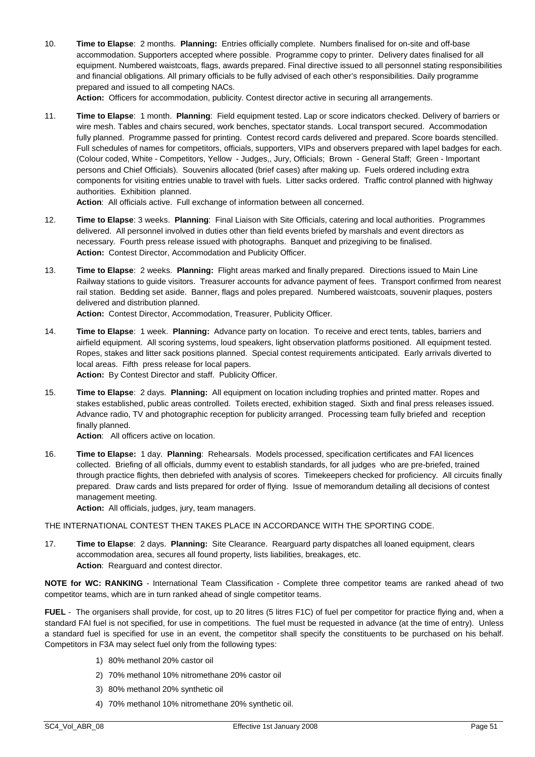10. **Time to Elapse**: 2 months. **Planning:** Entries officially complete. Numbers finalised for on-site and off-base accommodation. Supporters accepted where possible. Programme copy to printer. Delivery dates finalised for all equipment. Numbered waistcoats, flags, awards prepared. Final directive issued to all personnel stating responsibilities and financial obligations. All primary officials to be fully advised of each other's responsibilities. Daily programme prepared and issued to all competing NACs.

**Action:** Officers for accommodation, publicity. Contest director active in securing all arrangements.

11. **Time to Elapse**: 1 month. **Planning**: Field equipment tested. Lap or score indicators checked. Delivery of barriers or wire mesh. Tables and chairs secured, work benches, spectator stands. Local transport secured. Accommodation fully planned. Programme passed for printing. Contest record cards delivered and prepared. Score boards stencilled. Full schedules of names for competitors, officials, supporters, VIPs and observers prepared with lapel badges for each. (Colour coded, White - Competitors, Yellow - Judges,, Jury, Officials; Brown - General Staff; Green - Important persons and Chief Officials). Souvenirs allocated (brief cases) after making up. Fuels ordered including extra components for visiting entries unable to travel with fuels. Litter sacks ordered. Traffic control planned with highway authorities. Exhibition planned.

**Action**: All officials active. Full exchange of information between all concerned.

- 12. **Time to Elapse**: 3 weeks. **Planning**: Final Liaison with Site Officials, catering and local authorities. Programmes delivered. All personnel involved in duties other than field events briefed by marshals and event directors as necessary. Fourth press release issued with photographs. Banquet and prizegiving to be finalised. **Action:** Contest Director, Accommodation and Publicity Officer.
- 13. **Time to Elapse**: 2 weeks. **Planning:** Flight areas marked and finally prepared. Directions issued to Main Line Railway stations to guide visitors. Treasurer accounts for advance payment of fees. Transport confirmed from nearest rail station. Bedding set aside. Banner, flags and poles prepared. Numbered waistcoats, souvenir plaques, posters delivered and distribution planned.

**Action:** Contest Director, Accommodation, Treasurer, Publicity Officer.

14. **Time to Elapse**: 1 week. **Planning:** Advance party on location. To receive and erect tents, tables, barriers and airfield equipment. All scoring systems, loud speakers, light observation platforms positioned. All equipment tested. Ropes, stakes and litter sack positions planned. Special contest requirements anticipated. Early arrivals diverted to local areas. Fifth press release for local papers.

**Action:** By Contest Director and staff. Publicity Officer.

15. **Time to Elapse**: 2 days. **Planning:** All equipment on location including trophies and printed matter. Ropes and stakes established, public areas controlled. Toilets erected, exhibition staged. Sixth and final press releases issued. Advance radio, TV and photographic reception for publicity arranged. Processing team fully briefed and reception finally planned.

**Action**: All officers active on location.

16. **Time to Elapse:** 1 day. **Planning**: Rehearsals. Models processed, specification certificates and FAI licences collected. Briefing of all officials, dummy event to establish standards, for all judges who are pre-briefed, trained through practice flights, then debriefed with analysis of scores. Timekeepers checked for proficiency. All circuits finally prepared. Draw cards and lists prepared for order of flying. Issue of memorandum detailing all decisions of contest management meeting.

**Action:** All officials, judges, jury, team managers.

THE INTERNATIONAL CONTEST THEN TAKES PLACE IN ACCORDANCE WITH THE SPORTING CODE.

17. **Time to Elapse**: 2 days. **Planning:** Site Clearance. Rearguard party dispatches all loaned equipment, clears accommodation area, secures all found property, lists liabilities, breakages, etc. Action: Rearguard and contest director.

**NOTE for WC: RANKING** - International Team Classification - Complete three competitor teams are ranked ahead of two competitor teams, which are in turn ranked ahead of single competitor teams.

**FUEL** - The organisers shall provide, for cost, up to 20 litres (5 litres F1C) of fuel per competitor for practice flying and, when a standard FAI fuel is not specified, for use in competitions. The fuel must be requested in advance (at the time of entry). Unless a standard fuel is specified for use in an event, the competitor shall specify the constituents to be purchased on his behalf. Competitors in F3A may select fuel only from the following types:

- 1) 80% methanol 20% castor oil
- 2) 70% methanol 10% nitromethane 20% castor oil
- 3) 80% methanol 20% synthetic oil
- 4) 70% methanol 10% nitromethane 20% synthetic oil.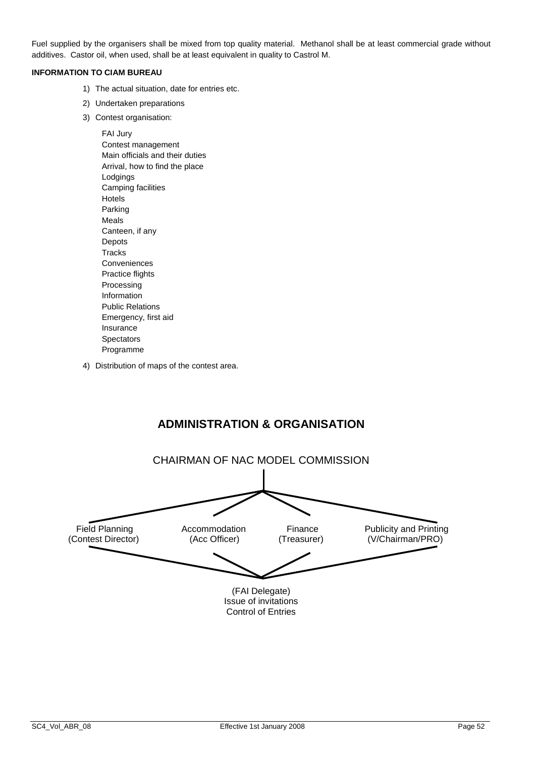Fuel supplied by the organisers shall be mixed from top quality material. Methanol shall be at least commercial grade without additives. Castor oil, when used, shall be at least equivalent in quality to Castrol M.

#### **INFORMATION TO CIAM BUREAU**

- 1) The actual situation, date for entries etc.
- 2) Undertaken preparations
- 3) Contest organisation:

FAI Jury Contest management Main officials and their duties Arrival, how to find the place Lodgings Camping facilities Hotels Parking Meals Canteen, if any Depots **Tracks** Conveniences Practice flights Processing Information Public Relations Emergency, first aid Insurance Spectators Programme

4) Distribution of maps of the contest area.

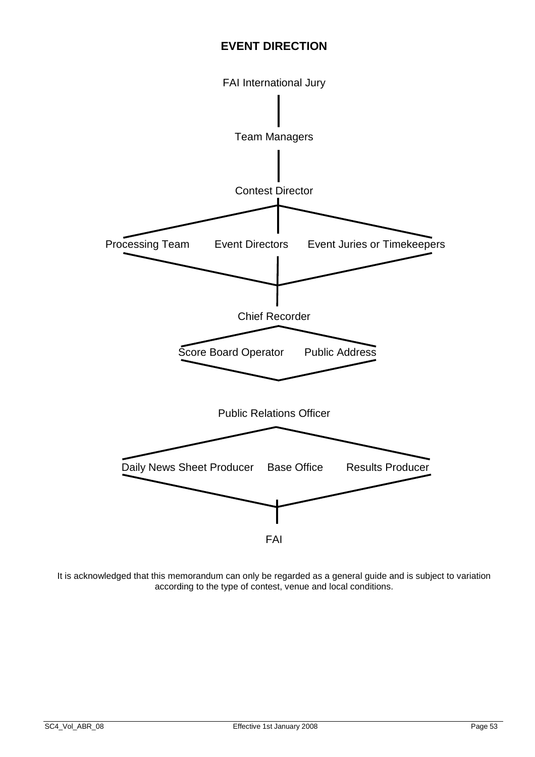# **EVENT DIRECTION**



It is acknowledged that this memorandum can only be regarded as a general guide and is subject to variation according to the type of contest, venue and local conditions.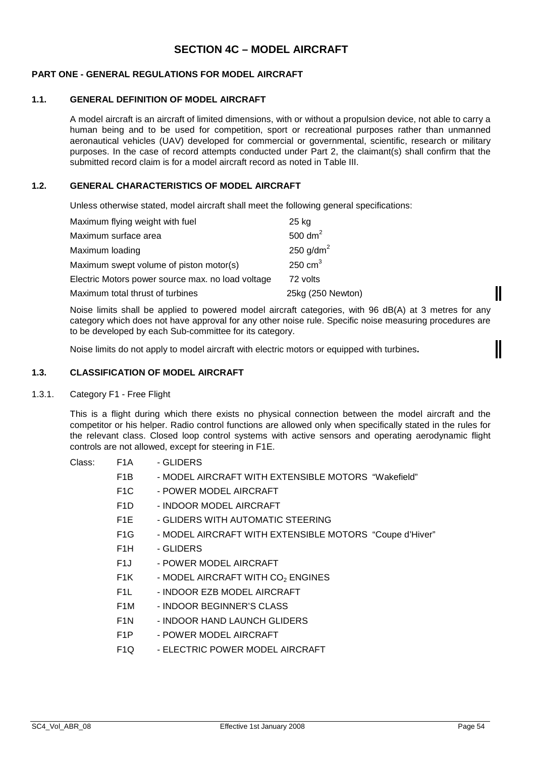# **SECTION 4C – MODEL AIRCRAFT**

# **PART ONE - GENERAL REGULATIONS FOR MODEL AIRCRAFT**

## **1.1. GENERAL DEFINITION OF MODEL AIRCRAFT**

A model aircraft is an aircraft of limited dimensions, with or without a propulsion device, not able to carry a human being and to be used for competition, sport or recreational purposes rather than unmanned aeronautical vehicles (UAV) developed for commercial or governmental, scientific, research or military purposes. In the case of record attempts conducted under Part 2, the claimant(s) shall confirm that the submitted record claim is for a model aircraft record as noted in Table III.

#### **1.2. GENERAL CHARACTERISTICS OF MODEL AIRCRAFT**

Unless otherwise stated, model aircraft shall meet the following general specifications:

| Maximum flying weight with fuel                   | 25 kg                 |
|---------------------------------------------------|-----------------------|
| Maximum surface area                              | 500 dm <sup>2</sup>   |
| Maximum loading                                   | 250 g/dm <sup>2</sup> |
| Maximum swept volume of piston motor(s)           | 250 $cm3$             |
| Electric Motors power source max. no load voltage | 72 volts              |
| Maximum total thrust of turbines                  | 25kg (250 Newton)     |

Noise limits shall be applied to powered model aircraft categories, with 96 dB(A) at 3 metres for any category which does not have approval for any other noise rule. Specific noise measuring procedures are to be developed by each Sub-committee for its category.

Noise limits do not apply to model aircraft with electric motors or equipped with turbines**.**

## **1.3. CLASSIFICATION OF MODEL AIRCRAFT**

#### 1.3.1. Category F1 - Free Flight

This is a flight during which there exists no physical connection between the model aircraft and the competitor or his helper. Radio control functions are allowed only when specifically stated in the rules for the relevant class. Closed loop control systems with active sensors and operating aerodynamic flight controls are not allowed, except for steering in F1E.

- Class: F1A GLIDERS
	- F1B MODEL AIRCRAFT WITH EXTENSIBLE MOTORS "Wakefield"
		- F1C POWER MODEL AIRCRAFT
		- F1D INDOOR MODEL AIRCRAFT
		- F1E GLIDERS WITH AUTOMATIC STEERING
		- F1G MODEL AIRCRAFT WITH EXTENSIBLE MOTORS "Coupe d'Hiver"
		- F<sub>1</sub>H GLIDERS
		- F1J POWER MODEL AIRCRAFT
		- F1K MODEL AIRCRAFT WITH CO<sub>2</sub> ENGINES
		- F1L INDOOR EZB MODEL AIRCRAFT
		- F1M INDOOR BEGINNER'S CLASS
		- F1N INDOOR HAND LAUNCH GLIDERS
		- F1P POWER MODEL AIRCRAFT
		- F1Q ELECTRIC POWER MODEL AIRCRAFT

 $\mathbf{\mathsf{I}}$ 

║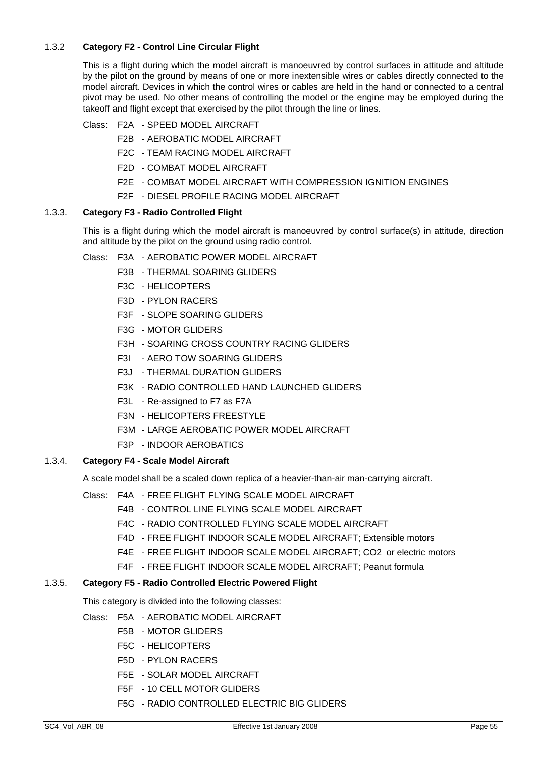# 1.3.2 **Category F2 - Control Line Circular Flight**

This is a flight during which the model aircraft is manoeuvred by control surfaces in attitude and altitude by the pilot on the ground by means of one or more inextensible wires or cables directly connected to the model aircraft. Devices in which the control wires or cables are held in the hand or connected to a central pivot may be used. No other means of controlling the model or the engine may be employed during the takeoff and flight except that exercised by the pilot through the line or lines.

- Class: F2A SPEED MODEL AIRCRAFT
	- F2B AEROBATIC MODEL AIRCRAFT
	- F2C TEAM RACING MODEL AIRCRAFT
	- F2D COMBAT MODEL AIRCRAFT
	- F2E COMBAT MODEL AIRCRAFT WITH COMPRESSION IGNITION ENGINES
	- F2F DIESEL PROFILE RACING MODEL AIRCRAFT

## 1.3.3. **Category F3 - Radio Controlled Flight**

This is a flight during which the model aircraft is manoeuvred by control surface(s) in attitude, direction and altitude by the pilot on the ground using radio control.

- Class: F3A AEROBATIC POWER MODEL AIRCRAFT
	- F3B THERMAL SOARING GLIDERS
	- F3C HELICOPTERS
	- F3D PYLON RACERS
	- F3F SLOPE SOARING GLIDERS
	- F3G MOTOR GLIDERS
	- F3H SOARING CROSS COUNTRY RACING GLIDERS
	- F3I AERO TOW SOARING GLIDERS
	- F3J THERMAL DURATION GLIDERS
	- F3K RADIO CONTROLLED HAND LAUNCHED GLIDERS
	- F3L Re-assigned to F7 as F7A
	- F3N HELICOPTERS FREESTYLE
	- F3M LARGE AEROBATIC POWER MODEL AIRCRAFT
	- F3P INDOOR AEROBATICS

# 1.3.4. **Category F4 - Scale Model Aircraft**

A scale model shall be a scaled down replica of a heavier-than-air man-carrying aircraft.

- Class: F4A FREE FLIGHT FLYING SCALE MODEL AIRCRAFT
	- F4B CONTROL LINE FLYING SCALE MODEL AIRCRAFT
	- F4C RADIO CONTROLLED FLYING SCALE MODEL AIRCRAFT
	- F4D FREE FLIGHT INDOOR SCALE MODEL AIRCRAFT; Extensible motors
	- F4E FREE FLIGHT INDOOR SCALE MODEL AIRCRAFT; CO2 or electric motors
	- F4F FREE FLIGHT INDOOR SCALE MODEL AIRCRAFT; Peanut formula

# 1.3.5. **Category F5 - Radio Controlled Electric Powered Flight**

This category is divided into the following classes:

- Class: F5A AEROBATIC MODEL AIRCRAFT
	- F5B MOTOR GLIDERS
	- F5C HELICOPTERS
	- F5D PYLON RACERS
	- F5E SOLAR MODEL AIRCRAFT
	- F5F 10 CELL MOTOR GLIDERS
	- F5G RADIO CONTROLLED ELECTRIC BIG GLIDERS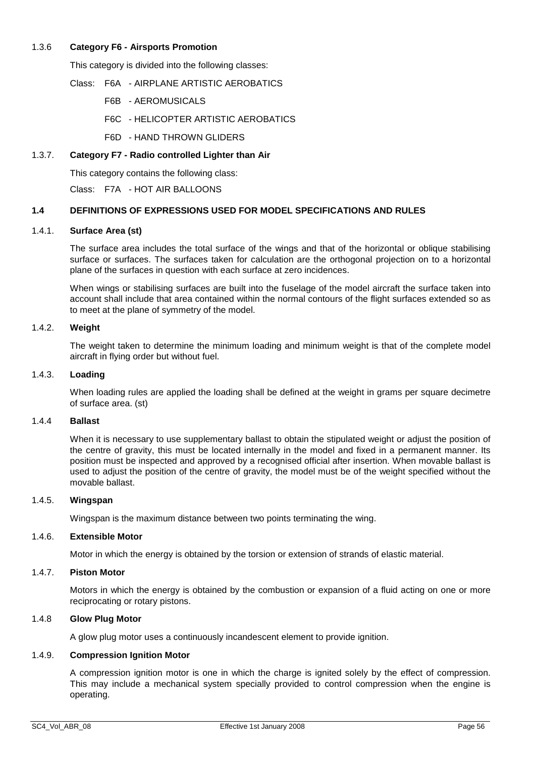## 1.3.6 **Category F6 - Airsports Promotion**

This category is divided into the following classes:

Class: F6A - AIRPLANE ARTISTIC AEROBATICS

- F6B AEROMUSICALS
- F6C HELICOPTER ARTISTIC AEROBATICS
- F6D HAND THROWN GLIDERS

## 1.3.7. **Category F7 - Radio controlled Lighter than Air**

This category contains the following class:

Class: F7A - HOT AIR BALLOONS

# **1.4 DEFINITIONS OF EXPRESSIONS USED FOR MODEL SPECIFICATIONS AND RULES**

#### 1.4.1. **Surface Area (st)**

The surface area includes the total surface of the wings and that of the horizontal or oblique stabilising surface or surfaces. The surfaces taken for calculation are the orthogonal projection on to a horizontal plane of the surfaces in question with each surface at zero incidences.

When wings or stabilising surfaces are built into the fuselage of the model aircraft the surface taken into account shall include that area contained within the normal contours of the flight surfaces extended so as to meet at the plane of symmetry of the model.

#### 1.4.2. **Weight**

The weight taken to determine the minimum loading and minimum weight is that of the complete model aircraft in flying order but without fuel.

#### 1.4.3. **Loading**

When loading rules are applied the loading shall be defined at the weight in grams per square decimetre of surface area. (st)

#### 1.4.4 **Ballast**

When it is necessary to use supplementary ballast to obtain the stipulated weight or adjust the position of the centre of gravity, this must be located internally in the model and fixed in a permanent manner. Its position must be inspected and approved by a recognised official after insertion. When movable ballast is used to adjust the position of the centre of gravity, the model must be of the weight specified without the movable ballast.

#### 1.4.5. **Wingspan**

Wingspan is the maximum distance between two points terminating the wing.

#### 1.4.6. **Extensible Motor**

Motor in which the energy is obtained by the torsion or extension of strands of elastic material.

#### 1.4.7. **Piston Motor**

Motors in which the energy is obtained by the combustion or expansion of a fluid acting on one or more reciprocating or rotary pistons.

#### 1.4.8 **Glow Plug Motor**

A glow plug motor uses a continuously incandescent element to provide ignition.

#### 1.4.9. **Compression Ignition Motor**

A compression ignition motor is one in which the charge is ignited solely by the effect of compression. This may include a mechanical system specially provided to control compression when the engine is operating.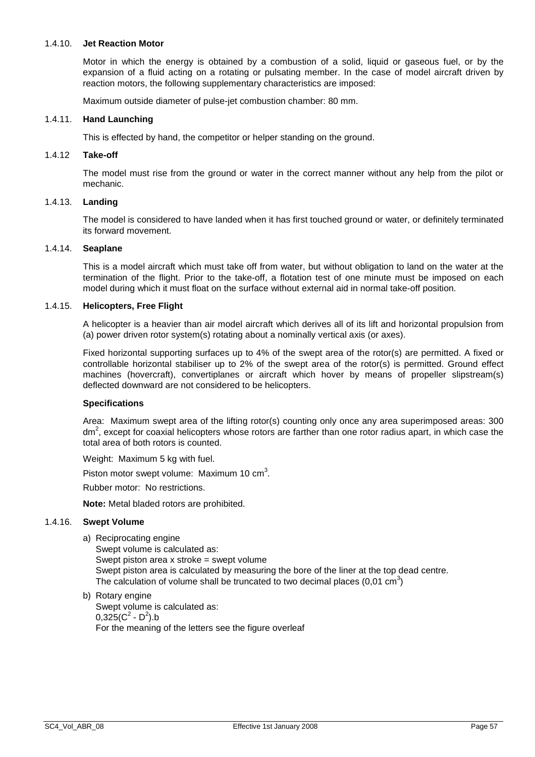#### 1.4.10. **Jet Reaction Motor**

Motor in which the energy is obtained by a combustion of a solid, liquid or gaseous fuel, or by the expansion of a fluid acting on a rotating or pulsating member. In the case of model aircraft driven by reaction motors, the following supplementary characteristics are imposed:

Maximum outside diameter of pulse-jet combustion chamber: 80 mm.

#### 1.4.11. **Hand Launching**

This is effected by hand, the competitor or helper standing on the ground.

# 1.4.12 **Take-off**

The model must rise from the ground or water in the correct manner without any help from the pilot or mechanic.

#### 1.4.13. **Landing**

The model is considered to have landed when it has first touched ground or water, or definitely terminated its forward movement.

#### 1.4.14. **Seaplane**

This is a model aircraft which must take off from water, but without obligation to land on the water at the termination of the flight. Prior to the take-off, a flotation test of one minute must be imposed on each model during which it must float on the surface without external aid in normal take-off position.

#### 1.4.15. **Helicopters, Free Flight**

A helicopter is a heavier than air model aircraft which derives all of its lift and horizontal propulsion from (a) power driven rotor system(s) rotating about a nominally vertical axis (or axes).

Fixed horizontal supporting surfaces up to 4% of the swept area of the rotor(s) are permitted. A fixed or controllable horizontal stabiliser up to 2% of the swept area of the rotor(s) is permitted. Ground effect machines (hovercraft), convertiplanes or aircraft which hover by means of propeller slipstream(s) deflected downward are not considered to be helicopters.

#### **Specifications**

Area: Maximum swept area of the lifting rotor(s) counting only once any area superimposed areas: 300  $dm^2$ , except for coaxial helicopters whose rotors are farther than one rotor radius apart, in which case the total area of both rotors is counted.

Weight: Maximum 5 kg with fuel.

Piston motor swept volume: Maximum 10  $cm<sup>3</sup>$ .

Rubber motor: No restrictions.

**Note:** Metal bladed rotors are prohibited.

#### 1.4.16. **Swept Volume**

a) Reciprocating engine

Swept volume is calculated as: Swept piston area x stroke = swept volume Swept piston area is calculated by measuring the bore of the liner at the top dead centre. The calculation of volume shall be truncated to two decimal places  $(0.01 \text{ cm}^3)$ 

b) Rotary engine Swept volume is calculated as:  $0,325(C^2 - D^2)$ .b For the meaning of the letters see the figure overleaf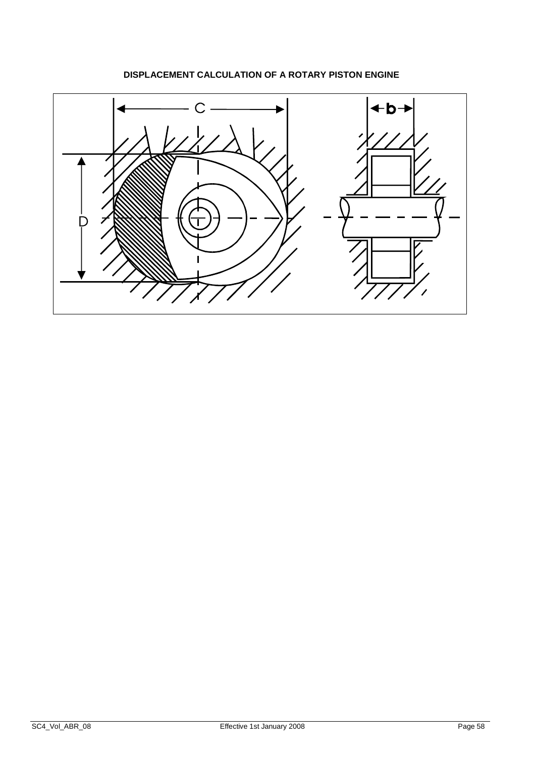# $+b$ С

# **DISPLACEMENT CALCULATION OF A ROTARY PISTON ENGINE**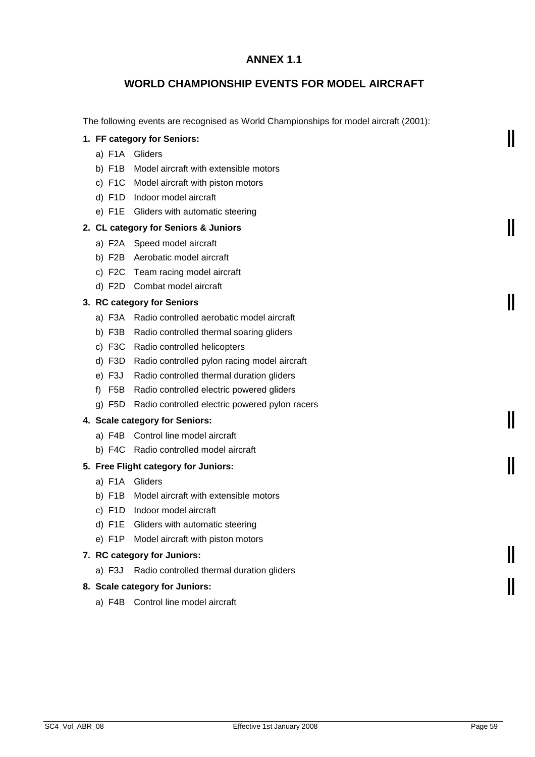# **ANNEX 1.1**

# **WORLD CHAMPIONSHIP EVENTS FOR MODEL AIRCRAFT**

The following events are recognised as World Championships for model aircraft (2001):

## **1. FF category for Seniors:**

- a) F1A Gliders
- b) F1B Model aircraft with extensible motors
- c) F1C Model aircraft with piston motors
- d) F1D Indoor model aircraft
- e) F1E Gliders with automatic steering

#### **2. CL category for Seniors & Juniors**

- a) F2A Speed model aircraft
- b) F2B Aerobatic model aircraft
- c) F2C Team racing model aircraft
- d) F2D Combat model aircraft

#### **3. RC category for Seniors**

- a) F3A Radio controlled aerobatic model aircraft
- b) F3B Radio controlled thermal soaring gliders
- c) F3C Radio controlled helicopters
- d) F3D Radio controlled pylon racing model aircraft
- e) F3J Radio controlled thermal duration gliders
- f) F5B Radio controlled electric powered gliders
- g) F5D Radio controlled electric powered pylon racers

#### **4. Scale category for Seniors:**

- a) F4B Control line model aircraft
- b) F4C Radio controlled model aircraft

#### **5. Free Flight category for Juniors:**

- a) F1A Gliders
- b) F1B Model aircraft with extensible motors
- c) F1D Indoor model aircraft
- d) F1E Gliders with automatic steering
- e) F1P Model aircraft with piston motors

## **7. RC category for Juniors:**

a) F3J Radio controlled thermal duration gliders

#### **8. Scale category for Juniors:**

a) F4B Control line model aircraft

Ш

 $\mathbf{\mathsf{I}}$ 

Ш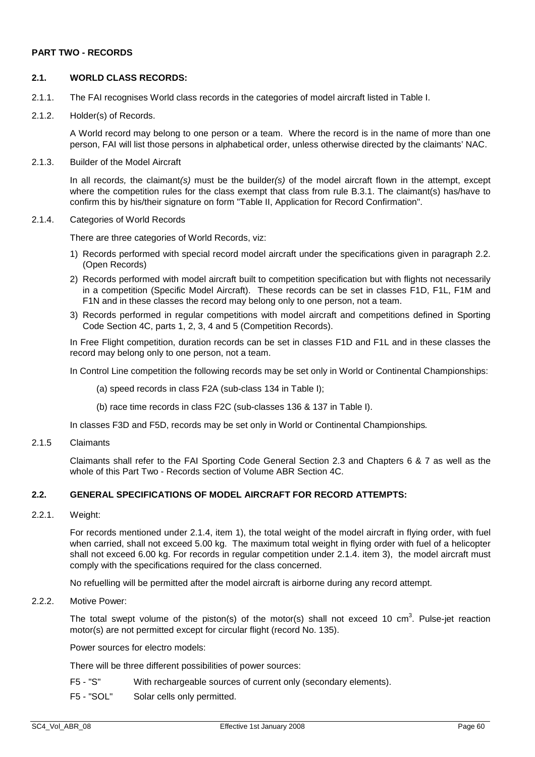# **PART TWO - RECORDS**

#### **2.1. WORLD CLASS RECORDS:**

- 2.1.1. The FAI recognises World class records in the categories of model aircraft listed in Table I.
- 2.1.2. Holder(s) of Records.

A World record may belong to one person or a team. Where the record is in the name of more than one person, FAI will list those persons in alphabetical order, unless otherwise directed by the claimants' NAC.

2.1.3. Builder of the Model Aircraft

In all records, the claimant(s) must be the builder(s) of the model aircraft flown in the attempt, except where the competition rules for the class exempt that class from rule B.3.1. The claimant(s) has/have to confirm this by his/their signature on form "Table II, Application for Record Confirmation".

2.1.4. Categories of World Records

There are three categories of World Records, viz:

- 1) Records performed with special record model aircraft under the specifications given in paragraph 2.2. (Open Records)
- 2) Records performed with model aircraft built to competition specification but with flights not necessarily in a competition (Specific Model Aircraft). These records can be set in classes F1D, F1L, F1M and F1N and in these classes the record may belong only to one person, not a team.
- 3) Records performed in regular competitions with model aircraft and competitions defined in Sporting Code Section 4C, parts 1, 2, 3, 4 and 5 (Competition Records).

In Free Flight competition, duration records can be set in classes F1D and F1L and in these classes the record may belong only to one person, not a team.

In Control Line competition the following records may be set only in World or Continental Championships:

- (a) speed records in class F2A (sub-class 134 in Table I);
- (b) race time records in class F2C (sub-classes 136 & 137 in Table I).

In classes F3D and F5D, records may be set only in World or Continental Championships.

2.1.5 Claimants

Claimants shall refer to the FAI Sporting Code General Section 2.3 and Chapters 6 & 7 as well as the whole of this Part Two - Records section of Volume ABR Section 4C.

# **2.2. GENERAL SPECIFICATIONS OF MODEL AIRCRAFT FOR RECORD ATTEMPTS:**

2.2.1. Weight:

For records mentioned under 2.1.4, item 1), the total weight of the model aircraft in flying order, with fuel when carried, shall not exceed 5.00 kg. The maximum total weight in flying order with fuel of a helicopter shall not exceed 6.00 kg. For records in regular competition under 2.1.4. item 3), the model aircraft must comply with the specifications required for the class concerned.

No refuelling will be permitted after the model aircraft is airborne during any record attempt.

2.2.2. Motive Power:

The total swept volume of the piston(s) of the motor(s) shall not exceed 10 cm<sup>3</sup>. Pulse-jet reaction motor(s) are not permitted except for circular flight (record No. 135).

Power sources for electro models:

There will be three different possibilities of power sources:

- F5 "S" With rechargeable sources of current only (secondary elements).
- F5 "SOL" Solar cells only permitted.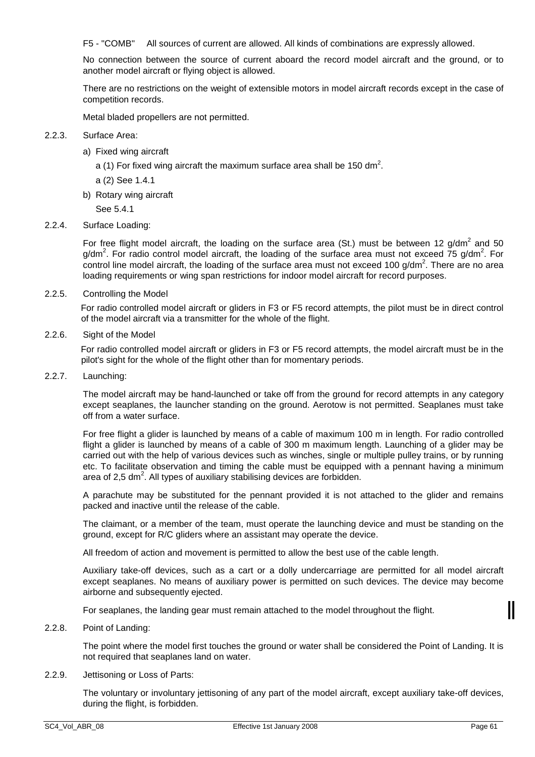F5 - "COMB" All sources of current are allowed. All kinds of combinations are expressly allowed.

No connection between the source of current aboard the record model aircraft and the ground, or to another model aircraft or flying object is allowed.

There are no restrictions on the weight of extensible motors in model aircraft records except in the case of competition records.

Metal bladed propellers are not permitted.

#### 2.2.3. Surface Area:

- a) Fixed wing aircraft
- a (1) For fixed wing aircraft the maximum surface area shall be 150 dm<sup>2</sup>.
	- a (2) See 1.4.1
- b) Rotary wing aircraft

See 5.4.1

#### 2.2.4. Surface Loading:

For free flight model aircraft, the loading on the surface area (St.) must be between 12 g/dm<sup>2</sup> and 50 g/dm<sup>2</sup>. For radio control model aircraft, the loading of the surface area must not exceed 75 g/dm<sup>2</sup>. For control line model aircraft, the loading of the surface area must not exceed 100 g/dm<sup>2</sup>. There are no area loading requirements or wing span restrictions for indoor model aircraft for record purposes.

#### 2.2.5. Controlling the Model

For radio controlled model aircraft or gliders in F3 or F5 record attempts, the pilot must be in direct control of the model aircraft via a transmitter for the whole of the flight.

#### 2.2.6. Sight of the Model

For radio controlled model aircraft or gliders in F3 or F5 record attempts, the model aircraft must be in the pilot's sight for the whole of the flight other than for momentary periods.

#### 2.2.7. Launching:

The model aircraft may be hand-launched or take off from the ground for record attempts in any category except seaplanes, the launcher standing on the ground. Aerotow is not permitted. Seaplanes must take off from a water surface.

For free flight a glider is launched by means of a cable of maximum 100 m in length. For radio controlled flight a glider is launched by means of a cable of 300 m maximum length. Launching of a glider may be carried out with the help of various devices such as winches, single or multiple pulley trains, or by running etc. To facilitate observation and timing the cable must be equipped with a pennant having a minimum area of 2,5 dm<sup>2</sup>. All types of auxiliary stabilising devices are forbidden.

A parachute may be substituted for the pennant provided it is not attached to the glider and remains packed and inactive until the release of the cable.

The claimant, or a member of the team, must operate the launching device and must be standing on the ground, except for R/C gliders where an assistant may operate the device.

All freedom of action and movement is permitted to allow the best use of the cable length.

Auxiliary take-off devices, such as a cart or a dolly undercarriage are permitted for all model aircraft except seaplanes. No means of auxiliary power is permitted on such devices. The device may become airborne and subsequently ejected.

For seaplanes, the landing gear must remain attached to the model throughout the flight.

2.2.8. Point of Landing:

The point where the model first touches the ground or water shall be considered the Point of Landing. It is not required that seaplanes land on water.

# 2.2.9. Jettisoning or Loss of Parts:

The voluntary or involuntary jettisoning of any part of the model aircraft, except auxiliary take-off devices, during the flight, is forbidden.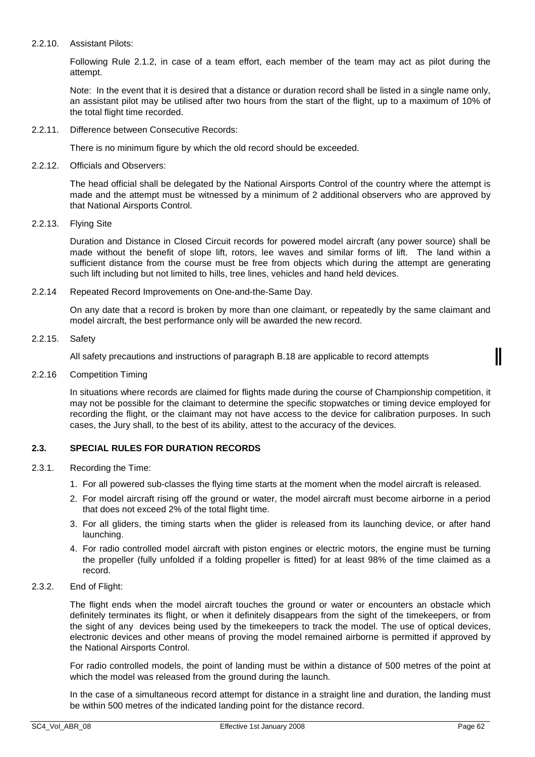## 2.2.10. Assistant Pilots:

Following Rule 2.1.2, in case of a team effort, each member of the team may act as pilot during the attempt.

Note: In the event that it is desired that a distance or duration record shall be listed in a single name only, an assistant pilot may be utilised after two hours from the start of the flight, up to a maximum of 10% of the total flight time recorded.

2.2.11. Difference between Consecutive Records:

There is no minimum figure by which the old record should be exceeded.

2.2.12. Officials and Observers:

The head official shall be delegated by the National Airsports Control of the country where the attempt is made and the attempt must be witnessed by a minimum of 2 additional observers who are approved by that National Airsports Control.

2.2.13. Flying Site

Duration and Distance in Closed Circuit records for powered model aircraft (any power source) shall be made without the benefit of slope lift, rotors, lee waves and similar forms of lift. The land within a sufficient distance from the course must be free from objects which during the attempt are generating such lift including but not limited to hills, tree lines, vehicles and hand held devices.

2.2.14 Repeated Record Improvements on One-and-the-Same Day.

On any date that a record is broken by more than one claimant, or repeatedly by the same claimant and model aircraft, the best performance only will be awarded the new record.

# 2.2.15. Safety

All safety precautions and instructions of paragraph B.18 are applicable to record attempts

2.2.16 Competition Timing

 In situations where records are claimed for flights made during the course of Championship competition, it may not be possible for the claimant to determine the specific stopwatches or timing device employed for recording the flight, or the claimant may not have access to the device for calibration purposes. In such cases, the Jury shall, to the best of its ability, attest to the accuracy of the devices.

# **2.3. SPECIAL RULES FOR DURATION RECORDS**

- 2.3.1. Recording the Time:
	- 1. For all powered sub-classes the flying time starts at the moment when the model aircraft is released.
	- 2. For model aircraft rising off the ground or water, the model aircraft must become airborne in a period that does not exceed 2% of the total flight time.
	- 3. For all gliders, the timing starts when the glider is released from its launching device, or after hand launching.
	- 4. For radio controlled model aircraft with piston engines or electric motors, the engine must be turning the propeller (fully unfolded if a folding propeller is fitted) for at least 98% of the time claimed as a record.
- 2.3.2. End of Flight:

The flight ends when the model aircraft touches the ground or water or encounters an obstacle which definitely terminates its flight, or when it definitely disappears from the sight of the timekeepers, or from the sight of any devices being used by the timekeepers to track the model. The use of optical devices, electronic devices and other means of proving the model remained airborne is permitted if approved by the National Airsports Control.

For radio controlled models, the point of landing must be within a distance of 500 metres of the point at which the model was released from the ground during the launch.

In the case of a simultaneous record attempt for distance in a straight line and duration, the landing must be within 500 metres of the indicated landing point for the distance record.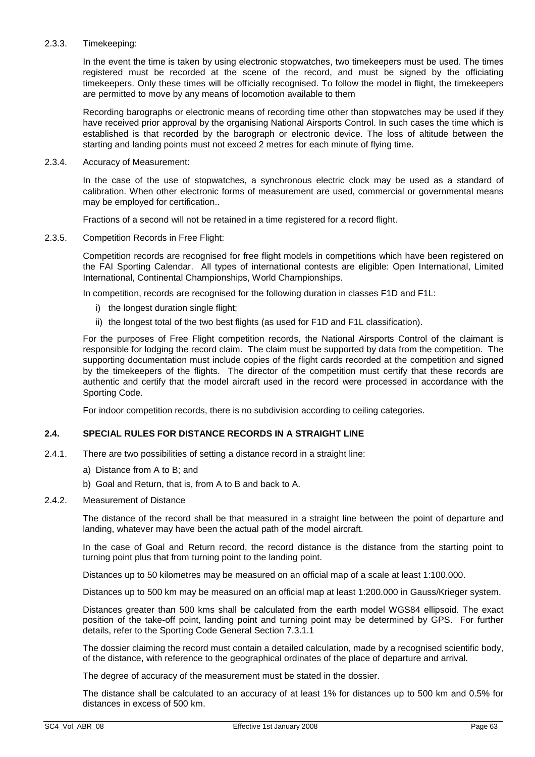## 2.3.3. Timekeeping:

In the event the time is taken by using electronic stopwatches, two timekeepers must be used. The times registered must be recorded at the scene of the record, and must be signed by the officiating timekeepers. Only these times will be officially recognised. To follow the model in flight, the timekeepers are permitted to move by any means of locomotion available to them

Recording barographs or electronic means of recording time other than stopwatches may be used if they have received prior approval by the organising National Airsports Control. In such cases the time which is established is that recorded by the barograph or electronic device. The loss of altitude between the starting and landing points must not exceed 2 metres for each minute of flying time.

2.3.4. Accuracy of Measurement:

In the case of the use of stopwatches, a synchronous electric clock may be used as a standard of calibration. When other electronic forms of measurement are used, commercial or governmental means may be employed for certification..

Fractions of a second will not be retained in a time registered for a record flight.

2.3.5. Competition Records in Free Flight:

Competition records are recognised for free flight models in competitions which have been registered on the FAI Sporting Calendar. All types of international contests are eligible: Open International, Limited International, Continental Championships, World Championships.

In competition, records are recognised for the following duration in classes F1D and F1L:

- i) the longest duration single flight;
- ii) the longest total of the two best flights (as used for F1D and F1L classification).

For the purposes of Free Flight competition records, the National Airsports Control of the claimant is responsible for lodging the record claim. The claim must be supported by data from the competition. The supporting documentation must include copies of the flight cards recorded at the competition and signed by the timekeepers of the flights. The director of the competition must certify that these records are authentic and certify that the model aircraft used in the record were processed in accordance with the Sporting Code.

For indoor competition records, there is no subdivision according to ceiling categories.

# **2.4. SPECIAL RULES FOR DISTANCE RECORDS IN A STRAIGHT LINE**

- 2.4.1. There are two possibilities of setting a distance record in a straight line:
	- a) Distance from A to B; and
	- b) Goal and Return, that is, from A to B and back to A.

## 2.4.2. Measurement of Distance

The distance of the record shall be that measured in a straight line between the point of departure and landing, whatever may have been the actual path of the model aircraft.

In the case of Goal and Return record, the record distance is the distance from the starting point to turning point plus that from turning point to the landing point.

Distances up to 50 kilometres may be measured on an official map of a scale at least 1:100.000.

Distances up to 500 km may be measured on an official map at least 1:200.000 in Gauss/Krieger system.

Distances greater than 500 kms shall be calculated from the earth model WGS84 ellipsoid. The exact position of the take-off point, landing point and turning point may be determined by GPS. For further details, refer to the Sporting Code General Section 7.3.1.1

The dossier claiming the record must contain a detailed calculation, made by a recognised scientific body, of the distance, with reference to the geographical ordinates of the place of departure and arrival.

The degree of accuracy of the measurement must be stated in the dossier.

The distance shall be calculated to an accuracy of at least 1% for distances up to 500 km and 0.5% for distances in excess of 500 km.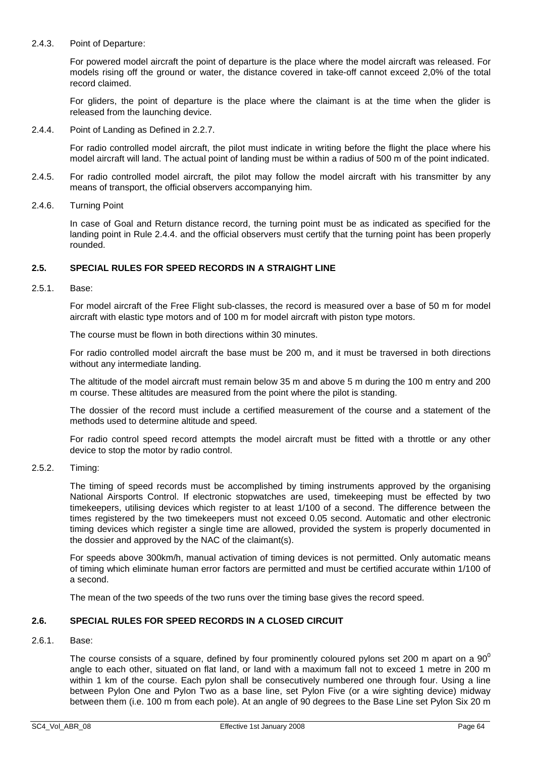#### 2.4.3. Point of Departure:

For powered model aircraft the point of departure is the place where the model aircraft was released. For models rising off the ground or water, the distance covered in take-off cannot exceed 2,0% of the total record claimed.

For gliders, the point of departure is the place where the claimant is at the time when the glider is released from the launching device.

2.4.4. Point of Landing as Defined in 2.2.7.

For radio controlled model aircraft, the pilot must indicate in writing before the flight the place where his model aircraft will land. The actual point of landing must be within a radius of 500 m of the point indicated.

- 2.4.5. For radio controlled model aircraft, the pilot may follow the model aircraft with his transmitter by any means of transport, the official observers accompanying him.
- 2.4.6. Turning Point

In case of Goal and Return distance record, the turning point must be as indicated as specified for the landing point in Rule 2.4.4. and the official observers must certify that the turning point has been properly rounded.

# **2.5. SPECIAL RULES FOR SPEED RECORDS IN A STRAIGHT LINE**

2.5.1. Base:

For model aircraft of the Free Flight sub-classes, the record is measured over a base of 50 m for model aircraft with elastic type motors and of 100 m for model aircraft with piston type motors.

The course must be flown in both directions within 30 minutes.

For radio controlled model aircraft the base must be 200 m, and it must be traversed in both directions without any intermediate landing.

The altitude of the model aircraft must remain below 35 m and above 5 m during the 100 m entry and 200 m course. These altitudes are measured from the point where the pilot is standing.

The dossier of the record must include a certified measurement of the course and a statement of the methods used to determine altitude and speed.

For radio control speed record attempts the model aircraft must be fitted with a throttle or any other device to stop the motor by radio control.

# 2.5.2. Timing:

The timing of speed records must be accomplished by timing instruments approved by the organising National Airsports Control. If electronic stopwatches are used, timekeeping must be effected by two timekeepers, utilising devices which register to at least 1/100 of a second. The difference between the times registered by the two timekeepers must not exceed 0.05 second. Automatic and other electronic timing devices which register a single time are allowed, provided the system is properly documented in the dossier and approved by the NAC of the claimant(s).

For speeds above 300km/h, manual activation of timing devices is not permitted. Only automatic means of timing which eliminate human error factors are permitted and must be certified accurate within 1/100 of a second.

The mean of the two speeds of the two runs over the timing base gives the record speed.

# **2.6. SPECIAL RULES FOR SPEED RECORDS IN A CLOSED CIRCUIT**

2.6.1. Base:

The course consists of a square, defined by four prominently coloured pylons set 200 m apart on a  $90^{\circ}$ angle to each other, situated on flat land, or land with a maximum fall not to exceed 1 metre in 200 m within 1 km of the course. Each pylon shall be consecutively numbered one through four. Using a line between Pylon One and Pylon Two as a base line, set Pylon Five (or a wire sighting device) midway between them (i.e. 100 m from each pole). At an angle of 90 degrees to the Base Line set Pylon Six 20 m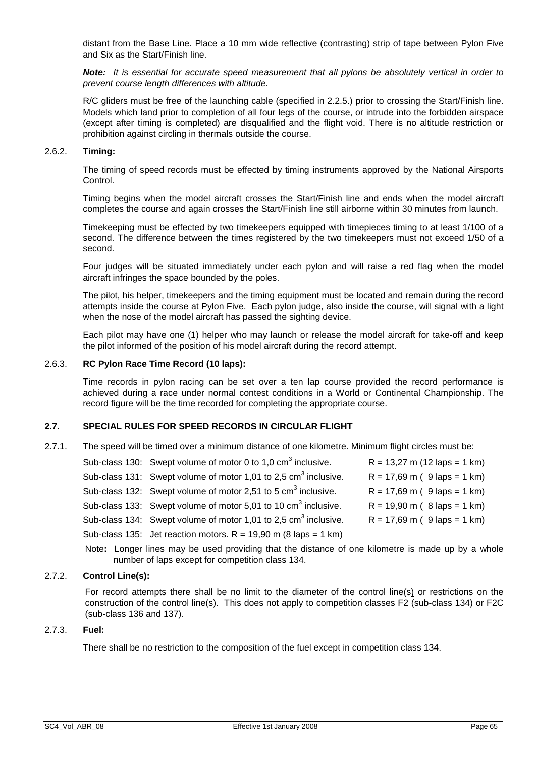distant from the Base Line. Place a 10 mm wide reflective (contrasting) strip of tape between Pylon Five and Six as the Start/Finish line.

**Note:** It is essential for accurate speed measurement that all pylons be absolutely vertical in order to prevent course length differences with altitude.

R/C gliders must be free of the launching cable (specified in 2.2.5.) prior to crossing the Start/Finish line. Models which land prior to completion of all four legs of the course, or intrude into the forbidden airspace (except after timing is completed) are disqualified and the flight void. There is no altitude restriction or prohibition against circling in thermals outside the course.

# 2.6.2. **Timing:**

The timing of speed records must be effected by timing instruments approved by the National Airsports Control.

Timing begins when the model aircraft crosses the Start/Finish line and ends when the model aircraft completes the course and again crosses the Start/Finish line still airborne within 30 minutes from launch.

Timekeeping must be effected by two timekeepers equipped with timepieces timing to at least 1/100 of a second. The difference between the times registered by the two timekeepers must not exceed 1/50 of a second.

Four judges will be situated immediately under each pylon and will raise a red flag when the model aircraft infringes the space bounded by the poles.

The pilot, his helper, timekeepers and the timing equipment must be located and remain during the record attempts inside the course at Pylon Five. Each pylon judge, also inside the course, will signal with a light when the nose of the model aircraft has passed the sighting device.

Each pilot may have one (1) helper who may launch or release the model aircraft for take-off and keep the pilot informed of the position of his model aircraft during the record attempt.

#### 2.6.3. **RC Pylon Race Time Record (10 laps):**

Time records in pylon racing can be set over a ten lap course provided the record performance is achieved during a race under normal contest conditions in a World or Continental Championship. The record figure will be the time recorded for completing the appropriate course.

#### **2.7. SPECIAL RULES FOR SPEED RECORDS IN CIRCULAR FLIGHT**

2.7.1. The speed will be timed over a minimum distance of one kilometre. Minimum flight circles must be:

| Sub-class 130: Swept volume of motor 0 to 1,0 $cm3$ inclusive.           | $R = 13,27$ m (12 laps = 1 km) |
|--------------------------------------------------------------------------|--------------------------------|
| Sub-class 131: Swept volume of motor 1,01 to 2,5 $cm3$ inclusive.        | $R = 17,69$ m (9 laps = 1 km)  |
| Sub-class 132: Swept volume of motor 2,51 to 5 $cm3$ inclusive.          | $R = 17,69$ m (9 laps = 1 km)  |
| Sub-class 133: Swept volume of motor 5,01 to 10 $\text{cm}^3$ inclusive. | $R = 19,90$ m (8 laps = 1 km)  |
| Sub-class 134: Swept volume of motor 1,01 to 2,5 $cm3$ inclusive.        | $R = 17,69$ m (9 laps = 1 km)  |
| Sub-class 135: Jet reaction motors. $R = 19,90$ m (8 laps = 1 km)        |                                |

Note**:** Longer lines may be used providing that the distance of one kilometre is made up by a whole number of laps except for competition class 134.

#### 2.7.2. **Control Line(s):**

For record attempts there shall be no limit to the diameter of the control line(s) or restrictions on the construction of the control line(s). This does not apply to competition classes F2 (sub-class 134) or F2C (sub-class 136 and 137).

## 2.7.3. **Fuel:**

There shall be no restriction to the composition of the fuel except in competition class 134.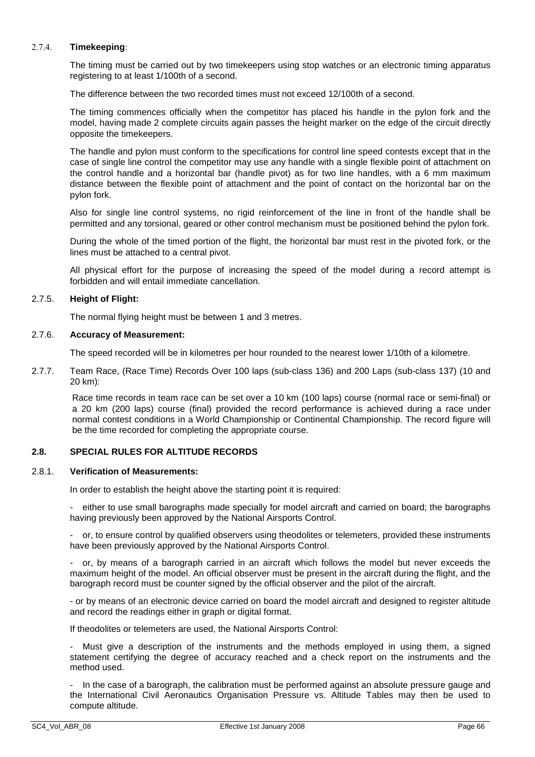# 2.7.4. **Timekeeping**:

The timing must be carried out by two timekeepers using stop watches or an electronic timing apparatus registering to at least 1/100th of a second.

The difference between the two recorded times must not exceed 12/100th of a second.

The timing commences officially when the competitor has placed his handle in the pylon fork and the model, having made 2 complete circuits again passes the height marker on the edge of the circuit directly opposite the timekeepers.

The handle and pylon must conform to the specifications for control line speed contests except that in the case of single line control the competitor may use any handle with a single flexible point of attachment on the control handle and a horizontal bar (handle pivot) as for two line handles, with a 6 mm maximum distance between the flexible point of attachment and the point of contact on the horizontal bar on the pylon fork.

Also for single line control systems, no rigid reinforcement of the line in front of the handle shall be permitted and any torsional, geared or other control mechanism must be positioned behind the pylon fork.

During the whole of the timed portion of the flight, the horizontal bar must rest in the pivoted fork, or the lines must be attached to a central pivot.

All physical effort for the purpose of increasing the speed of the model during a record attempt is forbidden and will entail immediate cancellation.

## 2.7.5. **Height of Flight:**

The normal flying height must be between 1 and 3 metres.

#### 2.7.6. **Accuracy of Measurement:**

The speed recorded will be in kilometres per hour rounded to the nearest lower 1/10th of a kilometre.

2.7.7. Team Race, (Race Time) Records Over 100 laps (sub-class 136) and 200 Laps (sub-class 137) (10 and 20 km):

Race time records in team race can be set over a 10 km (100 laps) course (normal race or semi-final) or a 20 km (200 laps) course (final) provided the record performance is achieved during a race under normal contest conditions in a World Championship or Continental Championship. The record figure will be the time recorded for completing the appropriate course.

# **2.8. SPECIAL RULES FOR ALTITUDE RECORDS**

#### 2.8.1. **Verification of Measurements:**

In order to establish the height above the starting point it is required:

either to use small barographs made specially for model aircraft and carried on board; the barographs having previously been approved by the National Airsports Control.

- or, to ensure control by qualified observers using theodolites or telemeters, provided these instruments have been previously approved by the National Airsports Control.

- or, by means of a barograph carried in an aircraft which follows the model but never exceeds the maximum height of the model. An official observer must be present in the aircraft during the flight, and the barograph record must be counter signed by the official observer and the pilot of the aircraft.

- or by means of an electronic device carried on board the model aircraft and designed to register altitude and record the readings either in graph or digital format.

If theodolites or telemeters are used, the National Airsports Control:

Must give a description of the instruments and the methods employed in using them, a signed statement certifying the degree of accuracy reached and a check report on the instruments and the method used.

In the case of a barograph, the calibration must be performed against an absolute pressure gauge and the International Civil Aeronautics Organisation Pressure vs. Altitude Tables may then be used to compute altitude.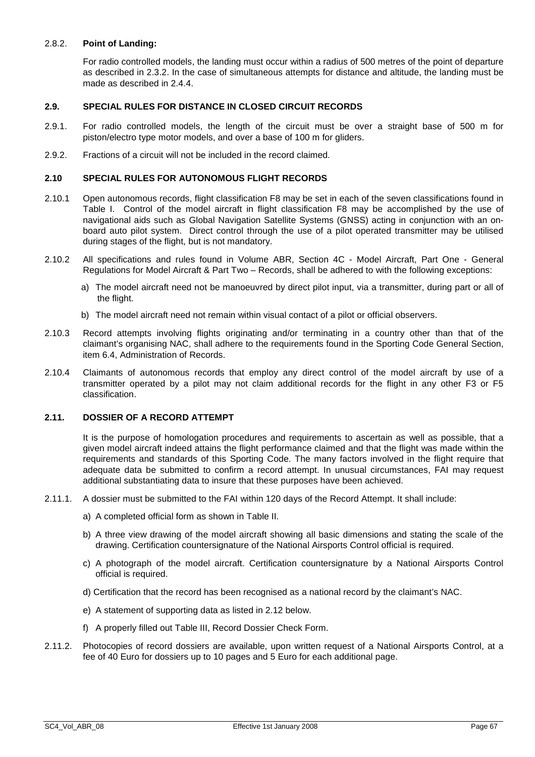#### 2.8.2. **Point of Landing:**

For radio controlled models, the landing must occur within a radius of 500 metres of the point of departure as described in 2.3.2. In the case of simultaneous attempts for distance and altitude, the landing must be made as described in 2.4.4.

## **2.9. SPECIAL RULES FOR DISTANCE IN CLOSED CIRCUIT RECORDS**

- 2.9.1. For radio controlled models, the length of the circuit must be over a straight base of 500 m for piston/electro type motor models, and over a base of 100 m for gliders.
- 2.9.2. Fractions of a circuit will not be included in the record claimed.

#### **2.10 SPECIAL RULES FOR AUTONOMOUS FLIGHT RECORDS**

- 2.10.1 Open autonomous records, flight classification F8 may be set in each of the seven classifications found in Table I. Control of the model aircraft in flight classification F8 may be accomplished by the use of navigational aids such as Global Navigation Satellite Systems (GNSS) acting in conjunction with an onboard auto pilot system. Direct control through the use of a pilot operated transmitter may be utilised during stages of the flight, but is not mandatory.
- 2.10.2 All specifications and rules found in Volume ABR, Section 4C Model Aircraft, Part One General Regulations for Model Aircraft & Part Two – Records, shall be adhered to with the following exceptions:
	- a) The model aircraft need not be manoeuvred by direct pilot input, via a transmitter, during part or all of the flight.
	- b) The model aircraft need not remain within visual contact of a pilot or official observers.
- 2.10.3 Record attempts involving flights originating and/or terminating in a country other than that of the claimant's organising NAC, shall adhere to the requirements found in the Sporting Code General Section, item 6.4, Administration of Records.
- 2.10.4 Claimants of autonomous records that employ any direct control of the model aircraft by use of a transmitter operated by a pilot may not claim additional records for the flight in any other F3 or F5 classification.

# **2.11. DOSSIER OF A RECORD ATTEMPT**

It is the purpose of homologation procedures and requirements to ascertain as well as possible, that a given model aircraft indeed attains the flight performance claimed and that the flight was made within the requirements and standards of this Sporting Code. The many factors involved in the flight require that adequate data be submitted to confirm a record attempt. In unusual circumstances, FAI may request additional substantiating data to insure that these purposes have been achieved.

- 2.11.1. A dossier must be submitted to the FAI within 120 days of the Record Attempt. It shall include:
	- a) A completed official form as shown in Table II.
	- b) A three view drawing of the model aircraft showing all basic dimensions and stating the scale of the drawing. Certification countersignature of the National Airsports Control official is required.
	- c) A photograph of the model aircraft. Certification countersignature by a National Airsports Control official is required.
	- d) Certification that the record has been recognised as a national record by the claimant's NAC.
	- e) A statement of supporting data as listed in 2.12 below.
	- f) A properly filled out Table III, Record Dossier Check Form.
- 2.11.2. Photocopies of record dossiers are available, upon written request of a National Airsports Control, at a fee of 40 Euro for dossiers up to 10 pages and 5 Euro for each additional page.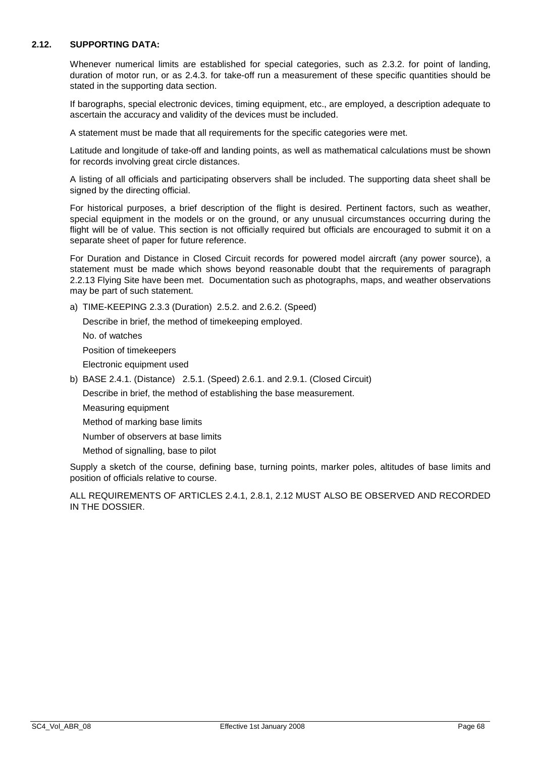# **2.12. SUPPORTING DATA:**

Whenever numerical limits are established for special categories, such as 2.3.2. for point of landing, duration of motor run, or as 2.4.3. for take-off run a measurement of these specific quantities should be stated in the supporting data section.

If barographs, special electronic devices, timing equipment, etc., are employed, a description adequate to ascertain the accuracy and validity of the devices must be included.

A statement must be made that all requirements for the specific categories were met.

Latitude and longitude of take-off and landing points, as well as mathematical calculations must be shown for records involving great circle distances.

A listing of all officials and participating observers shall be included. The supporting data sheet shall be signed by the directing official.

For historical purposes, a brief description of the flight is desired. Pertinent factors, such as weather, special equipment in the models or on the ground, or any unusual circumstances occurring during the flight will be of value. This section is not officially required but officials are encouraged to submit it on a separate sheet of paper for future reference.

For Duration and Distance in Closed Circuit records for powered model aircraft (any power source), a statement must be made which shows beyond reasonable doubt that the requirements of paragraph 2.2.13 Flying Site have been met. Documentation such as photographs, maps, and weather observations may be part of such statement.

a) TIME-KEEPING 2.3.3 (Duration) 2.5.2. and 2.6.2. (Speed)

Describe in brief, the method of timekeeping employed.

No. of watches

Position of timekeepers

Electronic equipment used

b) BASE 2.4.1. (Distance) 2.5.1. (Speed) 2.6.1. and 2.9.1. (Closed Circuit)

Describe in brief, the method of establishing the base measurement.

Measuring equipment

Method of marking base limits

Number of observers at base limits

Method of signalling, base to pilot

Supply a sketch of the course, defining base, turning points, marker poles, altitudes of base limits and position of officials relative to course.

ALL REQUIREMENTS OF ARTICLES 2.4.1, 2.8.1, 2.12 MUST ALSO BE OBSERVED AND RECORDED IN THE DOSSIER.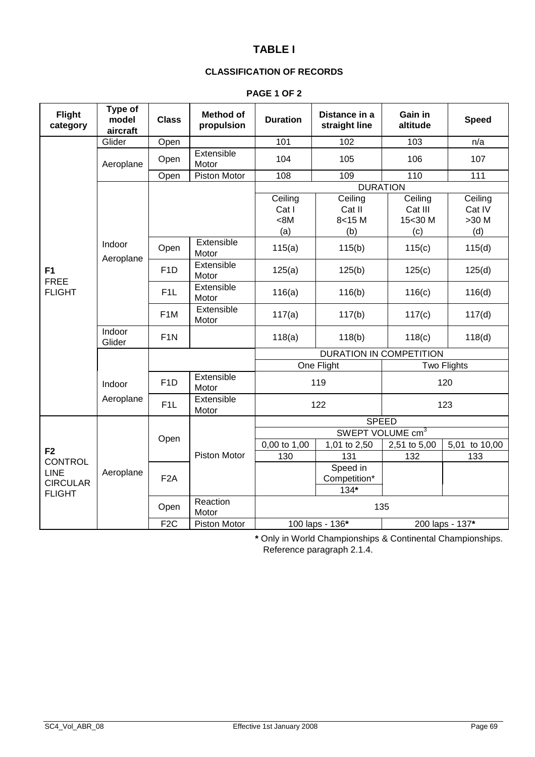# **TABLE I**

# **CLASSIFICATION OF RECORDS**

# **PAGE 1 OF 2**

| <b>Flight</b><br>category | Type of<br>model<br>aircraft | <b>Class</b>     | <b>Method of</b><br>propulsion | <b>Duration</b>                | Distance in a<br>straight line                      | Gain in<br>altitude                  | <b>Speed</b>                        |  |
|---------------------------|------------------------------|------------------|--------------------------------|--------------------------------|-----------------------------------------------------|--------------------------------------|-------------------------------------|--|
|                           | Glider                       | Open             |                                | 101                            | 102                                                 | 103                                  | n/a                                 |  |
|                           | Aeroplane                    | Open             | Extensible<br>Motor            | 104                            | 105                                                 | 106                                  | 107                                 |  |
|                           |                              | Open             | Piston Motor                   | 108                            | 109                                                 | 110                                  | 111                                 |  |
|                           |                              |                  |                                |                                | <b>DURATION</b>                                     |                                      |                                     |  |
|                           |                              |                  |                                | Ceiling<br>Cat I<br><8M<br>(a) | $\overline{C}$ eiling<br>Cat II<br>$8<$ 15 M<br>(b) | Ceiling<br>Cat III<br>15<30 M<br>(c) | Ceiling<br>Cat IV<br>$>30$ M<br>(d) |  |
|                           | Indoor                       | Open             | Extensible<br>Motor            | 115(a)                         | 115(b)                                              | 115(c)                               | 115(d)                              |  |
| F1<br><b>FREE</b>         | Aeroplane                    | F <sub>1</sub> D | Extensible<br>Motor            | 125(a)                         | 125(b)                                              | 125(c)                               | 125(d)                              |  |
| <b>FLIGHT</b>             |                              | F <sub>1</sub> L | Extensible<br>Motor            | 116(a)                         | 116(b)                                              | 116(c)                               | 116(d)                              |  |
|                           |                              | F <sub>1</sub> M | Extensible<br>Motor            | 117(a)                         | 117(b)                                              | 117(c)                               | 117(d)                              |  |
|                           | Indoor<br>Glider             | F <sub>1</sub> N |                                | 118(a)                         | 118(b)                                              | 118(c)                               | 118(d)                              |  |
|                           |                              |                  |                                |                                | <b>DURATION IN COMPETITION</b>                      |                                      |                                     |  |
|                           |                              |                  |                                |                                | One Flight                                          | Two Flights                          |                                     |  |
|                           | Indoor                       | F <sub>1</sub> D | Extensible<br>Motor            | 119<br>120                     |                                                     |                                      |                                     |  |
|                           | Aeroplane                    | F <sub>1</sub> L | Extensible<br>Motor            | 122                            |                                                     | 123                                  |                                     |  |
|                           |                              |                  |                                | <b>SPEED</b>                   |                                                     |                                      |                                     |  |
|                           |                              | Open             |                                |                                | SWEPT VOLUME cm <sup>3</sup>                        |                                      |                                     |  |
| F <sub>2</sub>            |                              |                  |                                | 0,00 to 1,00                   | 1,01 to 2,50                                        | 2,51 to 5,00                         | 5,01 to 10,00                       |  |
| <b>CONTROL</b>            |                              |                  | <b>Piston Motor</b>            | 130                            | 131                                                 | 132                                  | 133                                 |  |
| <b>LINE</b>               | Aeroplane                    | F <sub>2</sub> A |                                |                                | Speed in<br>Competition*                            |                                      |                                     |  |
| <b>CIRCULAR</b>           |                              |                  |                                |                                | $134*$                                              |                                      |                                     |  |
| <b>FLIGHT</b>             |                              | Open             | Reaction<br>Motor              |                                |                                                     | 135                                  |                                     |  |
|                           |                              | F <sub>2</sub> C | <b>Piston Motor</b>            |                                | 100 laps - 136*                                     |                                      | 200 laps - 137*                     |  |

**\*** Only in World Championships & Continental Championships. Reference paragraph 2.1.4.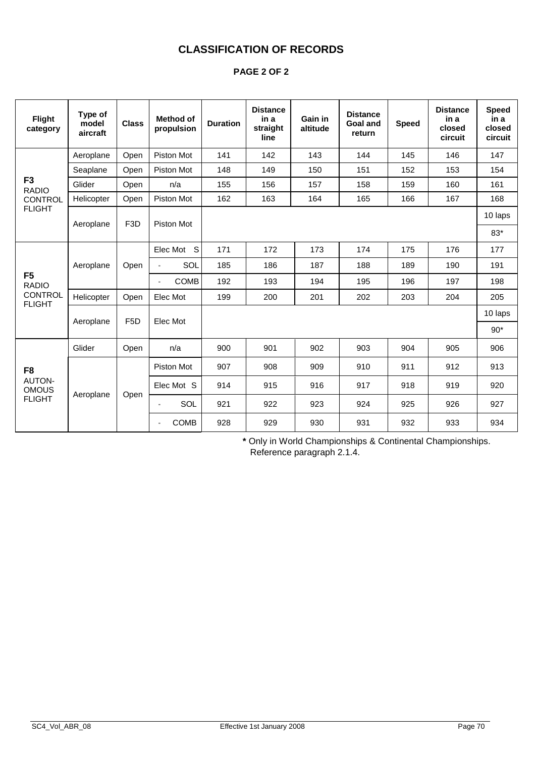# **CLASSIFICATION OF RECORDS**

# **PAGE 2 OF 2**

| <b>Flight</b><br>category       | Type of<br>model<br>aircraft  | <b>Class</b>     | <b>Method of</b><br>propulsion | <b>Duration</b> | <b>Distance</b><br>in a<br>straight<br>line | Gain in<br>altitude | <b>Distance</b><br><b>Goal and</b><br>return | <b>Speed</b> | <b>Distance</b><br>in a<br>closed<br>circuit | <b>Speed</b><br>in a<br>closed<br>circuit |       |     |     |
|---------------------------------|-------------------------------|------------------|--------------------------------|-----------------|---------------------------------------------|---------------------|----------------------------------------------|--------------|----------------------------------------------|-------------------------------------------|-------|-----|-----|
|                                 | Aeroplane                     | Open             | Piston Mot                     | 141             | 142                                         | 143                 | 144                                          | 145          | 146                                          | 147                                       |       |     |     |
|                                 | Seaplane                      | Open             | Piston Mot                     | 148             | 149                                         | 150                 | 151                                          | 152          | 153                                          | 154                                       |       |     |     |
| F <sub>3</sub><br><b>RADIO</b>  | Glider                        | Open             | n/a                            | 155             | 156                                         | 157                 | 158                                          | 159          | 160                                          | 161                                       |       |     |     |
| <b>CONTROL</b>                  | Helicopter                    | Open             | Piston Mot                     | 162             | 163                                         | 164                 | 165                                          | 166          | 167                                          | 168                                       |       |     |     |
| <b>FLIGHT</b>                   | Aeroplane                     | F <sub>3</sub> D | Piston Mot                     |                 |                                             |                     |                                              |              |                                              | 10 laps                                   |       |     |     |
|                                 |                               |                  |                                |                 |                                             |                     |                                              |              |                                              |                                           |       |     |     |
|                                 | Aeroplane                     |                  |                                |                 |                                             | Elec Mot<br>S       | 171                                          | 172          | 173                                          | 174                                       | 175   | 176 | 177 |
|                                 |                               |                  | Open                           | SOL<br>$\alpha$ | 185                                         | 186                 | 187                                          | 188          | 189                                          | 190                                       | 191   |     |     |
| F <sub>5</sub><br><b>RADIO</b>  |                               |                  | <b>COMB</b><br>$\mathbf{u}$    | 192             | 193                                         | 194                 | 195                                          | 196          | 197                                          | 198                                       |       |     |     |
| <b>CONTROL</b><br><b>FLIGHT</b> | Helicopter                    | Open             | Elec Mot                       | 199             | 200                                         | 201                 | 202                                          | 203          | 204                                          | 205                                       |       |     |     |
|                                 |                               |                  |                                |                 |                                             |                     |                                              |              |                                              | 10 laps                                   |       |     |     |
|                                 | F <sub>5</sub> D<br>Aeroplane |                  |                                | Elec Mot        |                                             |                     |                                              |              |                                              |                                           | $90*$ |     |     |
|                                 | Glider                        | Open             | n/a                            | 900             | 901                                         | 902                 | 903                                          | 904          | 905                                          | 906                                       |       |     |     |
| F <sub>8</sub>                  |                               |                  | Piston Mot                     | 907             | 908                                         | 909                 | 910                                          | 911          | 912                                          | 913                                       |       |     |     |
| <b>AUTON-</b><br><b>OMOUS</b>   |                               |                  | Elec Mot S                     | 914             | 915                                         | 916                 | 917                                          | 918          | 919                                          | 920                                       |       |     |     |
| <b>FLIGHT</b>                   | Aeroplane                     | Open             | SOL<br>$\mathbf{u}$            | 921             | 922                                         | 923                 | 924                                          | 925          | 926                                          | 927                                       |       |     |     |
|                                 |                               |                  |                                |                 | <b>COMB</b><br>$\alpha$                     | 928                 | 929                                          | 930          | 931                                          | 932                                       | 933   | 934 |     |

**\*** Only in World Championships & Continental Championships. Reference paragraph 2.1.4.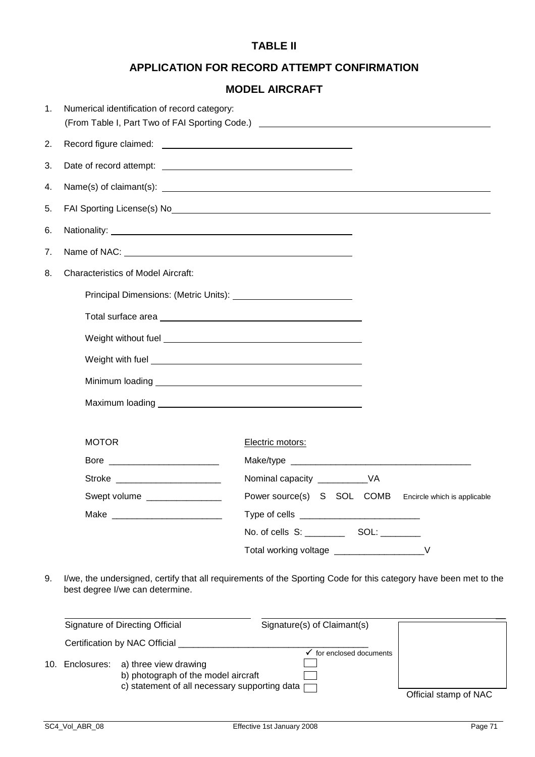# **TABLE II**

# **APPLICATION FOR RECORD ATTEMPT CONFIRMATION**

# **MODEL AIRCRAFT**

| 1. | Numerical identification of record category:<br>(From Table I, Part Two of FAI Sporting Code.) __________________________________                                                                                                   |                                                         |  |
|----|-------------------------------------------------------------------------------------------------------------------------------------------------------------------------------------------------------------------------------------|---------------------------------------------------------|--|
| 2. |                                                                                                                                                                                                                                     |                                                         |  |
| 3. |                                                                                                                                                                                                                                     |                                                         |  |
| 4. |                                                                                                                                                                                                                                     |                                                         |  |
| 5. | FAI Sporting License(s) No <b>All Accords</b> 2012 12:00 12:00 12:00 12:00 12:00 12:00 12:00 12:00 12:00 12:00 12:00 12:00 12:00 12:00 12:00 12:00 12:00 12:00 12:00 12:00 12:00 12:00 12:00 12:00 12:00 12:00 12:00 12:00 12:00 12 |                                                         |  |
| 6. |                                                                                                                                                                                                                                     |                                                         |  |
| 7. |                                                                                                                                                                                                                                     |                                                         |  |
| 8. | <b>Characteristics of Model Aircraft:</b>                                                                                                                                                                                           |                                                         |  |
|    | Principal Dimensions: (Metric Units): <b>container and the Control Principal Dimensions:</b>                                                                                                                                        |                                                         |  |
|    |                                                                                                                                                                                                                                     |                                                         |  |
|    |                                                                                                                                                                                                                                     |                                                         |  |
|    |                                                                                                                                                                                                                                     |                                                         |  |
|    |                                                                                                                                                                                                                                     |                                                         |  |
|    |                                                                                                                                                                                                                                     |                                                         |  |
|    |                                                                                                                                                                                                                                     |                                                         |  |
|    | <b>MOTOR</b>                                                                                                                                                                                                                        | Electric motors:                                        |  |
|    |                                                                                                                                                                                                                                     |                                                         |  |
|    | Stroke _________________________                                                                                                                                                                                                    | Nominal capacity ____________VA                         |  |
|    | Swept volume                                                                                                                                                                                                                        | Power source(s) S SOL COMB Encircle which is applicable |  |
|    |                                                                                                                                                                                                                                     |                                                         |  |
|    |                                                                                                                                                                                                                                     |                                                         |  |
|    |                                                                                                                                                                                                                                     | Total working voltage ________________________V         |  |

9. I/we, the undersigned, certify that all requirements of the Sporting Code for this category have been met to the best degree I/we can determine.

|                                                 | Signature of Directing Official     | Signature(s) of Claimant(s)         |                       |
|-------------------------------------------------|-------------------------------------|-------------------------------------|-----------------------|
|                                                 | Certification by NAC Official       |                                     |                       |
|                                                 |                                     | $\checkmark$ for enclosed documents |                       |
| 10. Enclosures:                                 | a) three view drawing               |                                     |                       |
|                                                 | b) photograph of the model aircraft |                                     |                       |
| c) statement of all necessary supporting data [ |                                     |                                     |                       |
|                                                 |                                     |                                     | Official stamp of NAC |